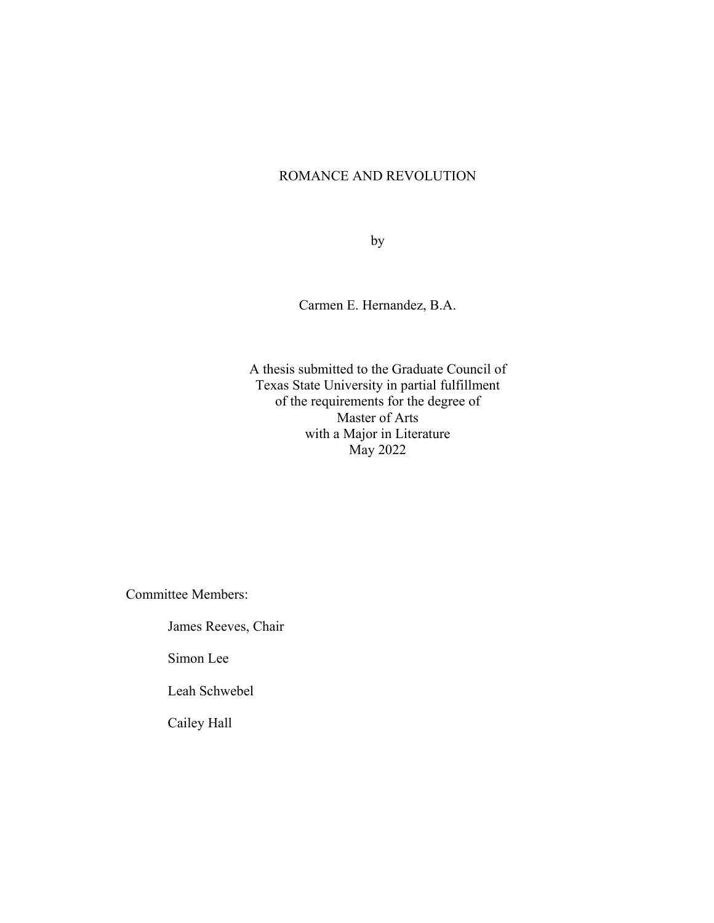# ROMANCE AND REVOLUTION

by

Carmen E. Hernandez, B.A.

A thesis submitted to the Graduate Council of Texas State University in partial fulfillment of the requirements for the degree of Master of Arts with a Major in Literature May 2022

Committee Members:

James Reeves, Chair

Simon Lee

Leah Schwebel

Cailey Hall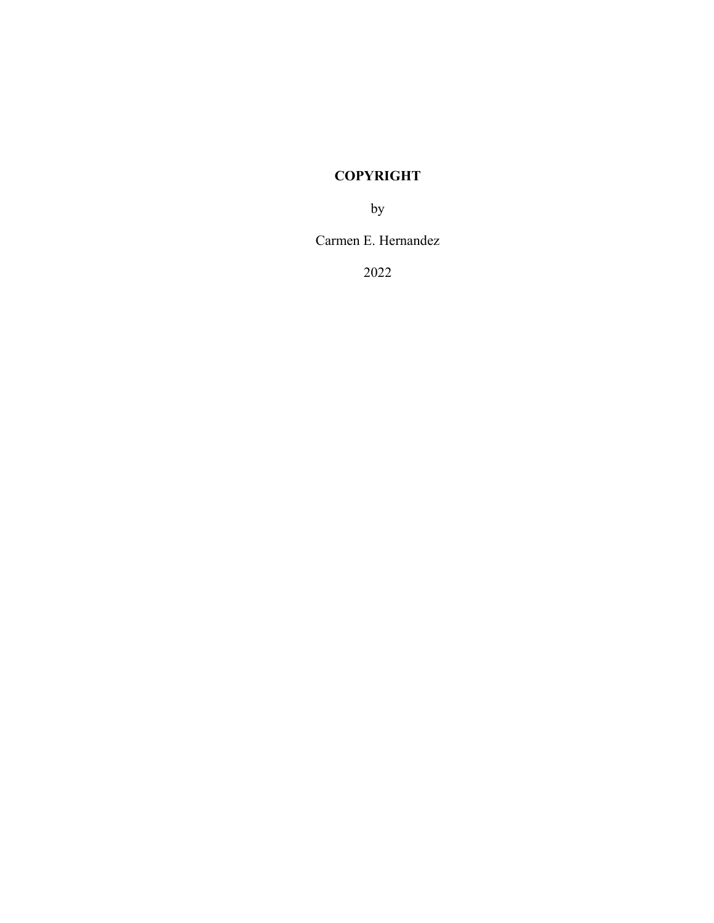# **COPYRIGHT**

by

Carmen E. Hernandez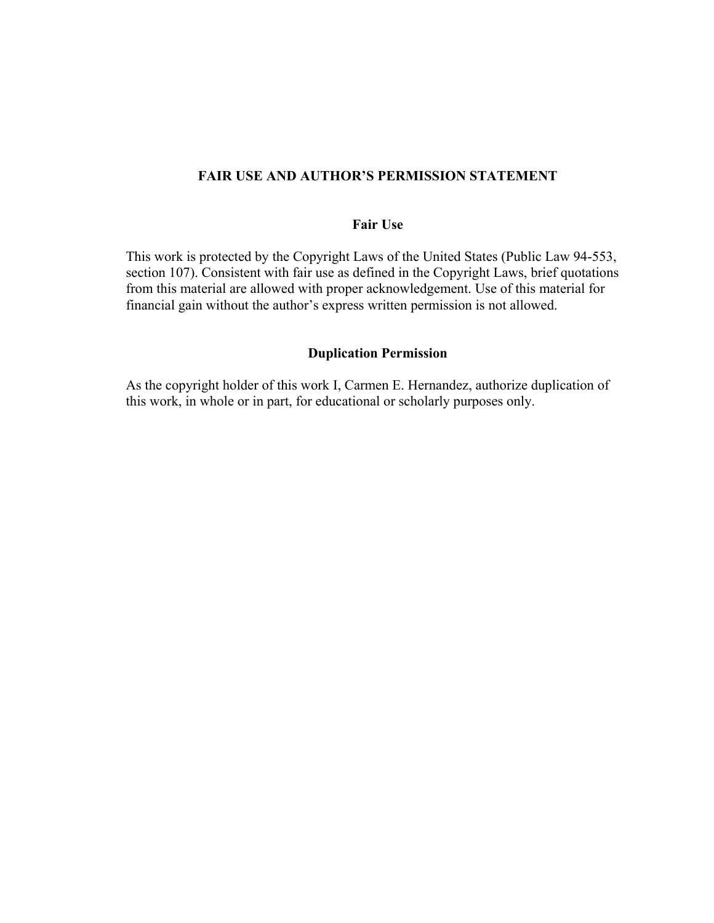# **FAIR USE AND AUTHOR'S PERMISSION STATEMENT**

### **Fair Use**

This work is protected by the Copyright Laws of the United States (Public Law 94-553, section 107). Consistent with fair use as defined in the Copyright Laws, brief quotations from this material are allowed with proper acknowledgement. Use of this material for financial gain without the author's express written permission is not allowed.

# **Duplication Permission**

As the copyright holder of this work I, Carmen E. Hernandez, authorize duplication of this work, in whole or in part, for educational or scholarly purposes only.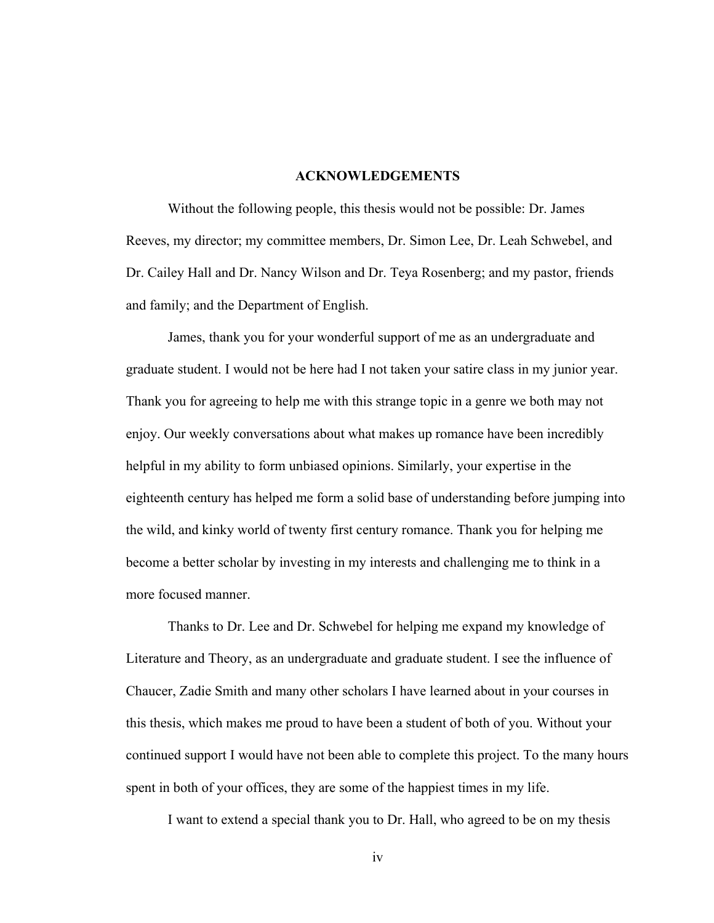#### **ACKNOWLEDGEMENTS**

 Without the following people, this thesis would not be possible: Dr. James Reeves, my director; my committee members, Dr. Simon Lee, Dr. Leah Schwebel, and Dr. Cailey Hall and Dr. Nancy Wilson and Dr. Teya Rosenberg; and my pastor, friends and family; and the Department of English.

 James, thank you for your wonderful support of me as an undergraduate and graduate student. I would not be here had I not taken your satire class in my junior year. Thank you for agreeing to help me with this strange topic in a genre we both may not enjoy. Our weekly conversations about what makes up romance have been incredibly helpful in my ability to form unbiased opinions. Similarly, your expertise in the eighteenth century has helped me form a solid base of understanding before jumping into the wild, and kinky world of twenty first century romance. Thank you for helping me become a better scholar by investing in my interests and challenging me to think in a more focused manner.

 Thanks to Dr. Lee and Dr. Schwebel for helping me expand my knowledge of Literature and Theory, as an undergraduate and graduate student. I see the influence of Chaucer, Zadie Smith and many other scholars I have learned about in your courses in this thesis, which makes me proud to have been a student of both of you. Without your continued support I would have not been able to complete this project. To the many hours spent in both of your offices, they are some of the happiest times in my life.

I want to extend a special thank you to Dr. Hall, who agreed to be on my thesis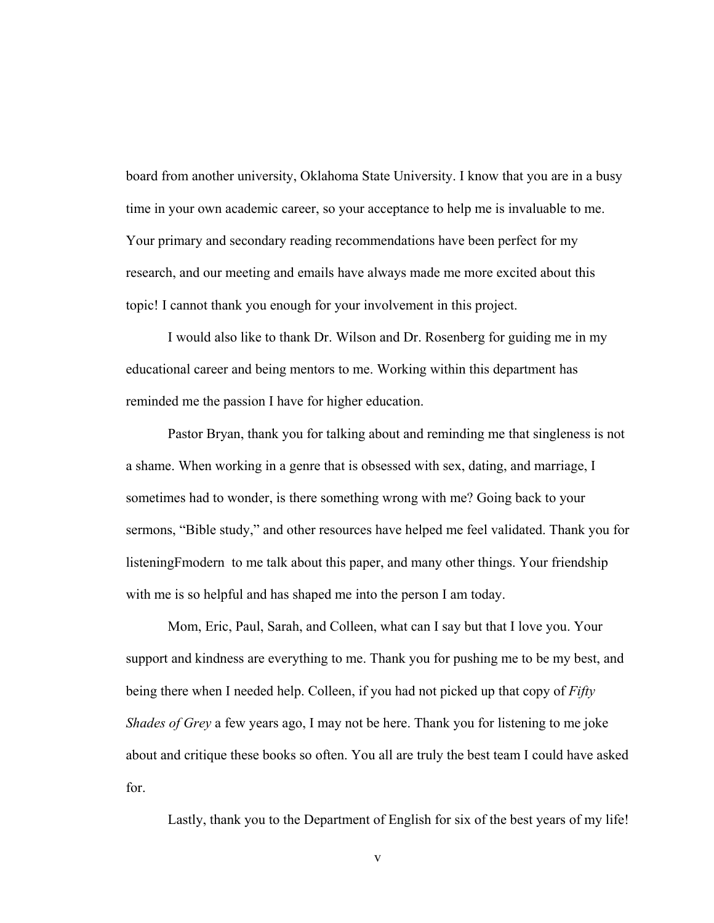board from another university, Oklahoma State University. I know that you are in a busy time in your own academic career, so your acceptance to help me is invaluable to me. Your primary and secondary reading recommendations have been perfect for my research, and our meeting and emails have always made me more excited about this topic! I cannot thank you enough for your involvement in this project.

 I would also like to thank Dr. Wilson and Dr. Rosenberg for guiding me in my educational career and being mentors to me. Working within this department has reminded me the passion I have for higher education.

 Pastor Bryan, thank you for talking about and reminding me that singleness is not a shame. When working in a genre that is obsessed with sex, dating, and marriage, I sometimes had to wonder, is there something wrong with me? Going back to your sermons, "Bible study," and other resources have helped me feel validated. Thank you for listeningFmodern to me talk about this paper, and many other things. Your friendship with me is so helpful and has shaped me into the person I am today.

 Mom, Eric, Paul, Sarah, and Colleen, what can I say but that I love you. Your support and kindness are everything to me. Thank you for pushing me to be my best, and being there when I needed help. Colleen, if you had not picked up that copy of *Fifty Shades of Grey* a few years ago, I may not be here. Thank you for listening to me joke about and critique these books so often. You all are truly the best team I could have asked for.

Lastly, thank you to the Department of English for six of the best years of my life!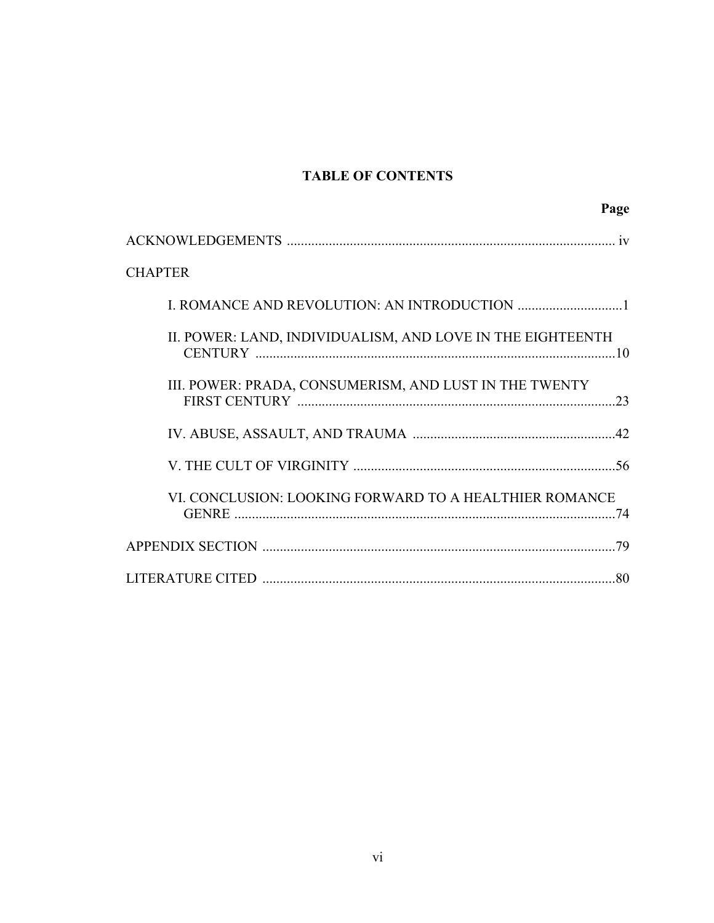# **TABLE OF CONTENTS**

| Page                                                       |  |
|------------------------------------------------------------|--|
|                                                            |  |
| <b>CHAPTER</b>                                             |  |
|                                                            |  |
| II. POWER: LAND, INDIVIDUALISM, AND LOVE IN THE EIGHTEENTH |  |
| III. POWER: PRADA, CONSUMERISM, AND LUST IN THE TWENTY     |  |
|                                                            |  |
|                                                            |  |
| VI. CONCLUSION: LOOKING FORWARD TO A HEALTHIER ROMANCE     |  |
|                                                            |  |
|                                                            |  |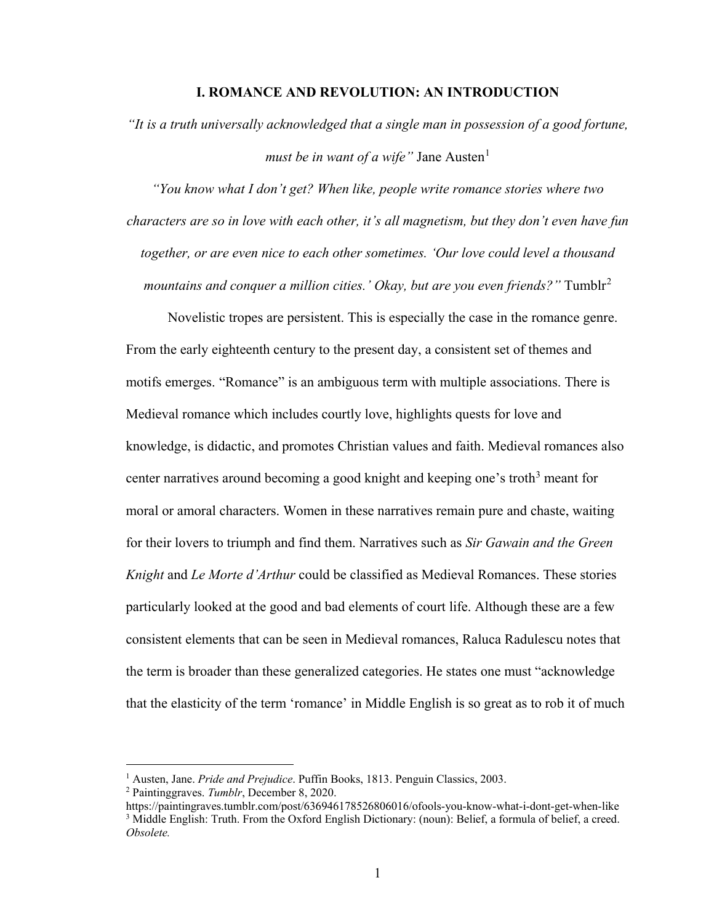### **I. ROMANCE AND REVOLUTION: AN INTRODUCTION**

*"It is a truth universally acknowledged that a single man in possession of a good fortune, must be in want of a wife*" Jane Austen $<sup>1</sup>$  $<sup>1</sup>$  $<sup>1</sup>$ </sup>

*"You know what I don't get? When like, people write romance stories where two characters are so in love with each other, it's all magnetism, but they don't even have fun together, or are even nice to each other sometimes. 'Our love could level a thousand mountains and conquer a million cities.' Okay, but are you even friends?"* Tumblr<sup>[2](#page-6-1)</sup>

Novelistic tropes are persistent. This is especially the case in the romance genre. From the early eighteenth century to the present day, a consistent set of themes and motifs emerges. "Romance" is an ambiguous term with multiple associations. There is Medieval romance which includes courtly love, highlights quests for love and knowledge, is didactic, and promotes Christian values and faith. Medieval romances also center narratives around becoming a good knight and keeping one's troth<sup>[3](#page-6-2)</sup> meant for moral or amoral characters. Women in these narratives remain pure and chaste, waiting for their lovers to triumph and find them. Narratives such as *Sir Gawain and the Green Knight* and *Le Morte d'Arthur* could be classified as Medieval Romances. These stories particularly looked at the good and bad elements of court life. Although these are a few consistent elements that can be seen in Medieval romances, Raluca Radulescu notes that the term is broader than these generalized categories. He states one must "acknowledge that the elasticity of the term 'romance' in Middle English is so great as to rob it of much

<sup>1</sup> Austen, Jane. *Pride and Prejudice*. Puffin Books, 1813. Penguin Classics, 2003.

<span id="page-6-1"></span><span id="page-6-0"></span><sup>2</sup> Paintinggraves. *Tumblr*, December 8, 2020.

<span id="page-6-2"></span>https://paintingraves.tumblr.com/post/636946178526806016/ofools-you-know-what-i-dont-get-when-like <sup>3</sup> Middle English: Truth. From the Oxford English Dictionary: (noun): Belief, a formula of belief, a creed. *Obsolete.*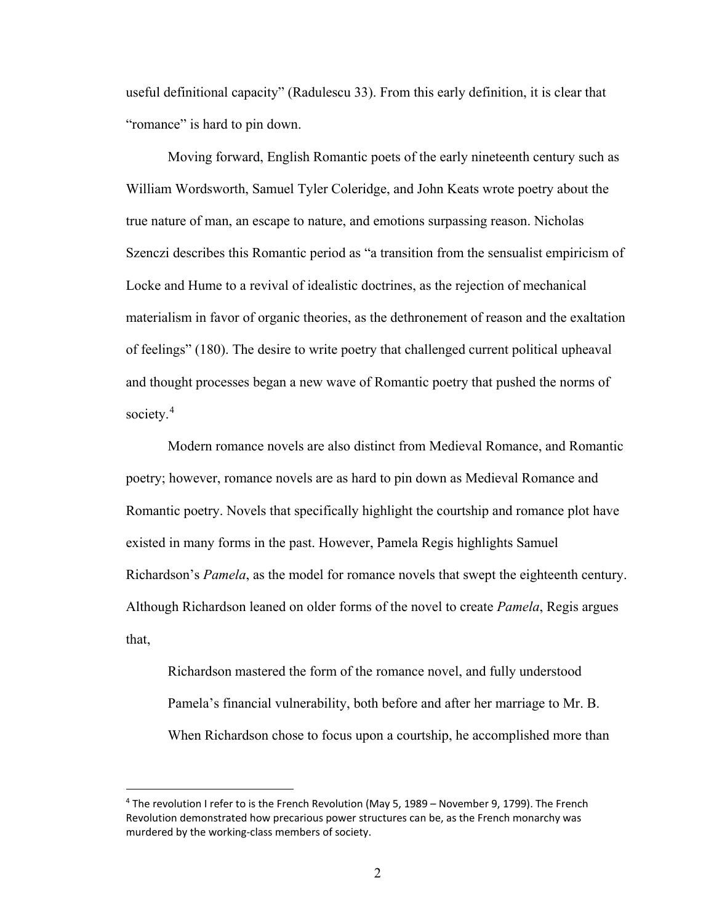useful definitional capacity" (Radulescu 33). From this early definition, it is clear that "romance" is hard to pin down.

Moving forward, English Romantic poets of the early nineteenth century such as William Wordsworth, Samuel Tyler Coleridge, and John Keats wrote poetry about the true nature of man, an escape to nature, and emotions surpassing reason. Nicholas Szenczi describes this Romantic period as "a transition from the sensualist empiricism of Locke and Hume to a revival of idealistic doctrines, as the rejection of mechanical materialism in favor of organic theories, as the dethronement of reason and the exaltation of feelings" (180). The desire to write poetry that challenged current political upheaval and thought processes began a new wave of Romantic poetry that pushed the norms of society.<sup>[4](#page-7-0)</sup>

Modern romance novels are also distinct from Medieval Romance, and Romantic poetry; however, romance novels are as hard to pin down as Medieval Romance and Romantic poetry. Novels that specifically highlight the courtship and romance plot have existed in many forms in the past. However, Pamela Regis highlights Samuel Richardson's *Pamela*, as the model for romance novels that swept the eighteenth century. Although Richardson leaned on older forms of the novel to create *Pamela*, Regis argues that,

Richardson mastered the form of the romance novel, and fully understood Pamela's financial vulnerability, both before and after her marriage to Mr. B. When Richardson chose to focus upon a courtship, he accomplished more than

<span id="page-7-0"></span><sup>&</sup>lt;sup>4</sup> The revolution I refer to is the French Revolution (May 5, 1989 – November 9, 1799). The French Revolution demonstrated how precarious power structures can be, as the French monarchy was murdered by the working-class members of society.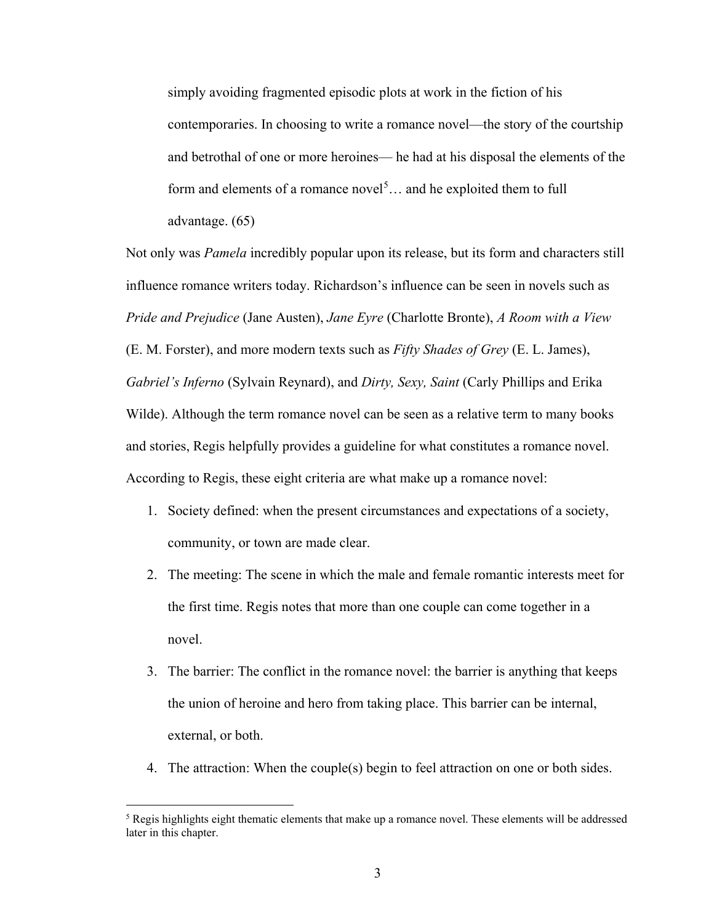simply avoiding fragmented episodic plots at work in the fiction of his contemporaries. In choosing to write a romance novel—the story of the courtship and betrothal of one or more heroines— he had at his disposal the elements of the form and elements of a romance novel<sup>[5](#page-8-0)</sup> $\dots$  and he exploited them to full advantage. (65)

Not only was *Pamela* incredibly popular upon its release, but its form and characters still influence romance writers today. Richardson's influence can be seen in novels such as *Pride and Prejudice* (Jane Austen), *Jane Eyre* (Charlotte Bronte), *A Room with a View*  (E. M. Forster), and more modern texts such as *Fifty Shades of Grey* (E. L. James), *Gabriel's Inferno* (Sylvain Reynard), and *Dirty, Sexy, Saint* (Carly Phillips and Erika Wilde). Although the term romance novel can be seen as a relative term to many books and stories, Regis helpfully provides a guideline for what constitutes a romance novel. According to Regis, these eight criteria are what make up a romance novel:

- 1. Society defined: when the present circumstances and expectations of a society, community, or town are made clear.
- 2. The meeting: The scene in which the male and female romantic interests meet for the first time. Regis notes that more than one couple can come together in a novel.
- 3. The barrier: The conflict in the romance novel: the barrier is anything that keeps the union of heroine and hero from taking place. This barrier can be internal, external, or both.
- 4. The attraction: When the couple(s) begin to feel attraction on one or both sides.

<span id="page-8-0"></span><sup>5</sup> Regis highlights eight thematic elements that make up a romance novel. These elements will be addressed later in this chapter.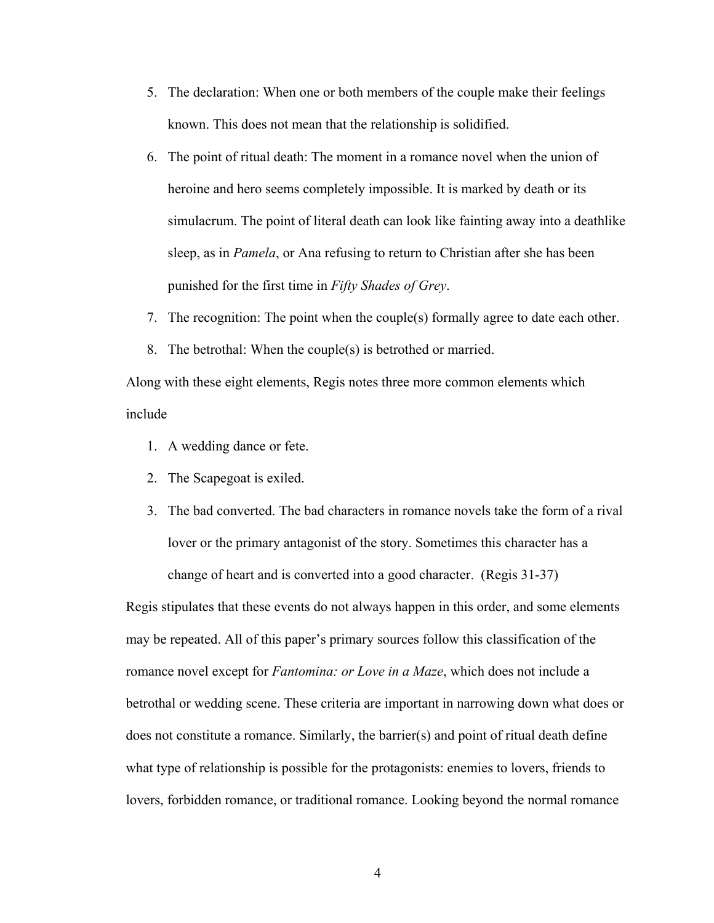- 5. The declaration: When one or both members of the couple make their feelings known. This does not mean that the relationship is solidified.
- 6. The point of ritual death: The moment in a romance novel when the union of heroine and hero seems completely impossible. It is marked by death or its simulacrum. The point of literal death can look like fainting away into a deathlike sleep, as in *Pamela*, or Ana refusing to return to Christian after she has been punished for the first time in *Fifty Shades of Grey*.
- 7. The recognition: The point when the couple(s) formally agree to date each other.
- 8. The betrothal: When the couple(s) is betrothed or married.

Along with these eight elements, Regis notes three more common elements which include

- 1. A wedding dance or fete.
- 2. The Scapegoat is exiled.
- 3. The bad converted. The bad characters in romance novels take the form of a rival lover or the primary antagonist of the story. Sometimes this character has a change of heart and is converted into a good character. (Regis 31-37)

Regis stipulates that these events do not always happen in this order, and some elements may be repeated. All of this paper's primary sources follow this classification of the romance novel except for *Fantomina: or Love in a Maze*, which does not include a betrothal or wedding scene. These criteria are important in narrowing down what does or does not constitute a romance. Similarly, the barrier(s) and point of ritual death define what type of relationship is possible for the protagonists: enemies to lovers, friends to lovers, forbidden romance, or traditional romance. Looking beyond the normal romance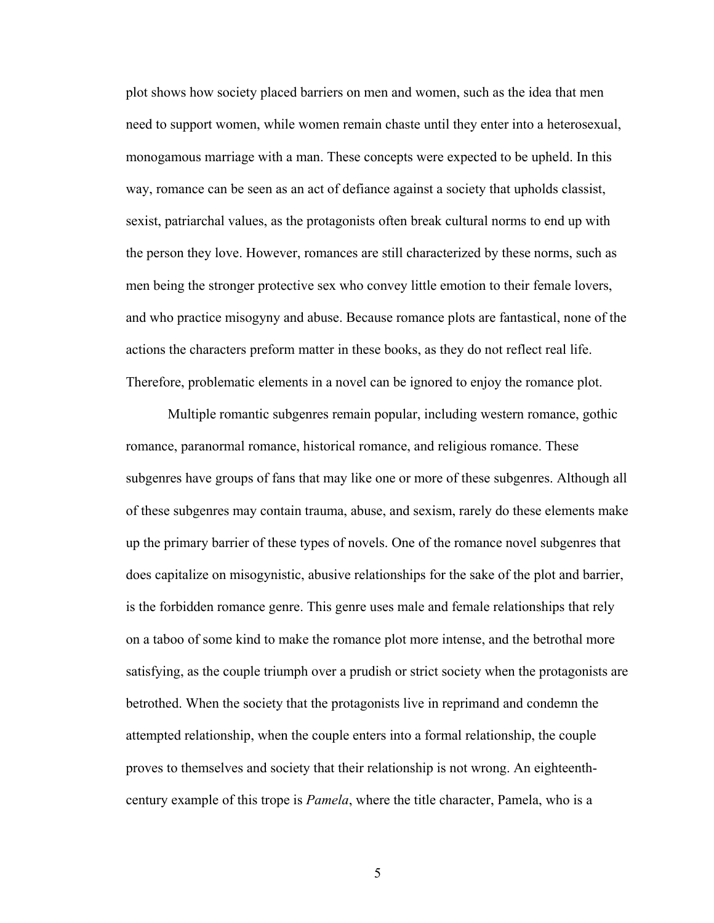plot shows how society placed barriers on men and women, such as the idea that men need to support women, while women remain chaste until they enter into a heterosexual, monogamous marriage with a man. These concepts were expected to be upheld. In this way, romance can be seen as an act of defiance against a society that upholds classist, sexist, patriarchal values, as the protagonists often break cultural norms to end up with the person they love. However, romances are still characterized by these norms, such as men being the stronger protective sex who convey little emotion to their female lovers, and who practice misogyny and abuse. Because romance plots are fantastical, none of the actions the characters preform matter in these books, as they do not reflect real life. Therefore, problematic elements in a novel can be ignored to enjoy the romance plot.

Multiple romantic subgenres remain popular, including western romance, gothic romance, paranormal romance, historical romance, and religious romance. These subgenres have groups of fans that may like one or more of these subgenres. Although all of these subgenres may contain trauma, abuse, and sexism, rarely do these elements make up the primary barrier of these types of novels. One of the romance novel subgenres that does capitalize on misogynistic, abusive relationships for the sake of the plot and barrier, is the forbidden romance genre. This genre uses male and female relationships that rely on a taboo of some kind to make the romance plot more intense, and the betrothal more satisfying, as the couple triumph over a prudish or strict society when the protagonists are betrothed. When the society that the protagonists live in reprimand and condemn the attempted relationship, when the couple enters into a formal relationship, the couple proves to themselves and society that their relationship is not wrong. An eighteenthcentury example of this trope is *Pamela*, where the title character, Pamela, who is a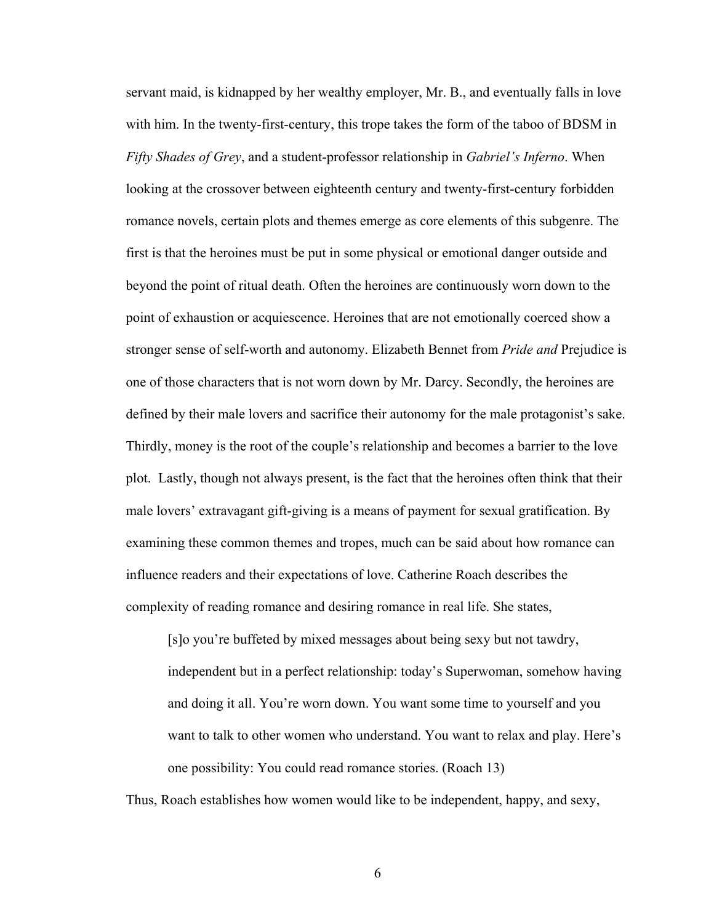servant maid, is kidnapped by her wealthy employer, Mr. B., and eventually falls in love with him. In the twenty-first-century, this trope takes the form of the taboo of BDSM in *Fifty Shades of Grey*, and a student-professor relationship in *Gabriel's Inferno*. When looking at the crossover between eighteenth century and twenty-first-century forbidden romance novels, certain plots and themes emerge as core elements of this subgenre. The first is that the heroines must be put in some physical or emotional danger outside and beyond the point of ritual death. Often the heroines are continuously worn down to the point of exhaustion or acquiescence. Heroines that are not emotionally coerced show a stronger sense of self-worth and autonomy. Elizabeth Bennet from *Pride and* Prejudice is one of those characters that is not worn down by Mr. Darcy. Secondly, the heroines are defined by their male lovers and sacrifice their autonomy for the male protagonist's sake. Thirdly, money is the root of the couple's relationship and becomes a barrier to the love plot. Lastly, though not always present, is the fact that the heroines often think that their male lovers' extravagant gift-giving is a means of payment for sexual gratification. By examining these common themes and tropes, much can be said about how romance can influence readers and their expectations of love. Catherine Roach describes the complexity of reading romance and desiring romance in real life. She states,

[s]o you're buffeted by mixed messages about being sexy but not tawdry, independent but in a perfect relationship: today's Superwoman, somehow having and doing it all. You're worn down. You want some time to yourself and you want to talk to other women who understand. You want to relax and play. Here's one possibility: You could read romance stories. (Roach 13)

Thus, Roach establishes how women would like to be independent, happy, and sexy,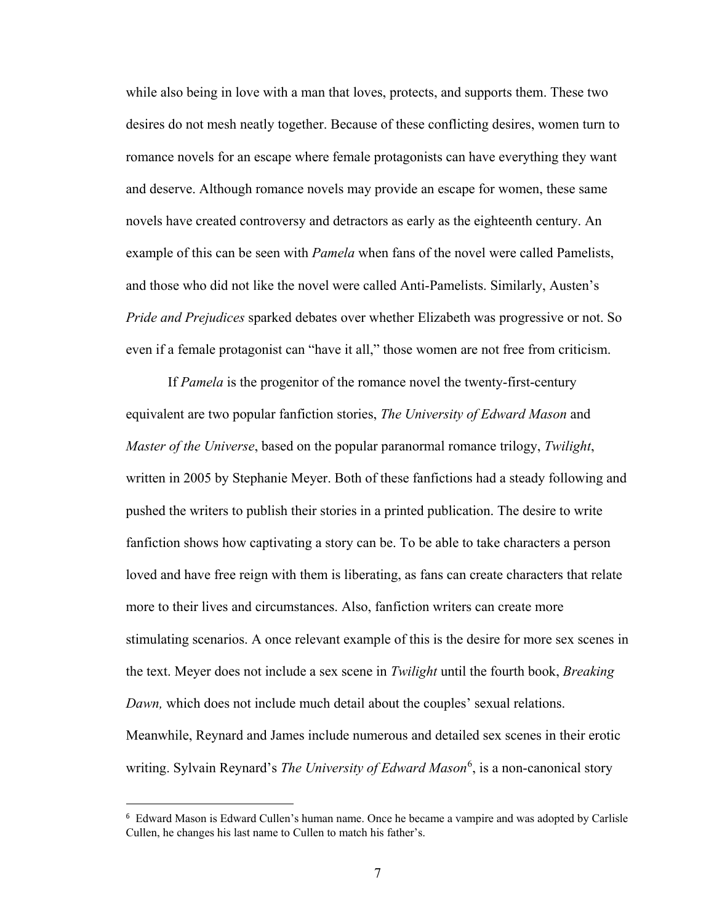while also being in love with a man that loves, protects, and supports them. These two desires do not mesh neatly together. Because of these conflicting desires, women turn to romance novels for an escape where female protagonists can have everything they want and deserve. Although romance novels may provide an escape for women, these same novels have created controversy and detractors as early as the eighteenth century. An example of this can be seen with *Pamela* when fans of the novel were called Pamelists, and those who did not like the novel were called Anti-Pamelists. Similarly, Austen's *Pride and Prejudices* sparked debates over whether Elizabeth was progressive or not. So even if a female protagonist can "have it all," those women are not free from criticism.

If *Pamela* is the progenitor of the romance novel the twenty-first-century equivalent are two popular fanfiction stories, *The University of Edward Mason* and *Master of the Universe*, based on the popular paranormal romance trilogy, *Twilight*, written in 2005 by Stephanie Meyer. Both of these fanfictions had a steady following and pushed the writers to publish their stories in a printed publication. The desire to write fanfiction shows how captivating a story can be. To be able to take characters a person loved and have free reign with them is liberating, as fans can create characters that relate more to their lives and circumstances. Also, fanfiction writers can create more stimulating scenarios. A once relevant example of this is the desire for more sex scenes in the text. Meyer does not include a sex scene in *Twilight* until the fourth book, *Breaking Dawn,* which does not include much detail about the couples' sexual relations. Meanwhile, Reynard and James include numerous and detailed sex scenes in their erotic writing. Sylvain Reynard's *The University of Edward Mason*<sup>[6](#page-12-0)</sup>, is a non-canonical story

<span id="page-12-0"></span><sup>6</sup> Edward Mason is Edward Cullen's human name. Once he became a vampire and was adopted by Carlisle Cullen, he changes his last name to Cullen to match his father's.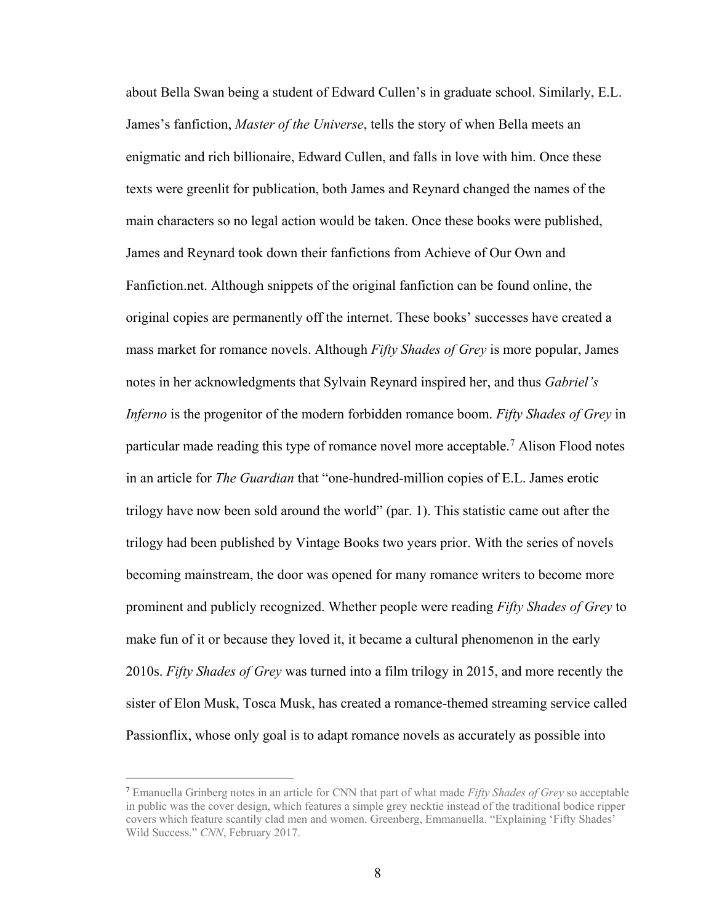about Bella Swan being a student of Edward Cullen's in graduate school. Similarly, E.L. James's fanfiction, *Master of the Universe*, tells the story of when Bella meets an enigmatic and rich billionaire, Edward Cullen, and falls in love with him. Once these texts were greenlit for publication, both James and Reynard changed the names of the main characters so no legal action would be taken. Once these books were published, James and Reynard took down their fanfictions from Achieve of Our Own and Fanfiction.net. Although snippets of the original fanfiction can be found online, the original copies are permanently off the internet. These books' successes have created a mass market for romance novels. Although *Fifty Shades of Grey* is more popular, James notes in her acknowledgments that Sylvain Reynard inspired her, and thus *Gabriel's Inferno* is the progenitor of the modern forbidden romance boom. *Fifty Shades of Grey* in particular made reading this type of romance novel more acceptable.<sup>[7](#page-13-0)</sup> Alison Flood notes in an article for *The Guardian* that "one-hundred-million copies of E.L. James erotic trilogy have now been sold around the world" (par. 1). This statistic came out after the trilogy had been published by Vintage Books two years prior. With the series of novels becoming mainstream, the door was opened for many romance writers to become more prominent and publicly recognized. Whether people were reading *Fifty Shades of Grey* to make fun of it or because they loved it, it became a cultural phenomenon in the early 2010s. *Fifty Shades of Grey* was turned into a film trilogy in 2015, and more recently the sister of Elon Musk, Tosca Musk, has created a romance-themed streaming service called Passionflix, whose only goal is to adapt romance novels as accurately as possible into

<span id="page-13-0"></span><sup>7</sup> Emanuella Grinberg notes in an article for CNN that part of what made *Fifty Shades of Grey* so acceptable in public was the cover design, which features a simple grey necktie instead of the traditional bodice ripper covers which feature scantily clad men and women. Greenberg, Emmanuella. "Explaining 'Fifty Shades' Wild Success." *CNN*, February 2017.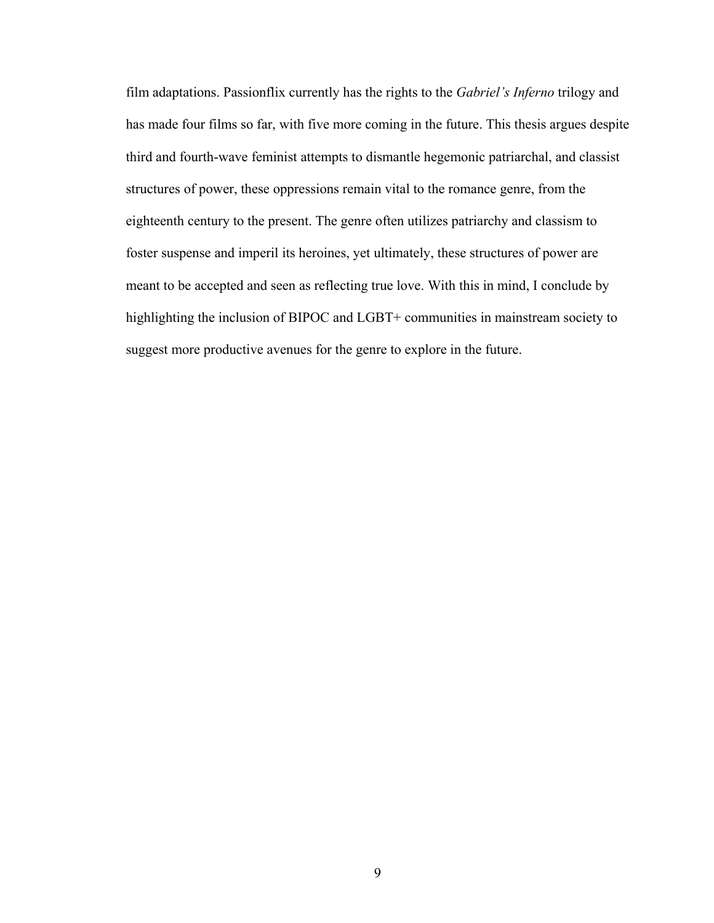film adaptations. Passionflix currently has the rights to the *Gabriel's Inferno* trilogy and has made four films so far, with five more coming in the future. This thesis argues despite third and fourth-wave feminist attempts to dismantle hegemonic patriarchal, and classist structures of power, these oppressions remain vital to the romance genre, from the eighteenth century to the present. The genre often utilizes patriarchy and classism to foster suspense and imperil its heroines, yet ultimately, these structures of power are meant to be accepted and seen as reflecting true love. With this in mind, I conclude by highlighting the inclusion of BIPOC and LGBT+ communities in mainstream society to suggest more productive avenues for the genre to explore in the future.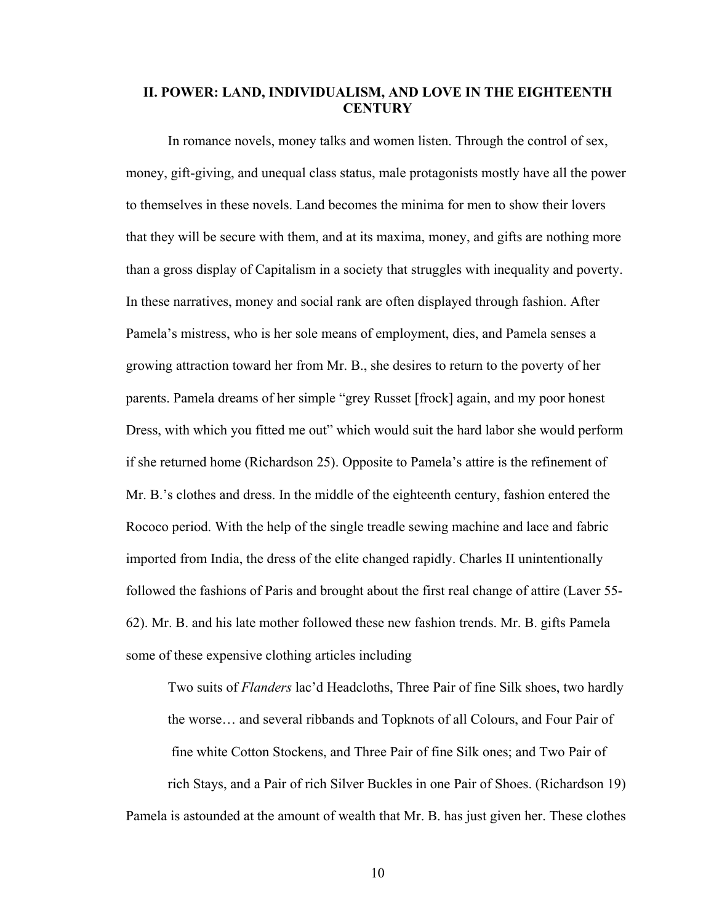### **II. POWER: LAND, INDIVIDUALISM, AND LOVE IN THE EIGHTEENTH CENTURY**

In romance novels, money talks and women listen. Through the control of sex, money, gift-giving, and unequal class status, male protagonists mostly have all the power to themselves in these novels. Land becomes the minima for men to show their lovers that they will be secure with them, and at its maxima, money, and gifts are nothing more than a gross display of Capitalism in a society that struggles with inequality and poverty. In these narratives, money and social rank are often displayed through fashion. After Pamela's mistress, who is her sole means of employment, dies, and Pamela senses a growing attraction toward her from Mr. B., she desires to return to the poverty of her parents. Pamela dreams of her simple "grey Russet [frock] again, and my poor honest Dress, with which you fitted me out" which would suit the hard labor she would perform if she returned home (Richardson 25). Opposite to Pamela's attire is the refinement of Mr. B.'s clothes and dress. In the middle of the eighteenth century, fashion entered the Rococo period. With the help of the single treadle sewing machine and lace and fabric imported from India, the dress of the elite changed rapidly. Charles II unintentionally followed the fashions of Paris and brought about the first real change of attire (Laver 55- 62). Mr. B. and his late mother followed these new fashion trends. Mr. B. gifts Pamela some of these expensive clothing articles including

Two suits of *Flanders* lac'd Headcloths, Three Pair of fine Silk shoes, two hardly the worse… and several ribbands and Topknots of all Colours, and Four Pair of fine white Cotton Stockens, and Three Pair of fine Silk ones; and Two Pair of rich Stays, and a Pair of rich Silver Buckles in one Pair of Shoes. (Richardson 19) Pamela is astounded at the amount of wealth that Mr. B. has just given her. These clothes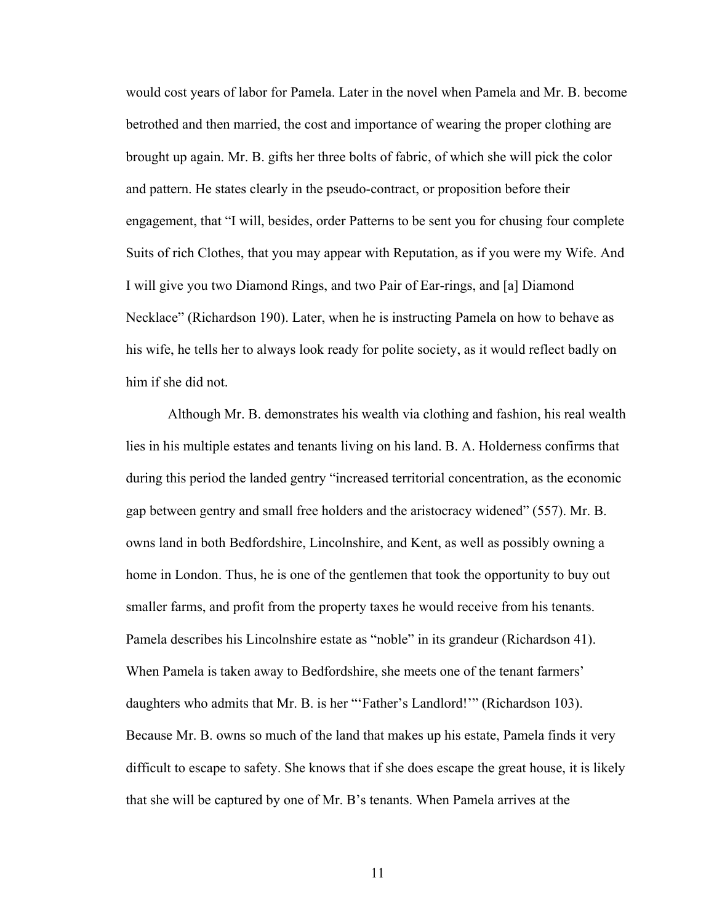would cost years of labor for Pamela. Later in the novel when Pamela and Mr. B. become betrothed and then married, the cost and importance of wearing the proper clothing are brought up again. Mr. B. gifts her three bolts of fabric, of which she will pick the color and pattern. He states clearly in the pseudo-contract, or proposition before their engagement, that "I will, besides, order Patterns to be sent you for chusing four complete Suits of rich Clothes, that you may appear with Reputation, as if you were my Wife. And I will give you two Diamond Rings, and two Pair of Ear-rings, and [a] Diamond Necklace" (Richardson 190). Later, when he is instructing Pamela on how to behave as his wife, he tells her to always look ready for polite society, as it would reflect badly on him if she did not.

 Although Mr. B. demonstrates his wealth via clothing and fashion, his real wealth lies in his multiple estates and tenants living on his land. B. A. Holderness confirms that during this period the landed gentry "increased territorial concentration, as the economic gap between gentry and small free holders and the aristocracy widened" (557). Mr. B. owns land in both Bedfordshire, Lincolnshire, and Kent, as well as possibly owning a home in London. Thus, he is one of the gentlemen that took the opportunity to buy out smaller farms, and profit from the property taxes he would receive from his tenants. Pamela describes his Lincolnshire estate as "noble" in its grandeur (Richardson 41). When Pamela is taken away to Bedfordshire, she meets one of the tenant farmers' daughters who admits that Mr. B. is her "'Father's Landlord!'" (Richardson 103). Because Mr. B. owns so much of the land that makes up his estate, Pamela finds it very difficult to escape to safety. She knows that if she does escape the great house, it is likely that she will be captured by one of Mr. B's tenants. When Pamela arrives at the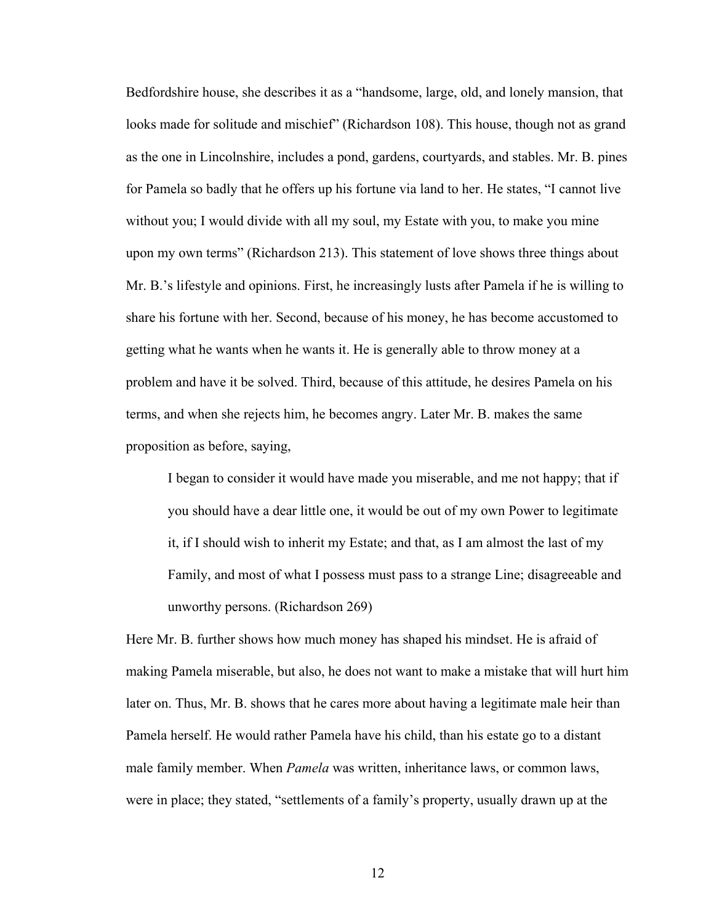Bedfordshire house, she describes it as a "handsome, large, old, and lonely mansion, that looks made for solitude and mischief" (Richardson 108). This house, though not as grand as the one in Lincolnshire, includes a pond, gardens, courtyards, and stables. Mr. B. pines for Pamela so badly that he offers up his fortune via land to her. He states, "I cannot live without you; I would divide with all my soul, my Estate with you, to make you mine upon my own terms" (Richardson 213). This statement of love shows three things about Mr. B.'s lifestyle and opinions. First, he increasingly lusts after Pamela if he is willing to share his fortune with her. Second, because of his money, he has become accustomed to getting what he wants when he wants it. He is generally able to throw money at a problem and have it be solved. Third, because of this attitude, he desires Pamela on his terms, and when she rejects him, he becomes angry. Later Mr. B. makes the same proposition as before, saying,

I began to consider it would have made you miserable, and me not happy; that if you should have a dear little one, it would be out of my own Power to legitimate it, if I should wish to inherit my Estate; and that, as I am almost the last of my Family, and most of what I possess must pass to a strange Line; disagreeable and unworthy persons. (Richardson 269)

Here Mr. B. further shows how much money has shaped his mindset. He is afraid of making Pamela miserable, but also, he does not want to make a mistake that will hurt him later on. Thus, Mr. B. shows that he cares more about having a legitimate male heir than Pamela herself. He would rather Pamela have his child, than his estate go to a distant male family member. When *Pamela* was written, inheritance laws, or common laws, were in place; they stated, "settlements of a family's property, usually drawn up at the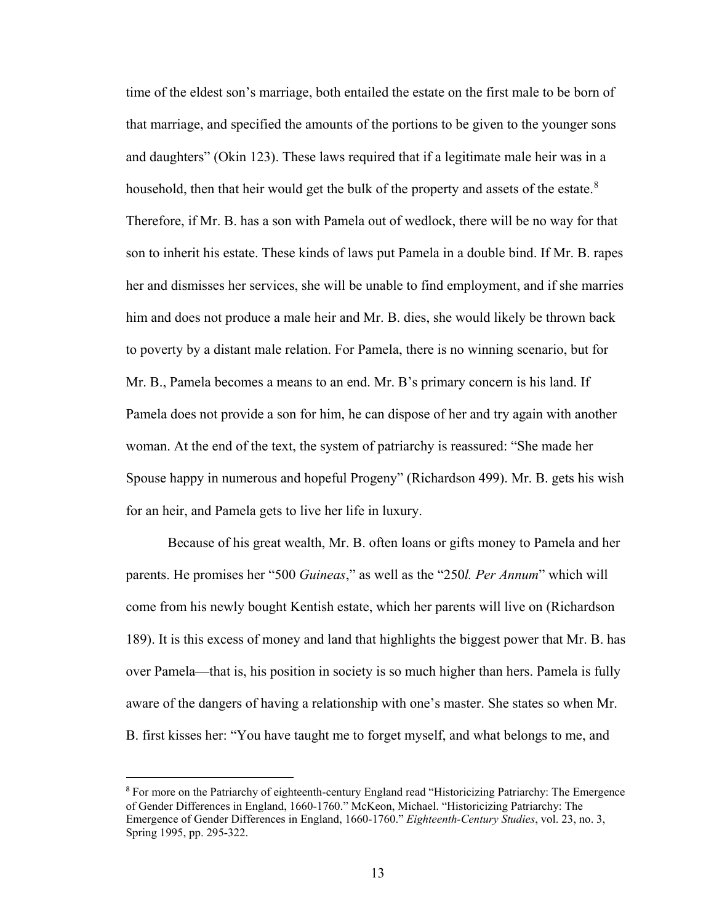time of the eldest son's marriage, both entailed the estate on the first male to be born of that marriage, and specified the amounts of the portions to be given to the younger sons and daughters" (Okin 123). These laws required that if a legitimate male heir was in a household, then that heir would get the bulk of the property and assets of the estate. $8$ Therefore, if Mr. B. has a son with Pamela out of wedlock, there will be no way for that son to inherit his estate. These kinds of laws put Pamela in a double bind. If Mr. B. rapes her and dismisses her services, she will be unable to find employment, and if she marries him and does not produce a male heir and Mr. B. dies, she would likely be thrown back to poverty by a distant male relation. For Pamela, there is no winning scenario, but for Mr. B., Pamela becomes a means to an end. Mr. B's primary concern is his land. If Pamela does not provide a son for him, he can dispose of her and try again with another woman. At the end of the text, the system of patriarchy is reassured: "She made her Spouse happy in numerous and hopeful Progeny" (Richardson 499). Mr. B. gets his wish for an heir, and Pamela gets to live her life in luxury.

Because of his great wealth, Mr. B. often loans or gifts money to Pamela and her parents. He promises her "500 *Guineas*," as well as the "250*l. Per Annum*" which will come from his newly bought Kentish estate, which her parents will live on (Richardson 189). It is this excess of money and land that highlights the biggest power that Mr. B. has over Pamela—that is, his position in society is so much higher than hers. Pamela is fully aware of the dangers of having a relationship with one's master. She states so when Mr. B. first kisses her: "You have taught me to forget myself, and what belongs to me, and

<span id="page-18-0"></span><sup>8</sup> For more on the Patriarchy of eighteenth-century England read "Historicizing Patriarchy: The Emergence of Gender Differences in England, 1660-1760." McKeon, Michael. "Historicizing Patriarchy: The Emergence of Gender Differences in England, 1660-1760." *Eighteenth-Century Studies*, vol. 23, no. 3, Spring 1995, pp. 295-322.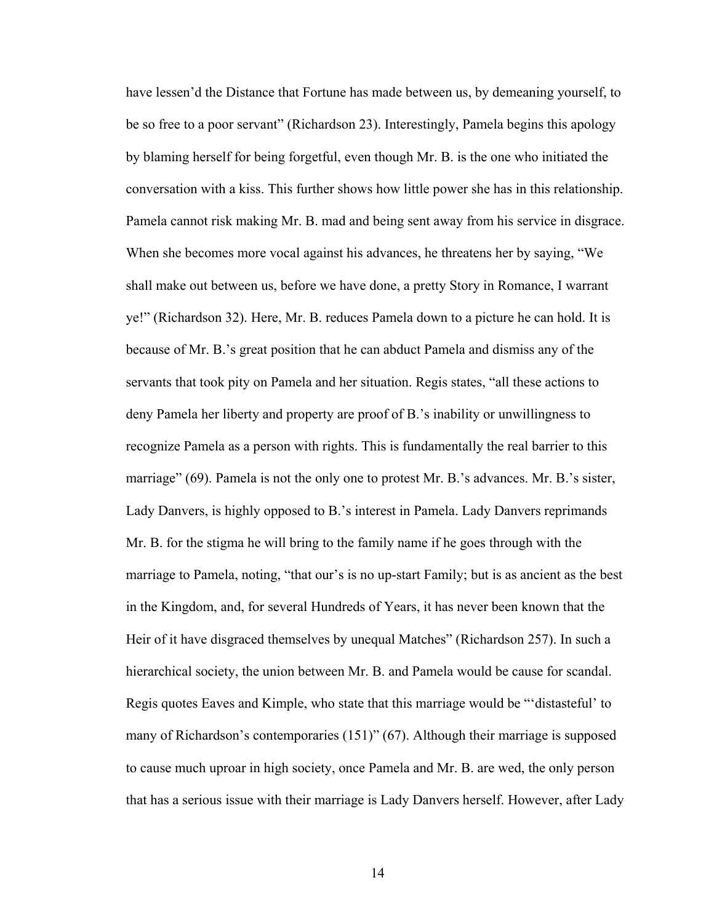have lessen'd the Distance that Fortune has made between us, by demeaning yourself, to be so free to a poor servant" (Richardson 23). Interestingly, Pamela begins this apology by blaming herself for being forgetful, even though Mr. B. is the one who initiated the conversation with a kiss. This further shows how little power she has in this relationship. Pamela cannot risk making Mr. B. mad and being sent away from his service in disgrace. When she becomes more vocal against his advances, he threatens her by saying, "We shall make out between us, before we have done, a pretty Story in Romance, I warrant ye!" (Richardson 32). Here, Mr. B. reduces Pamela down to a picture he can hold. It is because of Mr. B.'s great position that he can abduct Pamela and dismiss any of the servants that took pity on Pamela and her situation. Regis states, "all these actions to deny Pamela her liberty and property are proof of B.'s inability or unwillingness to recognize Pamela as a person with rights. This is fundamentally the real barrier to this marriage" (69). Pamela is not the only one to protest Mr. B.'s advances. Mr. B.'s sister, Lady Danvers, is highly opposed to B.'s interest in Pamela. Lady Danvers reprimands Mr. B. for the stigma he will bring to the family name if he goes through with the marriage to Pamela, noting, "that our's is no up-start Family; but is as ancient as the best in the Kingdom, and, for several Hundreds of Years, it has never been known that the Heir of it have disgraced themselves by unequal Matches" (Richardson 257). In such a hierarchical society, the union between Mr. B. and Pamela would be cause for scandal. Regis quotes Eaves and Kimple, who state that this marriage would be "'distasteful' to many of Richardson's contemporaries (151)" (67). Although their marriage is supposed to cause much uproar in high society, once Pamela and Mr. B. are wed, the only person that has a serious issue with their marriage is Lady Danvers herself. However, after Lady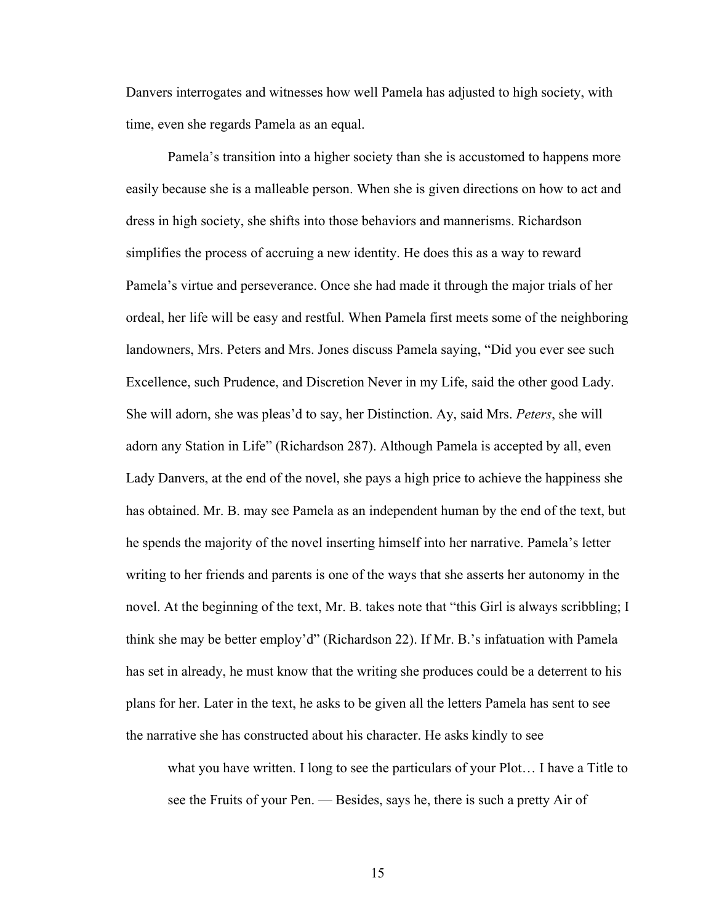Danvers interrogates and witnesses how well Pamela has adjusted to high society, with time, even she regards Pamela as an equal.

Pamela's transition into a higher society than she is accustomed to happens more easily because she is a malleable person. When she is given directions on how to act and dress in high society, she shifts into those behaviors and mannerisms. Richardson simplifies the process of accruing a new identity. He does this as a way to reward Pamela's virtue and perseverance. Once she had made it through the major trials of her ordeal, her life will be easy and restful. When Pamela first meets some of the neighboring landowners, Mrs. Peters and Mrs. Jones discuss Pamela saying, "Did you ever see such Excellence, such Prudence, and Discretion Never in my Life, said the other good Lady. She will adorn, she was pleas'd to say, her Distinction. Ay, said Mrs. *Peters*, she will adorn any Station in Life" (Richardson 287). Although Pamela is accepted by all, even Lady Danvers, at the end of the novel, she pays a high price to achieve the happiness she has obtained. Mr. B. may see Pamela as an independent human by the end of the text, but he spends the majority of the novel inserting himself into her narrative. Pamela's letter writing to her friends and parents is one of the ways that she asserts her autonomy in the novel. At the beginning of the text, Mr. B. takes note that "this Girl is always scribbling; I think she may be better employ'd" (Richardson 22). If Mr. B.'s infatuation with Pamela has set in already, he must know that the writing she produces could be a deterrent to his plans for her. Later in the text, he asks to be given all the letters Pamela has sent to see the narrative she has constructed about his character. He asks kindly to see

what you have written. I long to see the particulars of your Plot… I have a Title to see the Fruits of your Pen. — Besides, says he, there is such a pretty Air of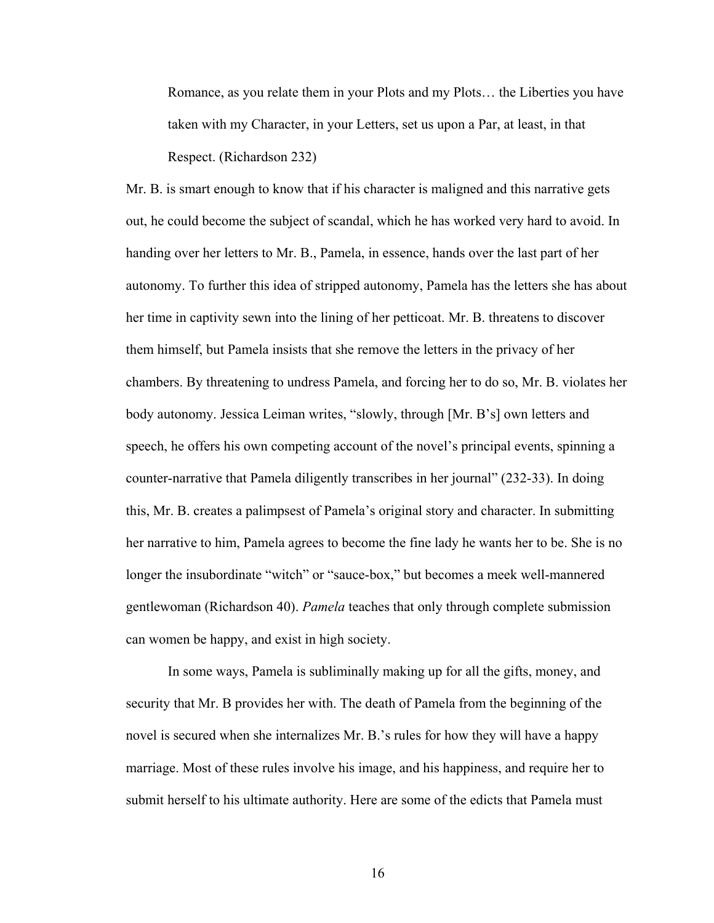Romance, as you relate them in your Plots and my Plots… the Liberties you have taken with my Character, in your Letters, set us upon a Par, at least, in that Respect. (Richardson 232)

Mr. B. is smart enough to know that if his character is maligned and this narrative gets out, he could become the subject of scandal, which he has worked very hard to avoid. In handing over her letters to Mr. B., Pamela, in essence, hands over the last part of her autonomy. To further this idea of stripped autonomy, Pamela has the letters she has about her time in captivity sewn into the lining of her petticoat. Mr. B. threatens to discover them himself, but Pamela insists that she remove the letters in the privacy of her chambers. By threatening to undress Pamela, and forcing her to do so, Mr. B. violates her body autonomy. Jessica Leiman writes, "slowly, through [Mr. B's] own letters and speech, he offers his own competing account of the novel's principal events, spinning a counter-narrative that Pamela diligently transcribes in her journal" (232-33). In doing this, Mr. B. creates a palimpsest of Pamela's original story and character. In submitting her narrative to him, Pamela agrees to become the fine lady he wants her to be. She is no longer the insubordinate "witch" or "sauce-box," but becomes a meek well-mannered gentlewoman (Richardson 40). *Pamela* teaches that only through complete submission can women be happy, and exist in high society.

In some ways, Pamela is subliminally making up for all the gifts, money, and security that Mr. B provides her with. The death of Pamela from the beginning of the novel is secured when she internalizes Mr. B.'s rules for how they will have a happy marriage. Most of these rules involve his image, and his happiness, and require her to submit herself to his ultimate authority. Here are some of the edicts that Pamela must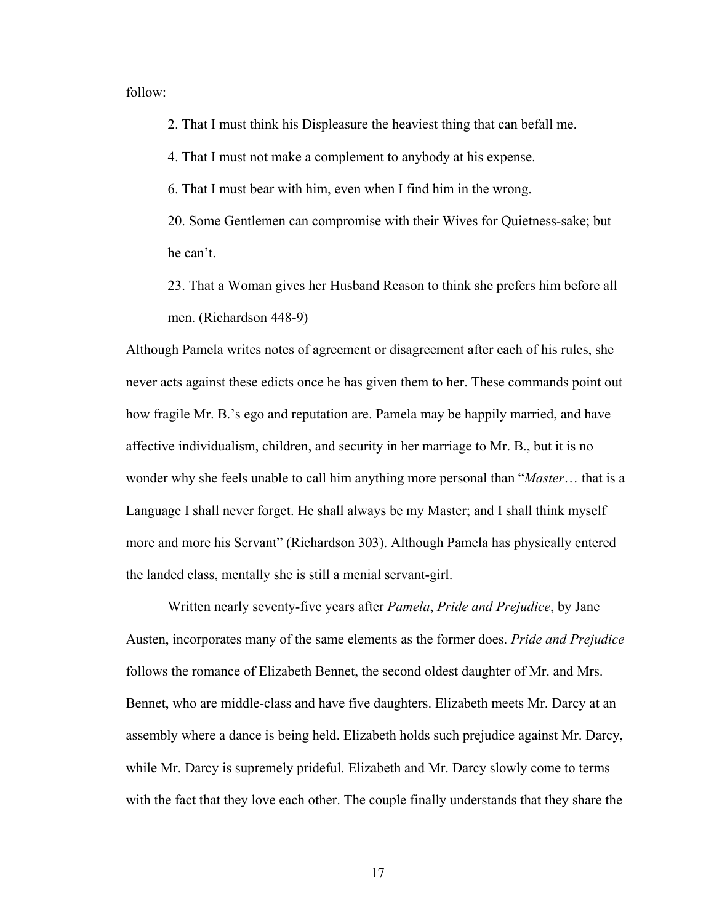follow:

2. That I must think his Displeasure the heaviest thing that can befall me.

4. That I must not make a complement to anybody at his expense.

6. That I must bear with him, even when I find him in the wrong.

20. Some Gentlemen can compromise with their Wives for Quietness-sake; but he can't.

23. That a Woman gives her Husband Reason to think she prefers him before all men. (Richardson 448-9)

Although Pamela writes notes of agreement or disagreement after each of his rules, she never acts against these edicts once he has given them to her. These commands point out how fragile Mr. B.'s ego and reputation are. Pamela may be happily married, and have affective individualism, children, and security in her marriage to Mr. B., but it is no wonder why she feels unable to call him anything more personal than "*Master*… that is a Language I shall never forget. He shall always be my Master; and I shall think myself more and more his Servant" (Richardson 303). Although Pamela has physically entered the landed class, mentally she is still a menial servant-girl.

Written nearly seventy-five years after *Pamela*, *Pride and Prejudice*, by Jane Austen, incorporates many of the same elements as the former does. *Pride and Prejudice*  follows the romance of Elizabeth Bennet, the second oldest daughter of Mr. and Mrs. Bennet, who are middle-class and have five daughters. Elizabeth meets Mr. Darcy at an assembly where a dance is being held. Elizabeth holds such prejudice against Mr. Darcy, while Mr. Darcy is supremely prideful. Elizabeth and Mr. Darcy slowly come to terms with the fact that they love each other. The couple finally understands that they share the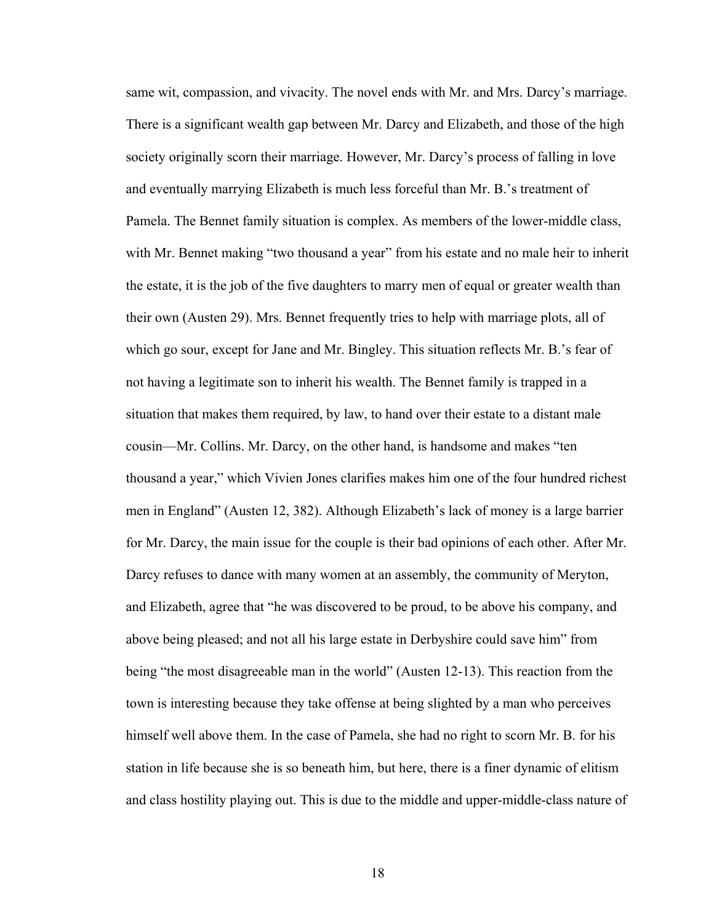same wit, compassion, and vivacity. The novel ends with Mr. and Mrs. Darcy's marriage. There is a significant wealth gap between Mr. Darcy and Elizabeth, and those of the high society originally scorn their marriage. However, Mr. Darcy's process of falling in love and eventually marrying Elizabeth is much less forceful than Mr. B.'s treatment of Pamela. The Bennet family situation is complex. As members of the lower-middle class, with Mr. Bennet making "two thousand a year" from his estate and no male heir to inherit the estate, it is the job of the five daughters to marry men of equal or greater wealth than their own (Austen 29). Mrs. Bennet frequently tries to help with marriage plots, all of which go sour, except for Jane and Mr. Bingley. This situation reflects Mr. B.'s fear of not having a legitimate son to inherit his wealth. The Bennet family is trapped in a situation that makes them required, by law, to hand over their estate to a distant male cousin—Mr. Collins. Mr. Darcy, on the other hand, is handsome and makes "ten thousand a year," which Vivien Jones clarifies makes him one of the four hundred richest men in England" (Austen 12, 382). Although Elizabeth's lack of money is a large barrier for Mr. Darcy, the main issue for the couple is their bad opinions of each other. After Mr. Darcy refuses to dance with many women at an assembly, the community of Meryton, and Elizabeth, agree that "he was discovered to be proud, to be above his company, and above being pleased; and not all his large estate in Derbyshire could save him" from being "the most disagreeable man in the world" (Austen 12-13). This reaction from the town is interesting because they take offense at being slighted by a man who perceives himself well above them. In the case of Pamela, she had no right to scorn Mr. B. for his station in life because she is so beneath him, but here, there is a finer dynamic of elitism and class hostility playing out. This is due to the middle and upper-middle-class nature of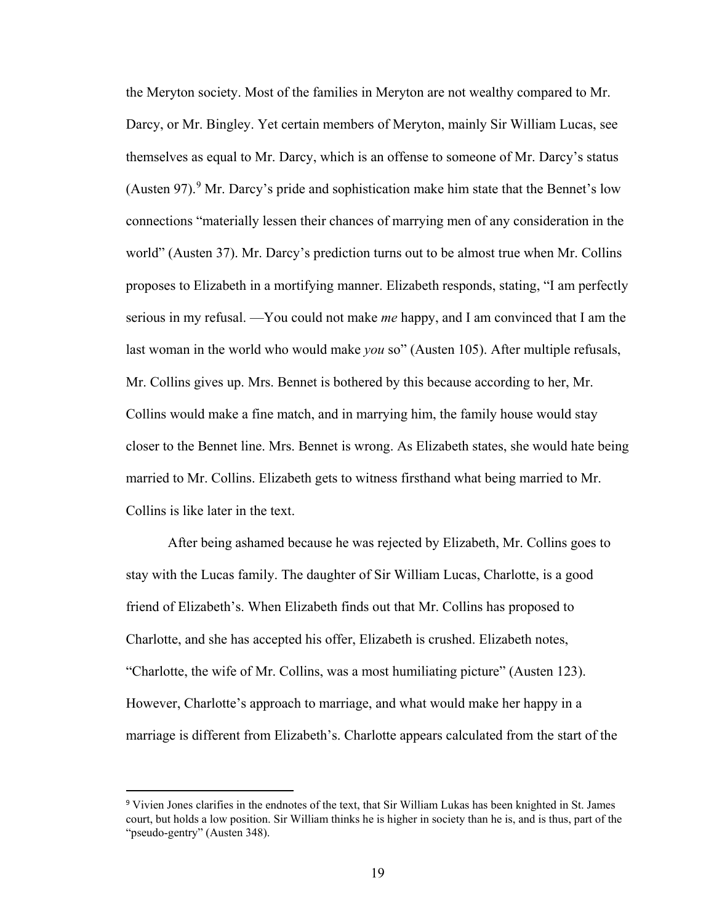the Meryton society. Most of the families in Meryton are not wealthy compared to Mr. Darcy, or Mr. Bingley. Yet certain members of Meryton, mainly Sir William Lucas, see themselves as equal to Mr. Darcy, which is an offense to someone of Mr. Darcy's status (Austen [9](#page-24-0)7). <sup>9</sup> Mr. Darcy's pride and sophistication make him state that the Bennet's low connections "materially lessen their chances of marrying men of any consideration in the world" (Austen 37). Mr. Darcy's prediction turns out to be almost true when Mr. Collins proposes to Elizabeth in a mortifying manner. Elizabeth responds, stating, "I am perfectly serious in my refusal. —You could not make *me* happy, and I am convinced that I am the last woman in the world who would make *you* so" (Austen 105). After multiple refusals, Mr. Collins gives up. Mrs. Bennet is bothered by this because according to her, Mr. Collins would make a fine match, and in marrying him, the family house would stay closer to the Bennet line. Mrs. Bennet is wrong. As Elizabeth states, she would hate being married to Mr. Collins. Elizabeth gets to witness firsthand what being married to Mr. Collins is like later in the text.

After being ashamed because he was rejected by Elizabeth, Mr. Collins goes to stay with the Lucas family. The daughter of Sir William Lucas, Charlotte, is a good friend of Elizabeth's. When Elizabeth finds out that Mr. Collins has proposed to Charlotte, and she has accepted his offer, Elizabeth is crushed. Elizabeth notes, "Charlotte, the wife of Mr. Collins, was a most humiliating picture" (Austen 123). However, Charlotte's approach to marriage, and what would make her happy in a marriage is different from Elizabeth's. Charlotte appears calculated from the start of the

<span id="page-24-0"></span><sup>9</sup> Vivien Jones clarifies in the endnotes of the text, that Sir William Lukas has been knighted in St. James court, but holds a low position. Sir William thinks he is higher in society than he is, and is thus, part of the "pseudo-gentry" (Austen 348).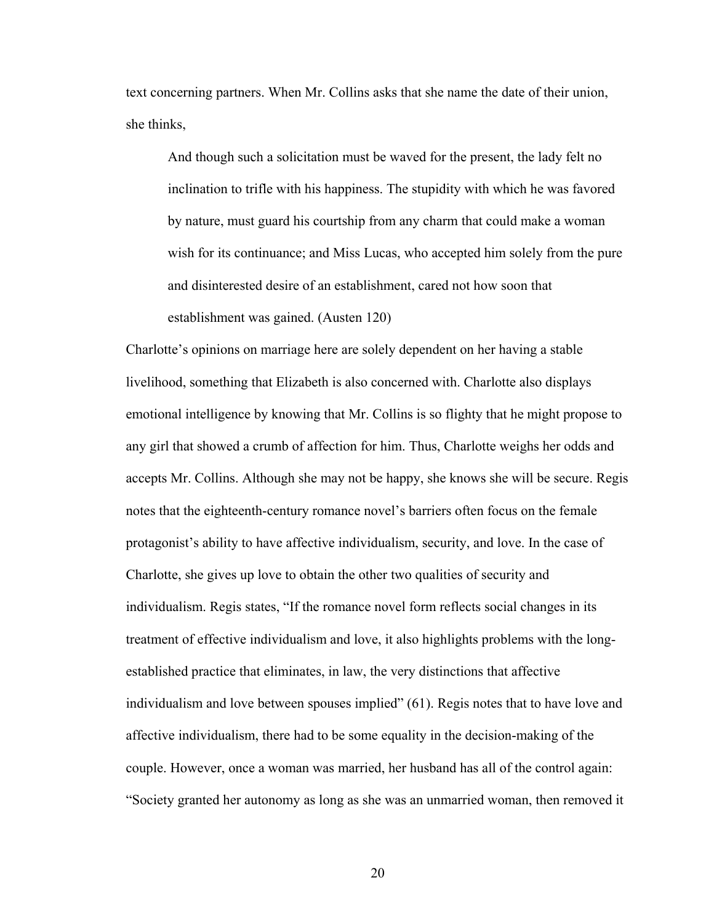text concerning partners. When Mr. Collins asks that she name the date of their union, she thinks,

 And though such a solicitation must be waved for the present, the lady felt no inclination to trifle with his happiness. The stupidity with which he was favored by nature, must guard his courtship from any charm that could make a woman wish for its continuance; and Miss Lucas, who accepted him solely from the pure and disinterested desire of an establishment, cared not how soon that establishment was gained. (Austen 120)

Charlotte's opinions on marriage here are solely dependent on her having a stable livelihood, something that Elizabeth is also concerned with. Charlotte also displays emotional intelligence by knowing that Mr. Collins is so flighty that he might propose to any girl that showed a crumb of affection for him. Thus, Charlotte weighs her odds and accepts Mr. Collins. Although she may not be happy, she knows she will be secure. Regis notes that the eighteenth-century romance novel's barriers often focus on the female protagonist's ability to have affective individualism, security, and love. In the case of Charlotte, she gives up love to obtain the other two qualities of security and individualism. Regis states, "If the romance novel form reflects social changes in its treatment of effective individualism and love, it also highlights problems with the longestablished practice that eliminates, in law, the very distinctions that affective individualism and love between spouses implied" (61). Regis notes that to have love and affective individualism, there had to be some equality in the decision-making of the couple. However, once a woman was married, her husband has all of the control again: "Society granted her autonomy as long as she was an unmarried woman, then removed it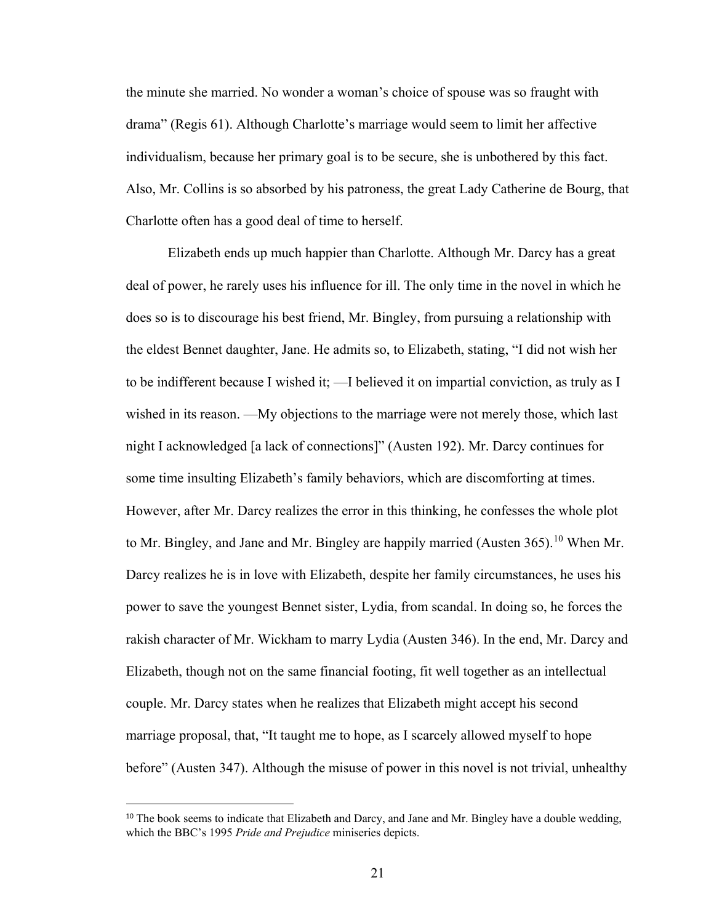the minute she married. No wonder a woman's choice of spouse was so fraught with drama" (Regis 61). Although Charlotte's marriage would seem to limit her affective individualism, because her primary goal is to be secure, she is unbothered by this fact. Also, Mr. Collins is so absorbed by his patroness, the great Lady Catherine de Bourg, that Charlotte often has a good deal of time to herself.

 Elizabeth ends up much happier than Charlotte. Although Mr. Darcy has a great deal of power, he rarely uses his influence for ill. The only time in the novel in which he does so is to discourage his best friend, Mr. Bingley, from pursuing a relationship with the eldest Bennet daughter, Jane. He admits so, to Elizabeth, stating, "I did not wish her to be indifferent because I wished it; —I believed it on impartial conviction, as truly as I wished in its reason. —My objections to the marriage were not merely those, which last night I acknowledged [a lack of connections]" (Austen 192). Mr. Darcy continues for some time insulting Elizabeth's family behaviors, which are discomforting at times. However, after Mr. Darcy realizes the error in this thinking, he confesses the whole plot to Mr. Bingley, and Jane and Mr. Bingley are happily married (Austen 365).<sup>[10](#page-26-0)</sup> When Mr. Darcy realizes he is in love with Elizabeth, despite her family circumstances, he uses his power to save the youngest Bennet sister, Lydia, from scandal. In doing so, he forces the rakish character of Mr. Wickham to marry Lydia (Austen 346). In the end, Mr. Darcy and Elizabeth, though not on the same financial footing, fit well together as an intellectual couple. Mr. Darcy states when he realizes that Elizabeth might accept his second marriage proposal, that, "It taught me to hope, as I scarcely allowed myself to hope before" (Austen 347). Although the misuse of power in this novel is not trivial, unhealthy

<span id="page-26-0"></span><sup>&</sup>lt;sup>10</sup> The book seems to indicate that Elizabeth and Darcy, and Jane and Mr. Bingley have a double wedding, which the BBC's 1995 *Pride and Prejudice* miniseries depicts.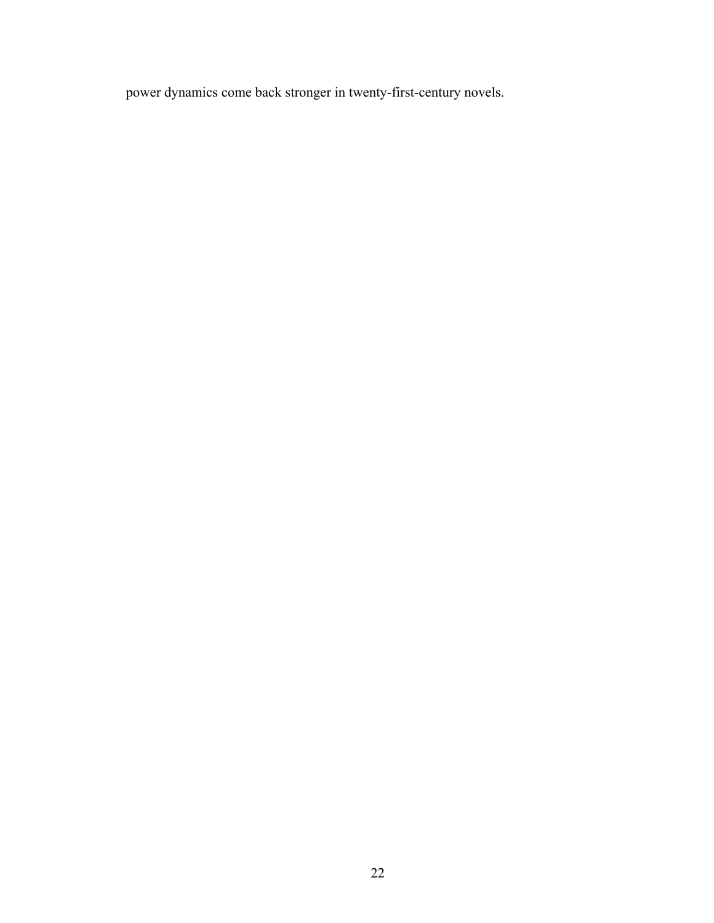power dynamics come back stronger in twenty-first-century novels.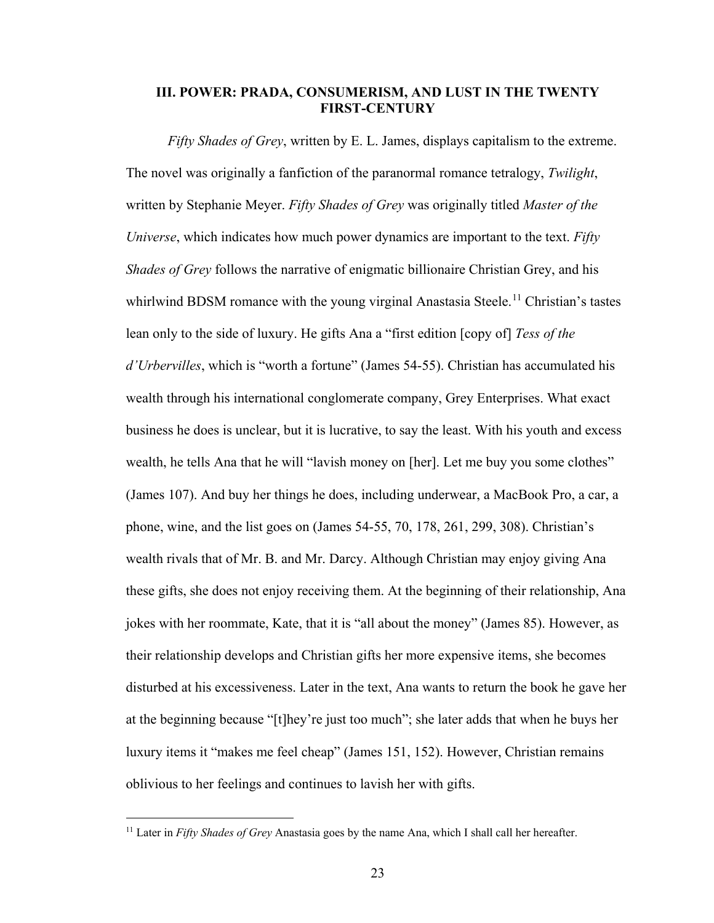### **III. POWER: PRADA, CONSUMERISM, AND LUST IN THE TWENTY FIRST-CENTURY**

*Fifty Shades of Grey*, written by E. L. James, displays capitalism to the extreme. The novel was originally a fanfiction of the paranormal romance tetralogy, *Twilight*, written by Stephanie Meyer. *Fifty Shades of Grey* was originally titled *Master of the Universe*, which indicates how much power dynamics are important to the text. *Fifty Shades of Grey* follows the narrative of enigmatic billionaire Christian Grey, and his whirlwind BDSM romance with the young virginal Anastasia Steele.<sup>[11](#page-28-0)</sup> Christian's tastes lean only to the side of luxury. He gifts Ana a "first edition [copy of] *Tess of the d'Urbervilles*, which is "worth a fortune" (James 54-55). Christian has accumulated his wealth through his international conglomerate company, Grey Enterprises. What exact business he does is unclear, but it is lucrative, to say the least. With his youth and excess wealth, he tells Ana that he will "lavish money on [her]. Let me buy you some clothes" (James 107). And buy her things he does, including underwear, a MacBook Pro, a car, a phone, wine, and the list goes on (James 54-55, 70, 178, 261, 299, 308). Christian's wealth rivals that of Mr. B. and Mr. Darcy. Although Christian may enjoy giving Ana these gifts, she does not enjoy receiving them. At the beginning of their relationship, Ana jokes with her roommate, Kate, that it is "all about the money" (James 85). However, as their relationship develops and Christian gifts her more expensive items, she becomes disturbed at his excessiveness. Later in the text, Ana wants to return the book he gave her at the beginning because "[t]hey're just too much"; she later adds that when he buys her luxury items it "makes me feel cheap" (James 151, 152). However, Christian remains oblivious to her feelings and continues to lavish her with gifts.

<span id="page-28-0"></span><sup>&</sup>lt;sup>11</sup> Later in *Fifty Shades of Grey* Anastasia goes by the name Ana, which I shall call her hereafter.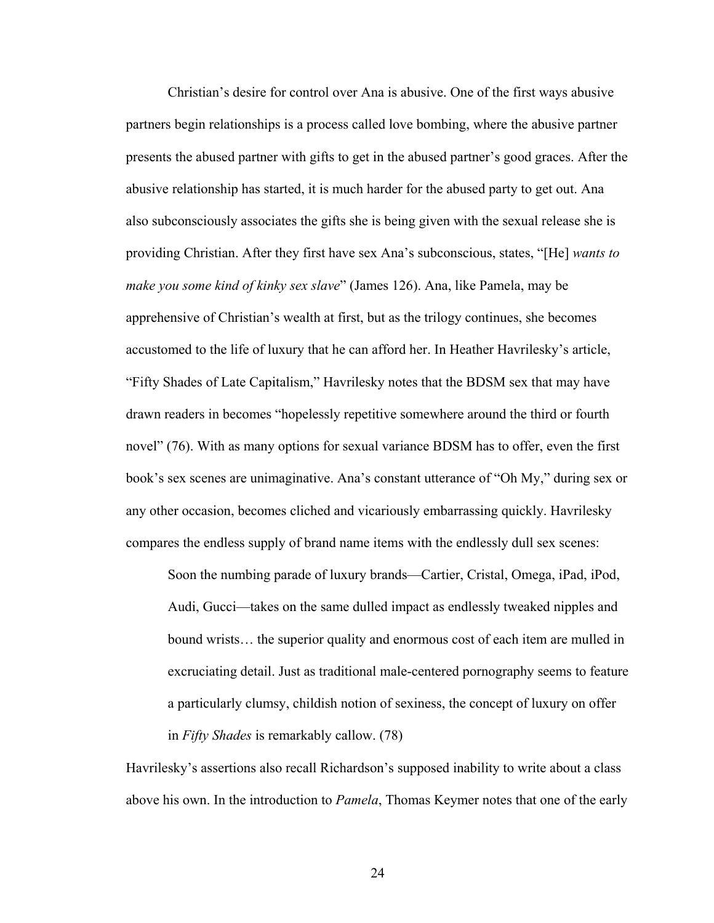Christian's desire for control over Ana is abusive. One of the first ways abusive partners begin relationships is a process called love bombing, where the abusive partner presents the abused partner with gifts to get in the abused partner's good graces. After the abusive relationship has started, it is much harder for the abused party to get out. Ana also subconsciously associates the gifts she is being given with the sexual release she is providing Christian. After they first have sex Ana's subconscious, states, "[He] *wants to make you some kind of kinky sex slave*" (James 126). Ana, like Pamela, may be apprehensive of Christian's wealth at first, but as the trilogy continues, she becomes accustomed to the life of luxury that he can afford her. In Heather Havrilesky's article, "Fifty Shades of Late Capitalism," Havrilesky notes that the BDSM sex that may have drawn readers in becomes "hopelessly repetitive somewhere around the third or fourth novel" (76). With as many options for sexual variance BDSM has to offer, even the first book's sex scenes are unimaginative. Ana's constant utterance of "Oh My," during sex or any other occasion, becomes cliched and vicariously embarrassing quickly. Havrilesky compares the endless supply of brand name items with the endlessly dull sex scenes:

 Soon the numbing parade of luxury brands—Cartier, Cristal, Omega, iPad, iPod, Audi, Gucci—takes on the same dulled impact as endlessly tweaked nipples and bound wrists… the superior quality and enormous cost of each item are mulled in excruciating detail. Just as traditional male-centered pornography seems to feature a particularly clumsy, childish notion of sexiness, the concept of luxury on offer in *Fifty Shades* is remarkably callow. (78)

Havrilesky's assertions also recall Richardson's supposed inability to write about a class above his own. In the introduction to *Pamela*, Thomas Keymer notes that one of the early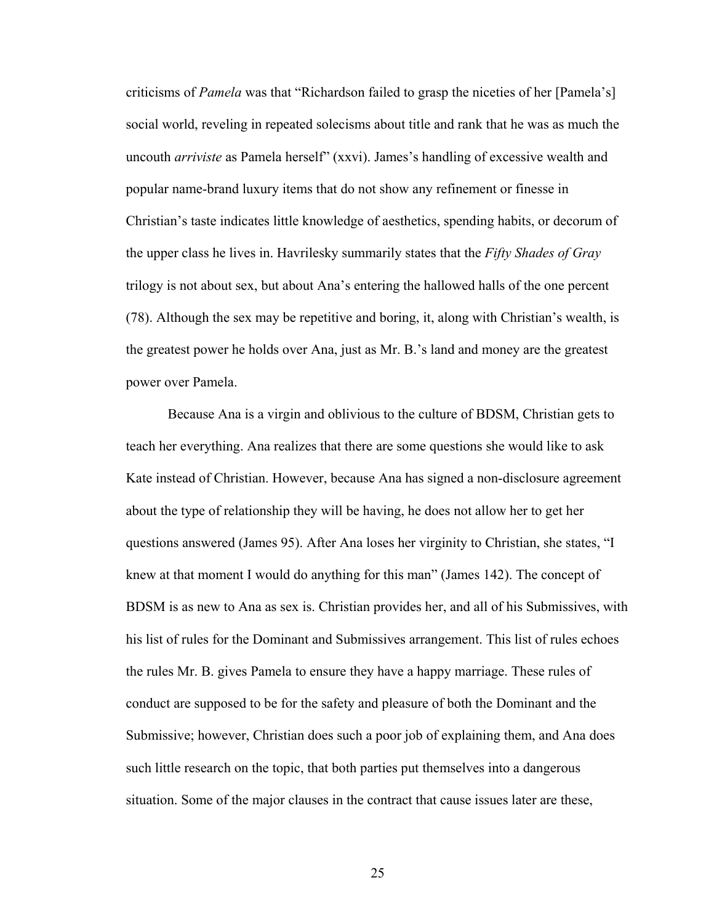criticisms of *Pamela* was that "Richardson failed to grasp the niceties of her [Pamela's] social world, reveling in repeated solecisms about title and rank that he was as much the uncouth *arriviste* as Pamela herself" (xxvi). James's handling of excessive wealth and popular name-brand luxury items that do not show any refinement or finesse in Christian's taste indicates little knowledge of aesthetics, spending habits, or decorum of the upper class he lives in. Havrilesky summarily states that the *Fifty Shades of Gray* trilogy is not about sex, but about Ana's entering the hallowed halls of the one percent (78). Although the sex may be repetitive and boring, it, along with Christian's wealth, is the greatest power he holds over Ana, just as Mr. B.'s land and money are the greatest power over Pamela.

Because Ana is a virgin and oblivious to the culture of BDSM, Christian gets to teach her everything. Ana realizes that there are some questions she would like to ask Kate instead of Christian. However, because Ana has signed a non-disclosure agreement about the type of relationship they will be having, he does not allow her to get her questions answered (James 95). After Ana loses her virginity to Christian, she states, "I knew at that moment I would do anything for this man" (James 142). The concept of BDSM is as new to Ana as sex is. Christian provides her, and all of his Submissives, with his list of rules for the Dominant and Submissives arrangement. This list of rules echoes the rules Mr. B. gives Pamela to ensure they have a happy marriage. These rules of conduct are supposed to be for the safety and pleasure of both the Dominant and the Submissive; however, Christian does such a poor job of explaining them, and Ana does such little research on the topic, that both parties put themselves into a dangerous situation. Some of the major clauses in the contract that cause issues later are these,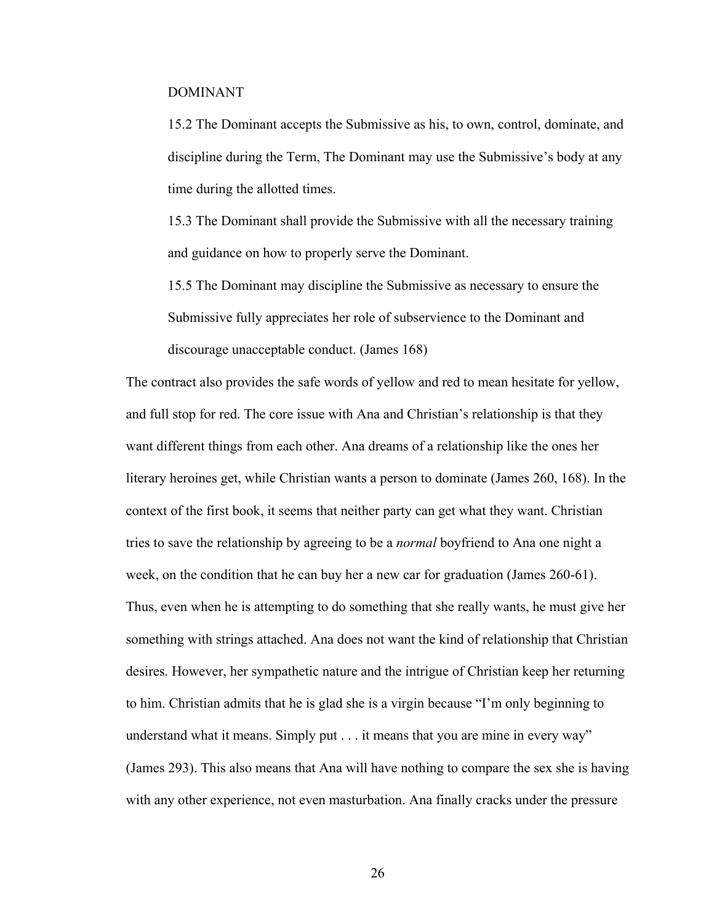#### DOMINANT

15.2 The Dominant accepts the Submissive as his, to own, control, dominate, and discipline during the Term, The Dominant may use the Submissive's body at any time during the allotted times.

15.3 The Dominant shall provide the Submissive with all the necessary training and guidance on how to properly serve the Dominant.

15.5 The Dominant may discipline the Submissive as necessary to ensure the Submissive fully appreciates her role of subservience to the Dominant and discourage unacceptable conduct. (James 168)

The contract also provides the safe words of yellow and red to mean hesitate for yellow, and full stop for red. The core issue with Ana and Christian's relationship is that they want different things from each other. Ana dreams of a relationship like the ones her literary heroines get, while Christian wants a person to dominate (James 260, 168). In the context of the first book, it seems that neither party can get what they want. Christian tries to save the relationship by agreeing to be a *normal* boyfriend to Ana one night a week, on the condition that he can buy her a new car for graduation (James 260-61). Thus, even when he is attempting to do something that she really wants, he must give her something with strings attached. Ana does not want the kind of relationship that Christian desires. However, her sympathetic nature and the intrigue of Christian keep her returning to him. Christian admits that he is glad she is a virgin because "I'm only beginning to understand what it means. Simply put . . . it means that you are mine in every way" (James 293). This also means that Ana will have nothing to compare the sex she is having with any other experience, not even masturbation. Ana finally cracks under the pressure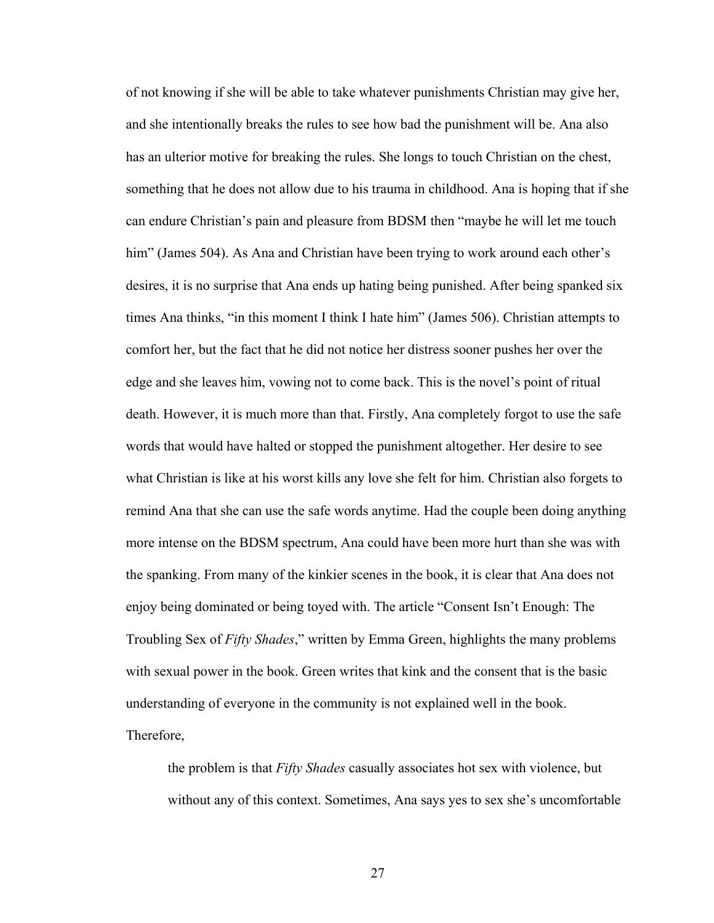of not knowing if she will be able to take whatever punishments Christian may give her, and she intentionally breaks the rules to see how bad the punishment will be. Ana also has an ulterior motive for breaking the rules. She longs to touch Christian on the chest, something that he does not allow due to his trauma in childhood. Ana is hoping that if she can endure Christian's pain and pleasure from BDSM then "maybe he will let me touch him" (James 504). As Ana and Christian have been trying to work around each other's desires, it is no surprise that Ana ends up hating being punished. After being spanked six times Ana thinks, "in this moment I think I hate him" (James 506). Christian attempts to comfort her, but the fact that he did not notice her distress sooner pushes her over the edge and she leaves him, vowing not to come back. This is the novel's point of ritual death. However, it is much more than that. Firstly, Ana completely forgot to use the safe words that would have halted or stopped the punishment altogether. Her desire to see what Christian is like at his worst kills any love she felt for him. Christian also forgets to remind Ana that she can use the safe words anytime. Had the couple been doing anything more intense on the BDSM spectrum, Ana could have been more hurt than she was with the spanking. From many of the kinkier scenes in the book, it is clear that Ana does not enjoy being dominated or being toyed with. The article "Consent Isn't Enough: The Troubling Sex of *Fifty Shades*," written by Emma Green, highlights the many problems with sexual power in the book. Green writes that kink and the consent that is the basic understanding of everyone in the community is not explained well in the book. Therefore,

the problem is that *Fifty Shades* casually associates hot sex with violence, but without any of this context. Sometimes, Ana says yes to sex she's uncomfortable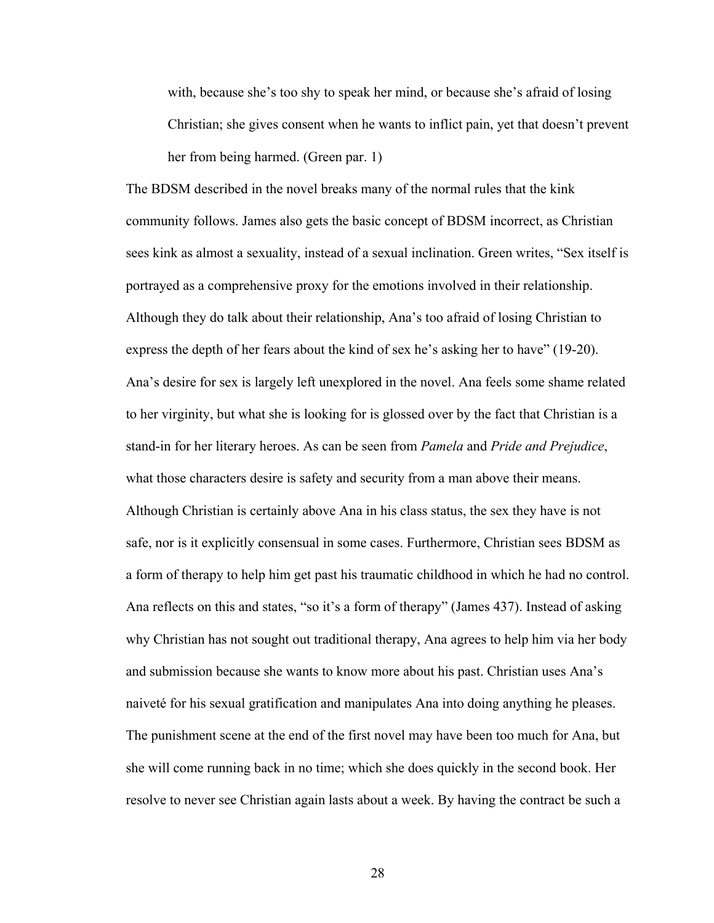with, because she's too shy to speak her mind, or because she's afraid of losing Christian; she gives consent when he wants to inflict pain, yet that doesn't prevent her from being harmed. (Green par. 1)

The BDSM described in the novel breaks many of the normal rules that the kink community follows. James also gets the basic concept of BDSM incorrect, as Christian sees kink as almost a sexuality, instead of a sexual inclination. Green writes, "Sex itself is portrayed as a comprehensive proxy for the emotions involved in their relationship. Although they do talk about their relationship, Ana's too afraid of losing Christian to express the depth of her fears about the kind of sex he's asking her to have" (19-20). Ana's desire for sex is largely left unexplored in the novel. Ana feels some shame related to her virginity, but what she is looking for is glossed over by the fact that Christian is a stand-in for her literary heroes. As can be seen from *Pamela* and *Pride and Prejudice*, what those characters desire is safety and security from a man above their means. Although Christian is certainly above Ana in his class status, the sex they have is not safe, nor is it explicitly consensual in some cases. Furthermore, Christian sees BDSM as a form of therapy to help him get past his traumatic childhood in which he had no control. Ana reflects on this and states, "so it's a form of therapy" (James 437). Instead of asking why Christian has not sought out traditional therapy, Ana agrees to help him via her body and submission because she wants to know more about his past. Christian uses Ana's naiveté for his sexual gratification and manipulates Ana into doing anything he pleases. The punishment scene at the end of the first novel may have been too much for Ana, but she will come running back in no time; which she does quickly in the second book. Her resolve to never see Christian again lasts about a week. By having the contract be such a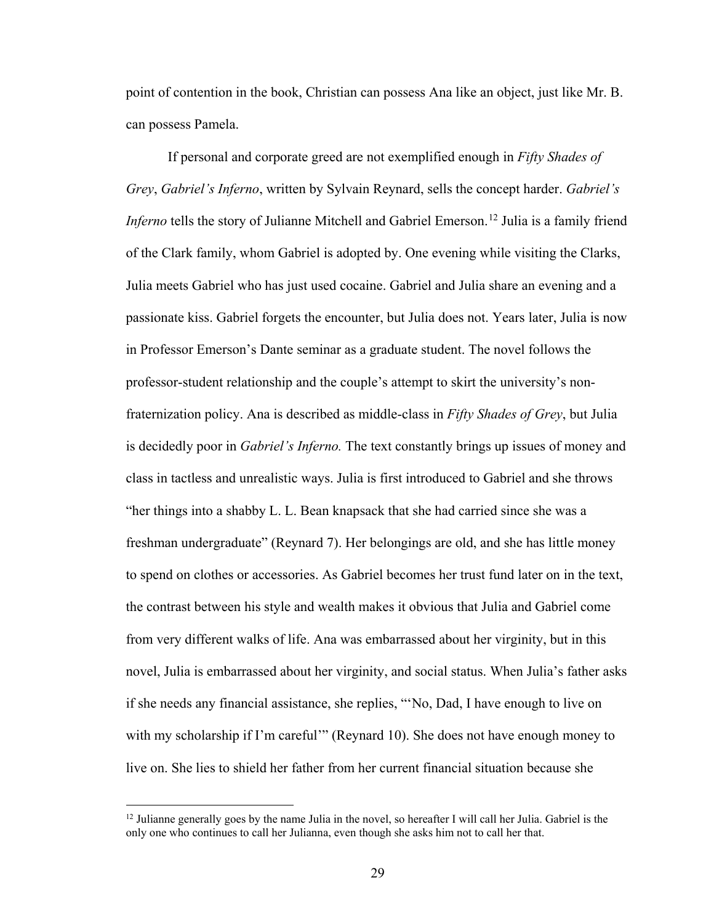point of contention in the book, Christian can possess Ana like an object, just like Mr. B. can possess Pamela.

If personal and corporate greed are not exemplified enough in *Fifty Shades of Grey*, *Gabriel's Inferno*, written by Sylvain Reynard, sells the concept harder. *Gabriel's Inferno* tells the story of Julianne Mitchell and Gabriel Emerson.<sup>[12](#page-34-0)</sup> Julia is a family friend of the Clark family, whom Gabriel is adopted by. One evening while visiting the Clarks, Julia meets Gabriel who has just used cocaine. Gabriel and Julia share an evening and a passionate kiss. Gabriel forgets the encounter, but Julia does not. Years later, Julia is now in Professor Emerson's Dante seminar as a graduate student. The novel follows the professor-student relationship and the couple's attempt to skirt the university's nonfraternization policy. Ana is described as middle-class in *Fifty Shades of Grey*, but Julia is decidedly poor in *Gabriel's Inferno.* The text constantly brings up issues of money and class in tactless and unrealistic ways. Julia is first introduced to Gabriel and she throws "her things into a shabby L. L. Bean knapsack that she had carried since she was a freshman undergraduate" (Reynard 7). Her belongings are old, and she has little money to spend on clothes or accessories. As Gabriel becomes her trust fund later on in the text, the contrast between his style and wealth makes it obvious that Julia and Gabriel come from very different walks of life. Ana was embarrassed about her virginity, but in this novel, Julia is embarrassed about her virginity, and social status. When Julia's father asks if she needs any financial assistance, she replies, "'No, Dad, I have enough to live on with my scholarship if I'm careful'" (Reynard 10). She does not have enough money to live on. She lies to shield her father from her current financial situation because she

<span id="page-34-0"></span><sup>&</sup>lt;sup>12</sup> Julianne generally goes by the name Julia in the novel, so hereafter I will call her Julia. Gabriel is the only one who continues to call her Julianna, even though she asks him not to call her that.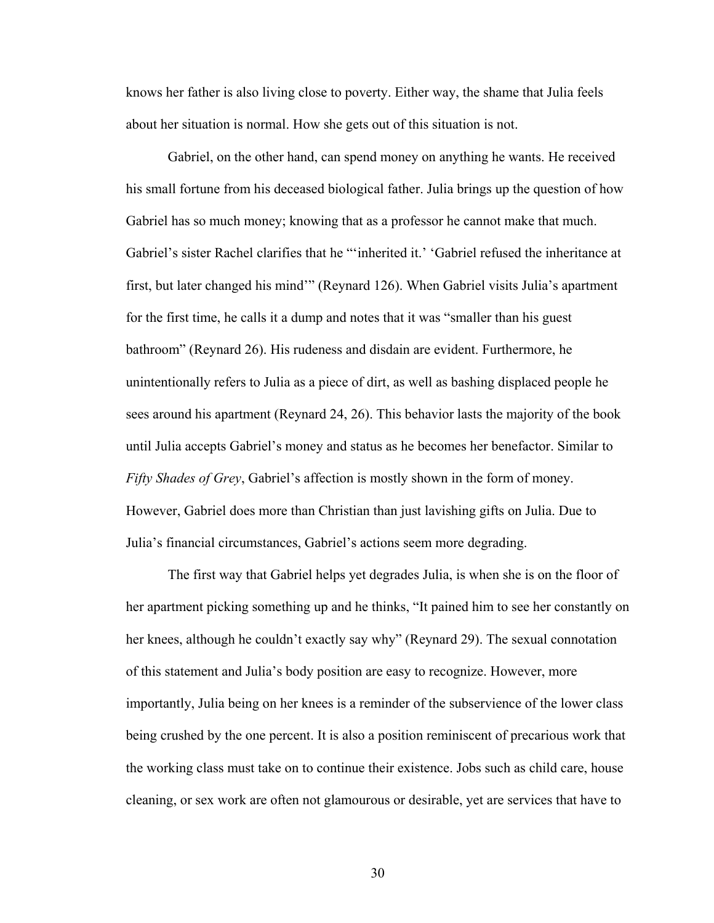knows her father is also living close to poverty. Either way, the shame that Julia feels about her situation is normal. How she gets out of this situation is not.

Gabriel, on the other hand, can spend money on anything he wants. He received his small fortune from his deceased biological father. Julia brings up the question of how Gabriel has so much money; knowing that as a professor he cannot make that much. Gabriel's sister Rachel clarifies that he "'inherited it.' 'Gabriel refused the inheritance at first, but later changed his mind'" (Reynard 126). When Gabriel visits Julia's apartment for the first time, he calls it a dump and notes that it was "smaller than his guest bathroom" (Reynard 26). His rudeness and disdain are evident. Furthermore, he unintentionally refers to Julia as a piece of dirt, as well as bashing displaced people he sees around his apartment (Reynard 24, 26). This behavior lasts the majority of the book until Julia accepts Gabriel's money and status as he becomes her benefactor. Similar to *Fifty Shades of Grey*, Gabriel's affection is mostly shown in the form of money. However, Gabriel does more than Christian than just lavishing gifts on Julia. Due to Julia's financial circumstances, Gabriel's actions seem more degrading.

The first way that Gabriel helps yet degrades Julia, is when she is on the floor of her apartment picking something up and he thinks, "It pained him to see her constantly on her knees, although he couldn't exactly say why" (Reynard 29). The sexual connotation of this statement and Julia's body position are easy to recognize. However, more importantly, Julia being on her knees is a reminder of the subservience of the lower class being crushed by the one percent. It is also a position reminiscent of precarious work that the working class must take on to continue their existence. Jobs such as child care, house cleaning, or sex work are often not glamourous or desirable, yet are services that have to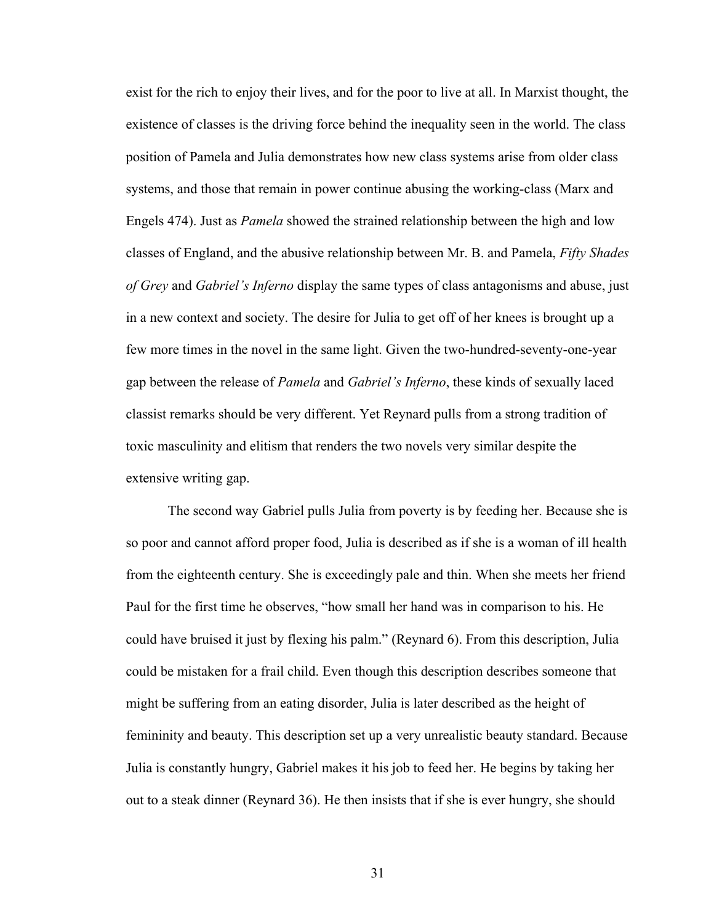exist for the rich to enjoy their lives, and for the poor to live at all. In Marxist thought, the existence of classes is the driving force behind the inequality seen in the world. The class position of Pamela and Julia demonstrates how new class systems arise from older class systems, and those that remain in power continue abusing the working-class (Marx and Engels 474). Just as *Pamela* showed the strained relationship between the high and low classes of England, and the abusive relationship between Mr. B. and Pamela, *Fifty Shades of Grey* and *Gabriel's Inferno* display the same types of class antagonisms and abuse, just in a new context and society. The desire for Julia to get off of her knees is brought up a few more times in the novel in the same light. Given the two-hundred-seventy-one-year gap between the release of *Pamela* and *Gabriel's Inferno*, these kinds of sexually laced classist remarks should be very different. Yet Reynard pulls from a strong tradition of toxic masculinity and elitism that renders the two novels very similar despite the extensive writing gap.

The second way Gabriel pulls Julia from poverty is by feeding her. Because she is so poor and cannot afford proper food, Julia is described as if she is a woman of ill health from the eighteenth century. She is exceedingly pale and thin. When she meets her friend Paul for the first time he observes, "how small her hand was in comparison to his. He could have bruised it just by flexing his palm." (Reynard 6). From this description, Julia could be mistaken for a frail child. Even though this description describes someone that might be suffering from an eating disorder, Julia is later described as the height of femininity and beauty. This description set up a very unrealistic beauty standard. Because Julia is constantly hungry, Gabriel makes it his job to feed her. He begins by taking her out to a steak dinner (Reynard 36). He then insists that if she is ever hungry, she should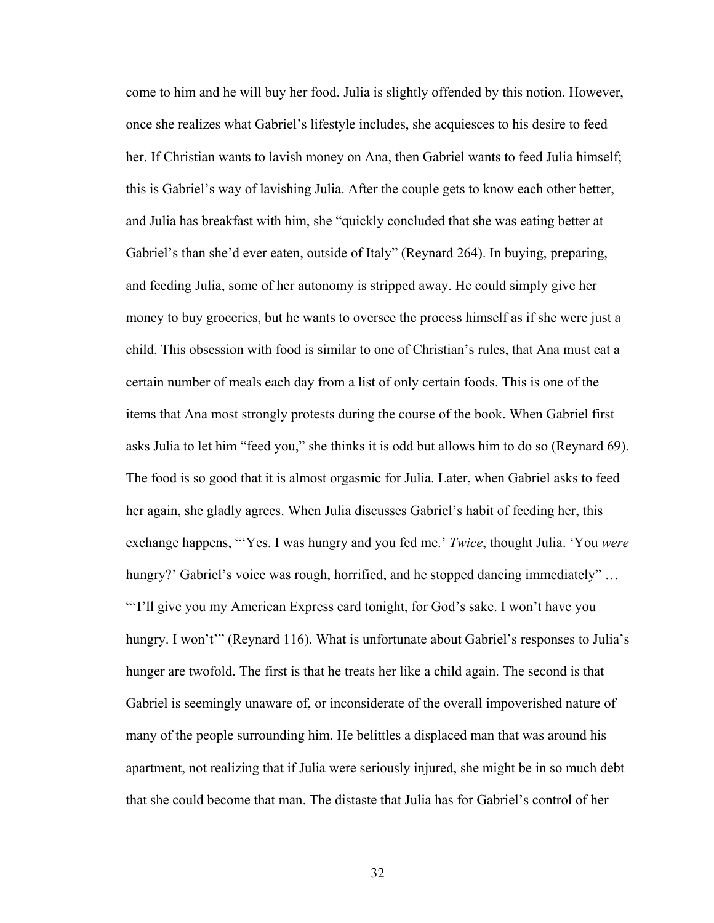come to him and he will buy her food. Julia is slightly offended by this notion. However, once she realizes what Gabriel's lifestyle includes, she acquiesces to his desire to feed her. If Christian wants to lavish money on Ana, then Gabriel wants to feed Julia himself; this is Gabriel's way of lavishing Julia. After the couple gets to know each other better, and Julia has breakfast with him, she "quickly concluded that she was eating better at Gabriel's than she'd ever eaten, outside of Italy" (Reynard 264). In buying, preparing, and feeding Julia, some of her autonomy is stripped away. He could simply give her money to buy groceries, but he wants to oversee the process himself as if she were just a child. This obsession with food is similar to one of Christian's rules, that Ana must eat a certain number of meals each day from a list of only certain foods. This is one of the items that Ana most strongly protests during the course of the book. When Gabriel first asks Julia to let him "feed you," she thinks it is odd but allows him to do so (Reynard 69). The food is so good that it is almost orgasmic for Julia. Later, when Gabriel asks to feed her again, she gladly agrees. When Julia discusses Gabriel's habit of feeding her, this exchange happens, "'Yes. I was hungry and you fed me.' *Twice*, thought Julia. 'You *were* hungry?' Gabriel's voice was rough, horrified, and he stopped dancing immediately"... "'I'll give you my American Express card tonight, for God's sake. I won't have you hungry. I won't'" (Reynard 116). What is unfortunate about Gabriel's responses to Julia's hunger are twofold. The first is that he treats her like a child again. The second is that Gabriel is seemingly unaware of, or inconsiderate of the overall impoverished nature of many of the people surrounding him. He belittles a displaced man that was around his apartment, not realizing that if Julia were seriously injured, she might be in so much debt that she could become that man. The distaste that Julia has for Gabriel's control of her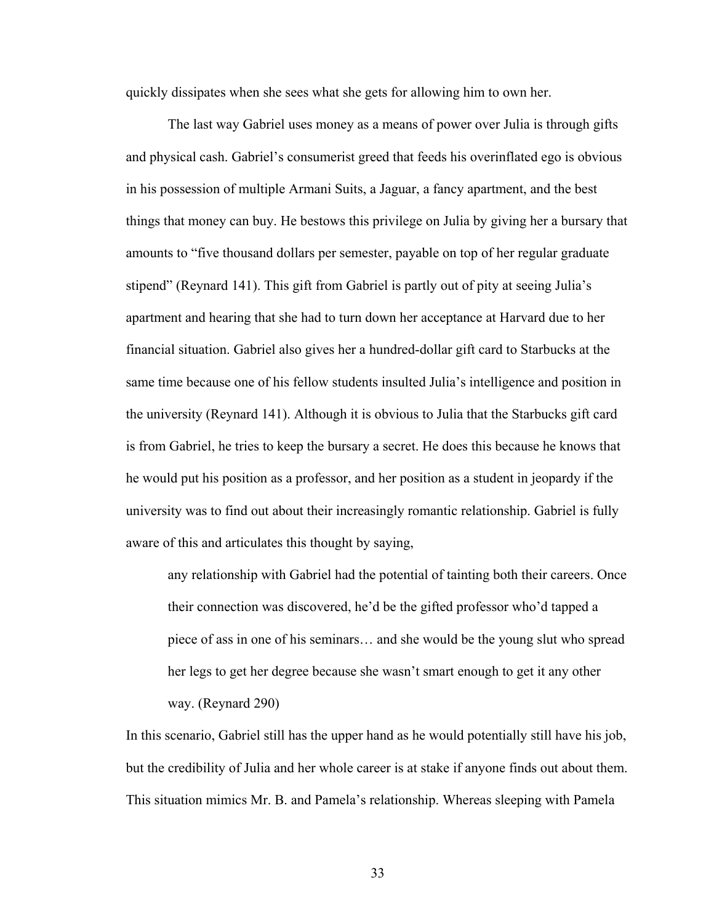quickly dissipates when she sees what she gets for allowing him to own her.

The last way Gabriel uses money as a means of power over Julia is through gifts and physical cash. Gabriel's consumerist greed that feeds his overinflated ego is obvious in his possession of multiple Armani Suits, a Jaguar, a fancy apartment, and the best things that money can buy. He bestows this privilege on Julia by giving her a bursary that amounts to "five thousand dollars per semester, payable on top of her regular graduate stipend" (Reynard 141). This gift from Gabriel is partly out of pity at seeing Julia's apartment and hearing that she had to turn down her acceptance at Harvard due to her financial situation. Gabriel also gives her a hundred-dollar gift card to Starbucks at the same time because one of his fellow students insulted Julia's intelligence and position in the university (Reynard 141). Although it is obvious to Julia that the Starbucks gift card is from Gabriel, he tries to keep the bursary a secret. He does this because he knows that he would put his position as a professor, and her position as a student in jeopardy if the university was to find out about their increasingly romantic relationship. Gabriel is fully aware of this and articulates this thought by saying,

any relationship with Gabriel had the potential of tainting both their careers. Once their connection was discovered, he'd be the gifted professor who'd tapped a piece of ass in one of his seminars… and she would be the young slut who spread her legs to get her degree because she wasn't smart enough to get it any other way. (Reynard 290)

In this scenario, Gabriel still has the upper hand as he would potentially still have his job, but the credibility of Julia and her whole career is at stake if anyone finds out about them. This situation mimics Mr. B. and Pamela's relationship. Whereas sleeping with Pamela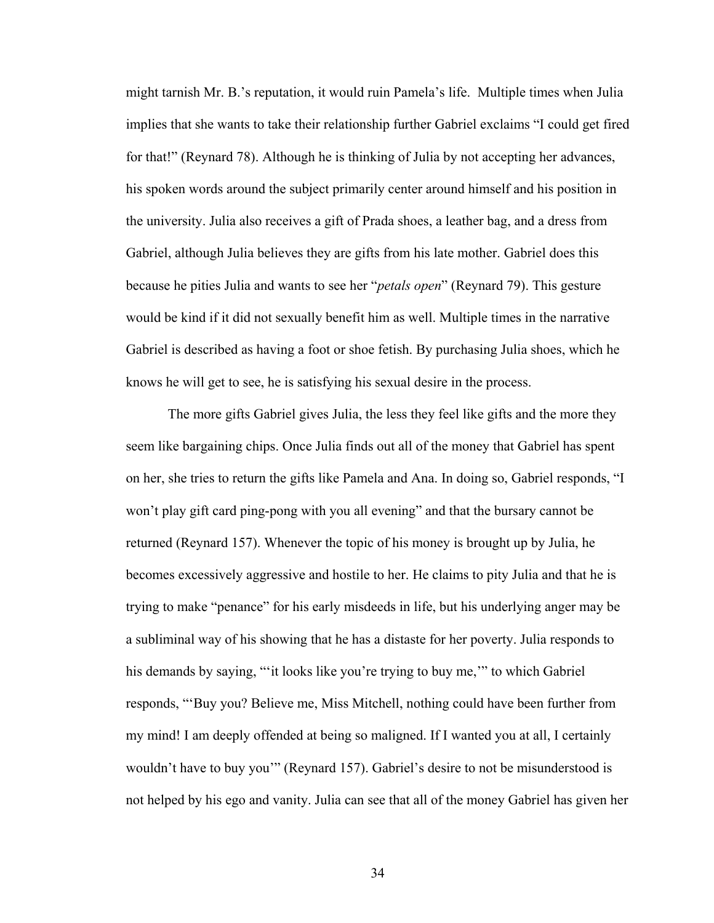might tarnish Mr. B.'s reputation, it would ruin Pamela's life. Multiple times when Julia implies that she wants to take their relationship further Gabriel exclaims "I could get fired for that!" (Reynard 78). Although he is thinking of Julia by not accepting her advances, his spoken words around the subject primarily center around himself and his position in the university. Julia also receives a gift of Prada shoes, a leather bag, and a dress from Gabriel, although Julia believes they are gifts from his late mother. Gabriel does this because he pities Julia and wants to see her "*petals open*" (Reynard 79). This gesture would be kind if it did not sexually benefit him as well. Multiple times in the narrative Gabriel is described as having a foot or shoe fetish. By purchasing Julia shoes, which he knows he will get to see, he is satisfying his sexual desire in the process.

The more gifts Gabriel gives Julia, the less they feel like gifts and the more they seem like bargaining chips. Once Julia finds out all of the money that Gabriel has spent on her, she tries to return the gifts like Pamela and Ana. In doing so, Gabriel responds, "I won't play gift card ping-pong with you all evening" and that the bursary cannot be returned (Reynard 157). Whenever the topic of his money is brought up by Julia, he becomes excessively aggressive and hostile to her. He claims to pity Julia and that he is trying to make "penance" for his early misdeeds in life, but his underlying anger may be a subliminal way of his showing that he has a distaste for her poverty. Julia responds to his demands by saying, "'it looks like you're trying to buy me,'" to which Gabriel responds, "'Buy you? Believe me, Miss Mitchell, nothing could have been further from my mind! I am deeply offended at being so maligned. If I wanted you at all, I certainly wouldn't have to buy you'" (Reynard 157). Gabriel's desire to not be misunderstood is not helped by his ego and vanity. Julia can see that all of the money Gabriel has given her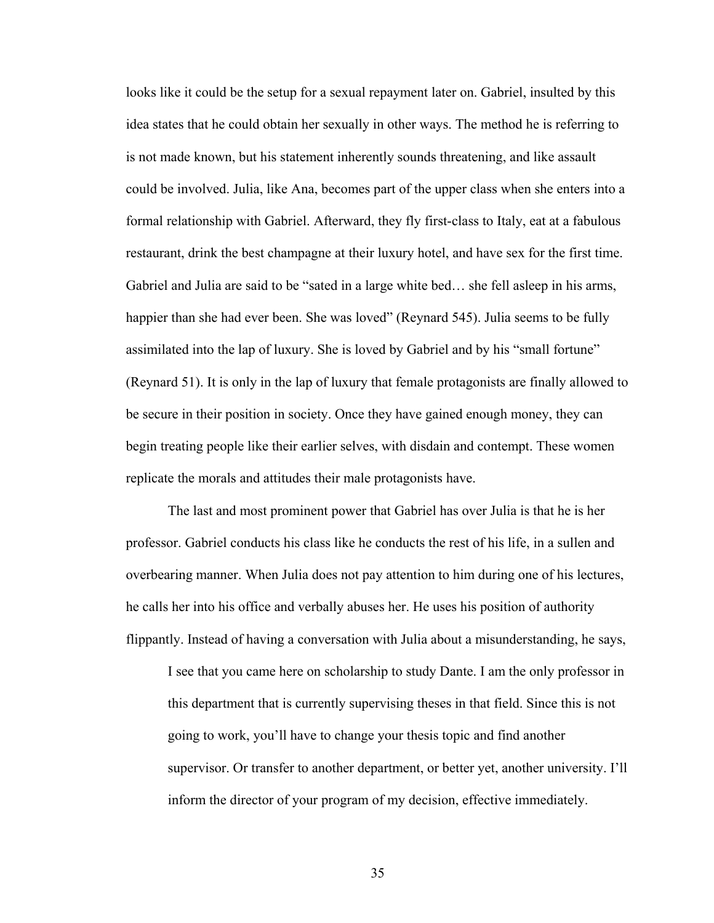looks like it could be the setup for a sexual repayment later on. Gabriel, insulted by this idea states that he could obtain her sexually in other ways. The method he is referring to is not made known, but his statement inherently sounds threatening, and like assault could be involved. Julia, like Ana, becomes part of the upper class when she enters into a formal relationship with Gabriel. Afterward, they fly first-class to Italy, eat at a fabulous restaurant, drink the best champagne at their luxury hotel, and have sex for the first time. Gabriel and Julia are said to be "sated in a large white bed… she fell asleep in his arms, happier than she had ever been. She was loved" (Reynard 545). Julia seems to be fully assimilated into the lap of luxury. She is loved by Gabriel and by his "small fortune" (Reynard 51). It is only in the lap of luxury that female protagonists are finally allowed to be secure in their position in society. Once they have gained enough money, they can begin treating people like their earlier selves, with disdain and contempt. These women replicate the morals and attitudes their male protagonists have.

The last and most prominent power that Gabriel has over Julia is that he is her professor. Gabriel conducts his class like he conducts the rest of his life, in a sullen and overbearing manner. When Julia does not pay attention to him during one of his lectures, he calls her into his office and verbally abuses her. He uses his position of authority flippantly. Instead of having a conversation with Julia about a misunderstanding, he says,

I see that you came here on scholarship to study Dante. I am the only professor in this department that is currently supervising theses in that field. Since this is not going to work, you'll have to change your thesis topic and find another supervisor. Or transfer to another department, or better yet, another university. I'll inform the director of your program of my decision, effective immediately.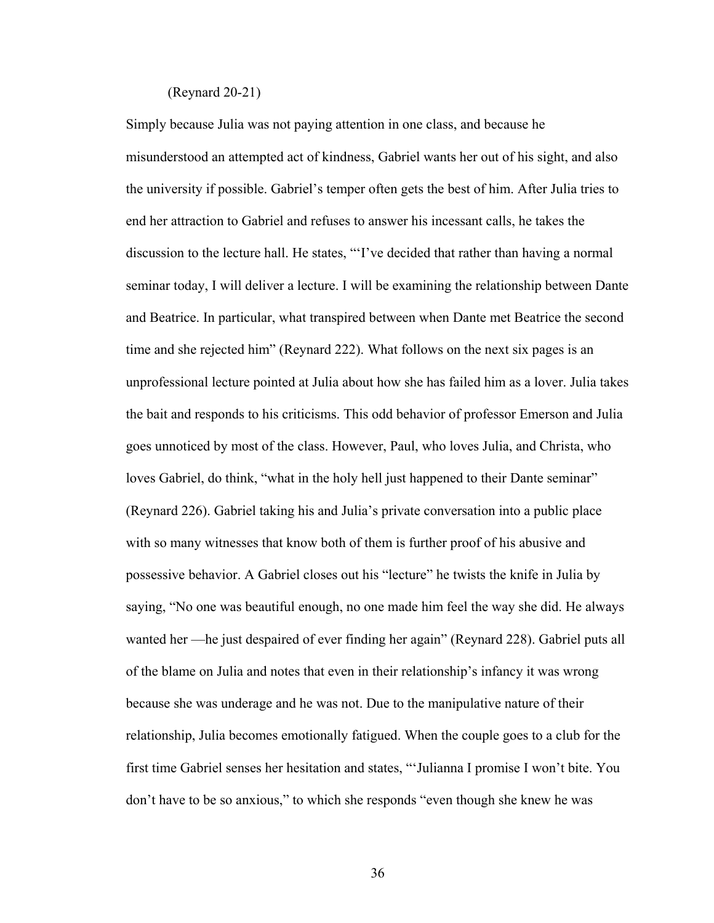## (Reynard 20-21)

Simply because Julia was not paying attention in one class, and because he misunderstood an attempted act of kindness, Gabriel wants her out of his sight, and also the university if possible. Gabriel's temper often gets the best of him. After Julia tries to end her attraction to Gabriel and refuses to answer his incessant calls, he takes the discussion to the lecture hall. He states, "'I've decided that rather than having a normal seminar today, I will deliver a lecture. I will be examining the relationship between Dante and Beatrice. In particular, what transpired between when Dante met Beatrice the second time and she rejected him" (Reynard 222). What follows on the next six pages is an unprofessional lecture pointed at Julia about how she has failed him as a lover. Julia takes the bait and responds to his criticisms. This odd behavior of professor Emerson and Julia goes unnoticed by most of the class. However, Paul, who loves Julia, and Christa, who loves Gabriel, do think, "what in the holy hell just happened to their Dante seminar" (Reynard 226). Gabriel taking his and Julia's private conversation into a public place with so many witnesses that know both of them is further proof of his abusive and possessive behavior. A Gabriel closes out his "lecture" he twists the knife in Julia by saying, "No one was beautiful enough, no one made him feel the way she did. He always wanted her —he just despaired of ever finding her again" (Reynard 228). Gabriel puts all of the blame on Julia and notes that even in their relationship's infancy it was wrong because she was underage and he was not. Due to the manipulative nature of their relationship, Julia becomes emotionally fatigued. When the couple goes to a club for the first time Gabriel senses her hesitation and states, "'Julianna I promise I won't bite. You don't have to be so anxious," to which she responds "even though she knew he was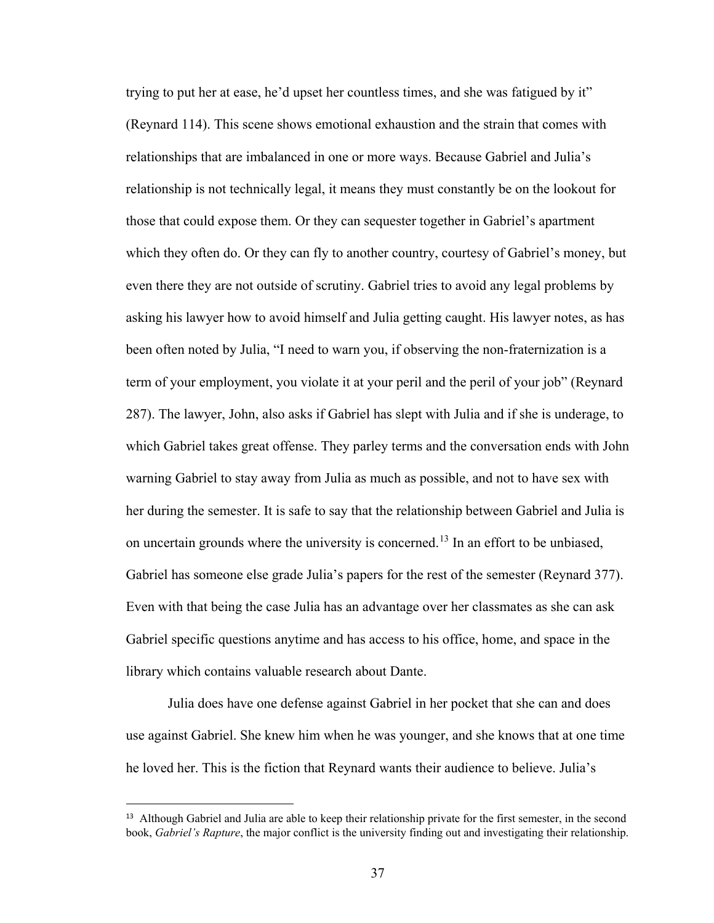trying to put her at ease, he'd upset her countless times, and she was fatigued by it" (Reynard 114). This scene shows emotional exhaustion and the strain that comes with relationships that are imbalanced in one or more ways. Because Gabriel and Julia's relationship is not technically legal, it means they must constantly be on the lookout for those that could expose them. Or they can sequester together in Gabriel's apartment which they often do. Or they can fly to another country, courtesy of Gabriel's money, but even there they are not outside of scrutiny. Gabriel tries to avoid any legal problems by asking his lawyer how to avoid himself and Julia getting caught. His lawyer notes, as has been often noted by Julia, "I need to warn you, if observing the non-fraternization is a term of your employment, you violate it at your peril and the peril of your job" (Reynard 287). The lawyer, John, also asks if Gabriel has slept with Julia and if she is underage, to which Gabriel takes great offense. They parley terms and the conversation ends with John warning Gabriel to stay away from Julia as much as possible, and not to have sex with her during the semester. It is safe to say that the relationship between Gabriel and Julia is on uncertain grounds where the university is concerned.<sup>[13](#page-42-0)</sup> In an effort to be unbiased, Gabriel has someone else grade Julia's papers for the rest of the semester (Reynard 377). Even with that being the case Julia has an advantage over her classmates as she can ask Gabriel specific questions anytime and has access to his office, home, and space in the library which contains valuable research about Dante.

Julia does have one defense against Gabriel in her pocket that she can and does use against Gabriel. She knew him when he was younger, and she knows that at one time he loved her. This is the fiction that Reynard wants their audience to believe. Julia's

 $\overline{a}$ 

<span id="page-42-0"></span><sup>&</sup>lt;sup>13</sup> Although Gabriel and Julia are able to keep their relationship private for the first semester, in the second book, *Gabriel's Rapture*, the major conflict is the university finding out and investigating their relationship.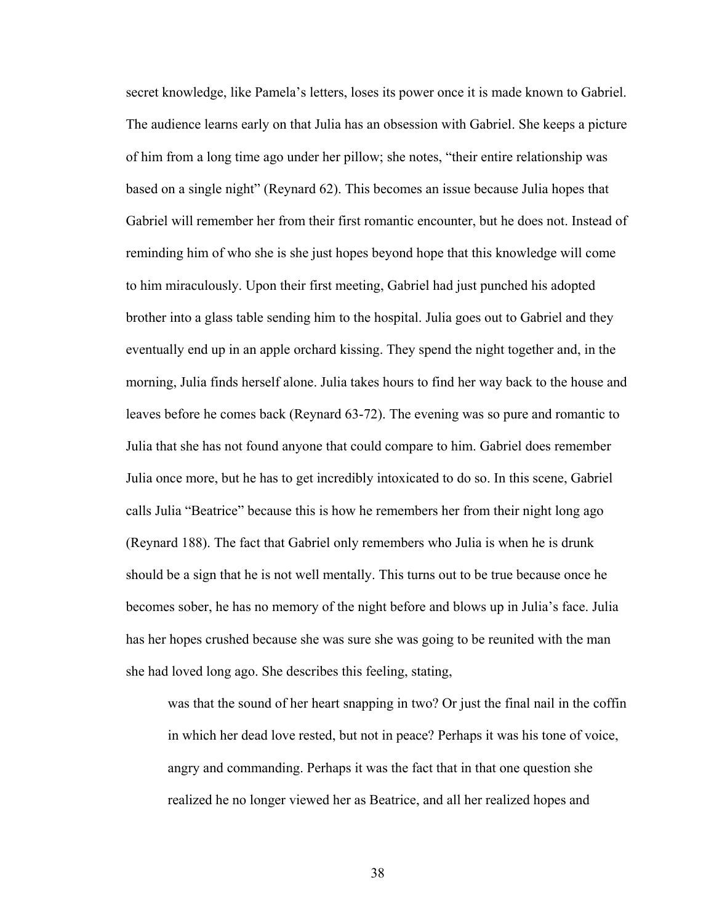secret knowledge, like Pamela's letters, loses its power once it is made known to Gabriel. The audience learns early on that Julia has an obsession with Gabriel. She keeps a picture of him from a long time ago under her pillow; she notes, "their entire relationship was based on a single night" (Reynard 62). This becomes an issue because Julia hopes that Gabriel will remember her from their first romantic encounter, but he does not. Instead of reminding him of who she is she just hopes beyond hope that this knowledge will come to him miraculously. Upon their first meeting, Gabriel had just punched his adopted brother into a glass table sending him to the hospital. Julia goes out to Gabriel and they eventually end up in an apple orchard kissing. They spend the night together and, in the morning, Julia finds herself alone. Julia takes hours to find her way back to the house and leaves before he comes back (Reynard 63-72). The evening was so pure and romantic to Julia that she has not found anyone that could compare to him. Gabriel does remember Julia once more, but he has to get incredibly intoxicated to do so. In this scene, Gabriel calls Julia "Beatrice" because this is how he remembers her from their night long ago (Reynard 188). The fact that Gabriel only remembers who Julia is when he is drunk should be a sign that he is not well mentally. This turns out to be true because once he becomes sober, he has no memory of the night before and blows up in Julia's face. Julia has her hopes crushed because she was sure she was going to be reunited with the man she had loved long ago. She describes this feeling, stating,

 was that the sound of her heart snapping in two? Or just the final nail in the coffin in which her dead love rested, but not in peace? Perhaps it was his tone of voice, angry and commanding. Perhaps it was the fact that in that one question she realized he no longer viewed her as Beatrice, and all her realized hopes and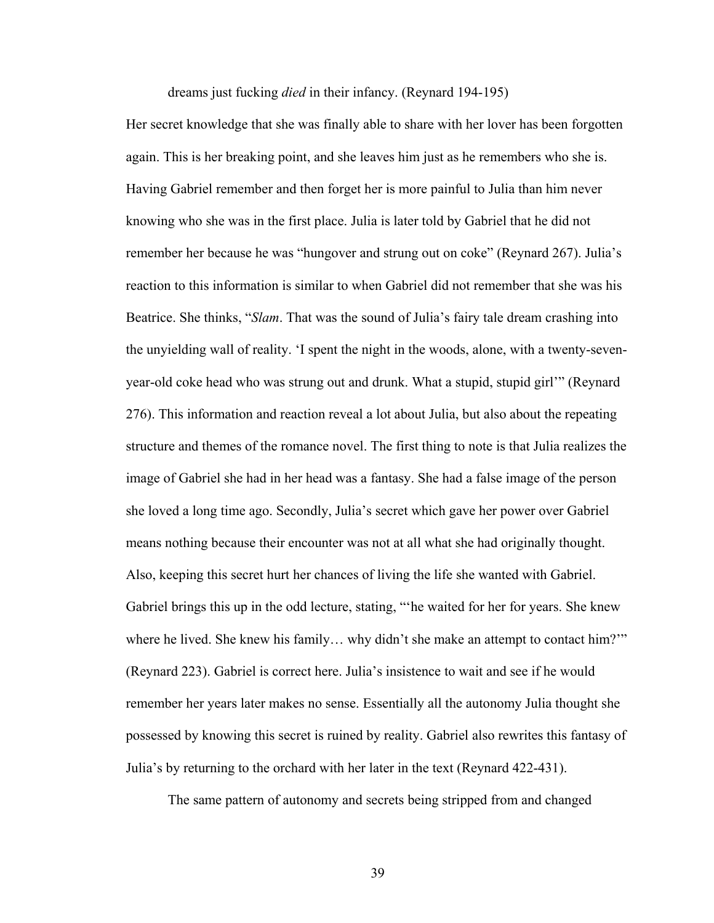dreams just fucking *died* in their infancy. (Reynard 194-195)

Her secret knowledge that she was finally able to share with her lover has been forgotten again. This is her breaking point, and she leaves him just as he remembers who she is. Having Gabriel remember and then forget her is more painful to Julia than him never knowing who she was in the first place. Julia is later told by Gabriel that he did not remember her because he was "hungover and strung out on coke" (Reynard 267). Julia's reaction to this information is similar to when Gabriel did not remember that she was his Beatrice. She thinks, "*Slam*. That was the sound of Julia's fairy tale dream crashing into the unyielding wall of reality. 'I spent the night in the woods, alone, with a twenty-sevenyear-old coke head who was strung out and drunk. What a stupid, stupid girl'" (Reynard 276). This information and reaction reveal a lot about Julia, but also about the repeating structure and themes of the romance novel. The first thing to note is that Julia realizes the image of Gabriel she had in her head was a fantasy. She had a false image of the person she loved a long time ago. Secondly, Julia's secret which gave her power over Gabriel means nothing because their encounter was not at all what she had originally thought. Also, keeping this secret hurt her chances of living the life she wanted with Gabriel. Gabriel brings this up in the odd lecture, stating, "'he waited for her for years. She knew where he lived. She knew his family... why didn't she make an attempt to contact him?" (Reynard 223). Gabriel is correct here. Julia's insistence to wait and see if he would remember her years later makes no sense. Essentially all the autonomy Julia thought she possessed by knowing this secret is ruined by reality. Gabriel also rewrites this fantasy of Julia's by returning to the orchard with her later in the text (Reynard 422-431).

The same pattern of autonomy and secrets being stripped from and changed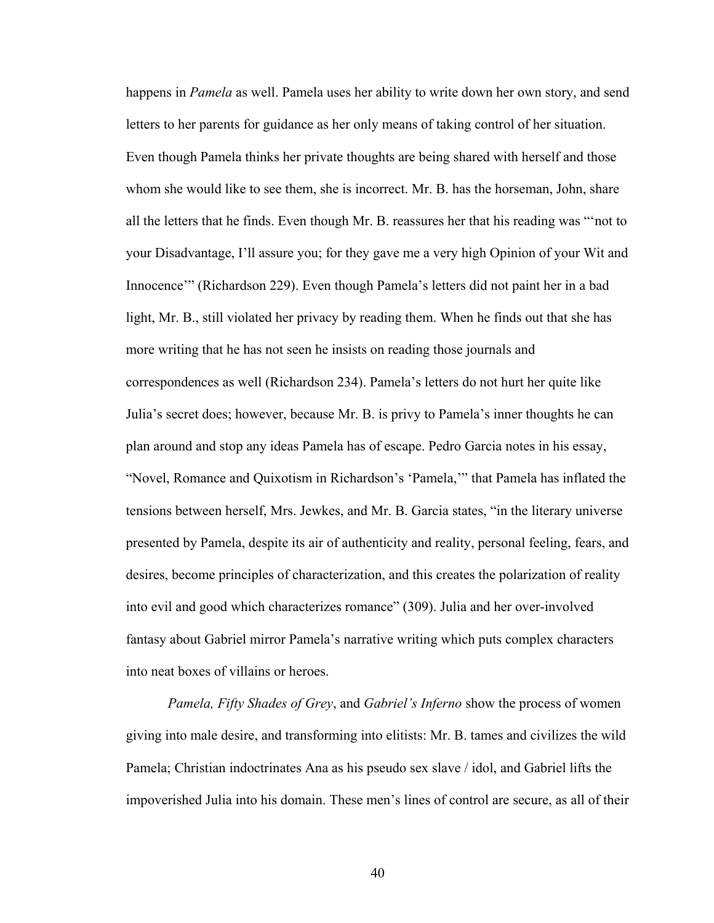happens in *Pamela* as well. Pamela uses her ability to write down her own story, and send letters to her parents for guidance as her only means of taking control of her situation. Even though Pamela thinks her private thoughts are being shared with herself and those whom she would like to see them, she is incorrect. Mr. B. has the horseman, John, share all the letters that he finds. Even though Mr. B. reassures her that his reading was "'not to your Disadvantage, I'll assure you; for they gave me a very high Opinion of your Wit and Innocence'" (Richardson 229). Even though Pamela's letters did not paint her in a bad light, Mr. B., still violated her privacy by reading them. When he finds out that she has more writing that he has not seen he insists on reading those journals and correspondences as well (Richardson 234). Pamela's letters do not hurt her quite like Julia's secret does; however, because Mr. B. is privy to Pamela's inner thoughts he can plan around and stop any ideas Pamela has of escape. Pedro Garcia notes in his essay, "Novel, Romance and Quixotism in Richardson's 'Pamela,'" that Pamela has inflated the tensions between herself, Mrs. Jewkes, and Mr. B. Garcia states, "in the literary universe presented by Pamela, despite its air of authenticity and reality, personal feeling, fears, and desires, become principles of characterization, and this creates the polarization of reality into evil and good which characterizes romance" (309). Julia and her over-involved fantasy about Gabriel mirror Pamela's narrative writing which puts complex characters into neat boxes of villains or heroes.

*Pamela, Fifty Shades of Grey*, and *Gabriel's Inferno* show the process of women giving into male desire, and transforming into elitists: Mr. B. tames and civilizes the wild Pamela; Christian indoctrinates Ana as his pseudo sex slave / idol, and Gabriel lifts the impoverished Julia into his domain. These men's lines of control are secure, as all of their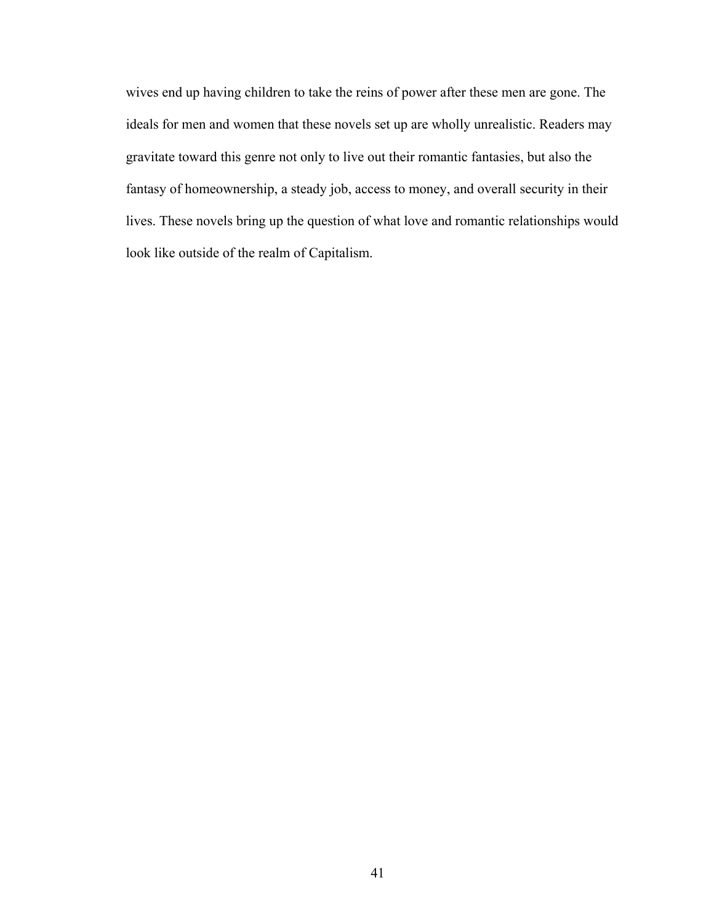wives end up having children to take the reins of power after these men are gone. The ideals for men and women that these novels set up are wholly unrealistic. Readers may gravitate toward this genre not only to live out their romantic fantasies, but also the fantasy of homeownership, a steady job, access to money, and overall security in their lives. These novels bring up the question of what love and romantic relationships would look like outside of the realm of Capitalism.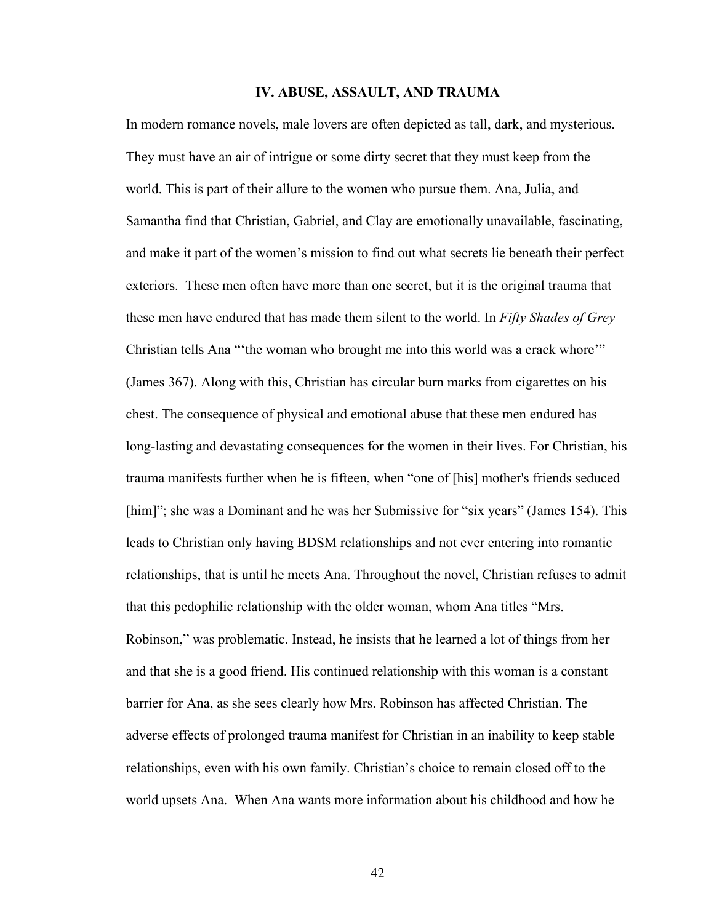## **IV. ABUSE, ASSAULT, AND TRAUMA**

In modern romance novels, male lovers are often depicted as tall, dark, and mysterious. They must have an air of intrigue or some dirty secret that they must keep from the world. This is part of their allure to the women who pursue them. Ana, Julia, and Samantha find that Christian, Gabriel, and Clay are emotionally unavailable, fascinating, and make it part of the women's mission to find out what secrets lie beneath their perfect exteriors. These men often have more than one secret, but it is the original trauma that these men have endured that has made them silent to the world. In *Fifty Shades of Grey*  Christian tells Ana "'the woman who brought me into this world was a crack whore'" (James 367). Along with this, Christian has circular burn marks from cigarettes on his chest. The consequence of physical and emotional abuse that these men endured has long-lasting and devastating consequences for the women in their lives. For Christian, his trauma manifests further when he is fifteen, when "one of [his] mother's friends seduced [him]"; she was a Dominant and he was her Submissive for "six years" (James 154). This leads to Christian only having BDSM relationships and not ever entering into romantic relationships, that is until he meets Ana. Throughout the novel, Christian refuses to admit that this pedophilic relationship with the older woman, whom Ana titles "Mrs. Robinson," was problematic. Instead, he insists that he learned a lot of things from her and that she is a good friend. His continued relationship with this woman is a constant barrier for Ana, as she sees clearly how Mrs. Robinson has affected Christian. The adverse effects of prolonged trauma manifest for Christian in an inability to keep stable relationships, even with his own family. Christian's choice to remain closed off to the world upsets Ana. When Ana wants more information about his childhood and how he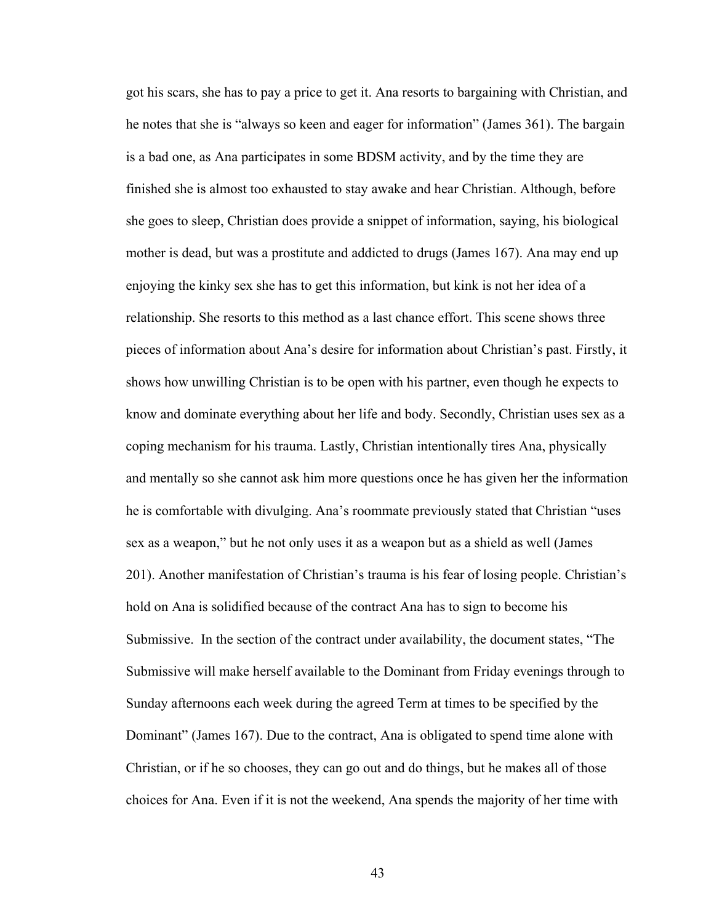got his scars, she has to pay a price to get it. Ana resorts to bargaining with Christian, and he notes that she is "always so keen and eager for information" (James 361). The bargain is a bad one, as Ana participates in some BDSM activity, and by the time they are finished she is almost too exhausted to stay awake and hear Christian. Although, before she goes to sleep, Christian does provide a snippet of information, saying, his biological mother is dead, but was a prostitute and addicted to drugs (James 167). Ana may end up enjoying the kinky sex she has to get this information, but kink is not her idea of a relationship. She resorts to this method as a last chance effort. This scene shows three pieces of information about Ana's desire for information about Christian's past. Firstly, it shows how unwilling Christian is to be open with his partner, even though he expects to know and dominate everything about her life and body. Secondly, Christian uses sex as a coping mechanism for his trauma. Lastly, Christian intentionally tires Ana, physically and mentally so she cannot ask him more questions once he has given her the information he is comfortable with divulging. Ana's roommate previously stated that Christian "uses sex as a weapon," but he not only uses it as a weapon but as a shield as well (James 201). Another manifestation of Christian's trauma is his fear of losing people. Christian's hold on Ana is solidified because of the contract Ana has to sign to become his Submissive. In the section of the contract under availability, the document states, "The Submissive will make herself available to the Dominant from Friday evenings through to Sunday afternoons each week during the agreed Term at times to be specified by the Dominant" (James 167). Due to the contract, Ana is obligated to spend time alone with Christian, or if he so chooses, they can go out and do things, but he makes all of those choices for Ana. Even if it is not the weekend, Ana spends the majority of her time with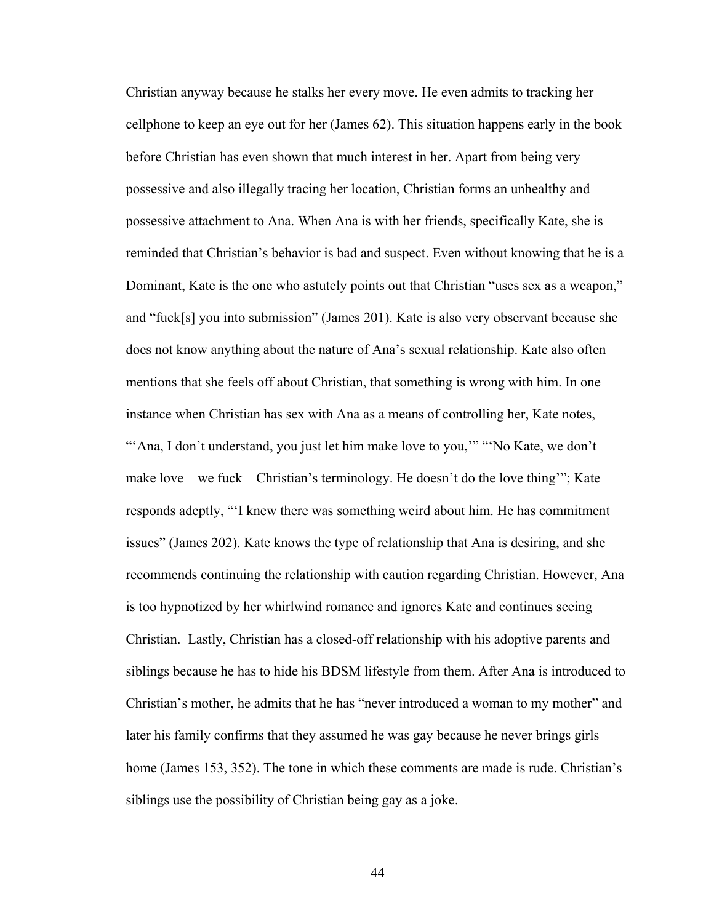Christian anyway because he stalks her every move. He even admits to tracking her cellphone to keep an eye out for her (James 62). This situation happens early in the book before Christian has even shown that much interest in her. Apart from being very possessive and also illegally tracing her location, Christian forms an unhealthy and possessive attachment to Ana. When Ana is with her friends, specifically Kate, she is reminded that Christian's behavior is bad and suspect. Even without knowing that he is a Dominant, Kate is the one who astutely points out that Christian "uses sex as a weapon," and "fuck[s] you into submission" (James 201). Kate is also very observant because she does not know anything about the nature of Ana's sexual relationship. Kate also often mentions that she feels off about Christian, that something is wrong with him. In one instance when Christian has sex with Ana as a means of controlling her, Kate notes, "'Ana, I don't understand, you just let him make love to you,"" "No Kate, we don't make love – we fuck – Christian's terminology. He doesn't do the love thing'"; Kate responds adeptly, "'I knew there was something weird about him. He has commitment issues" (James 202). Kate knows the type of relationship that Ana is desiring, and she recommends continuing the relationship with caution regarding Christian. However, Ana is too hypnotized by her whirlwind romance and ignores Kate and continues seeing Christian. Lastly, Christian has a closed-off relationship with his adoptive parents and siblings because he has to hide his BDSM lifestyle from them. After Ana is introduced to Christian's mother, he admits that he has "never introduced a woman to my mother" and later his family confirms that they assumed he was gay because he never brings girls home (James 153, 352). The tone in which these comments are made is rude. Christian's siblings use the possibility of Christian being gay as a joke.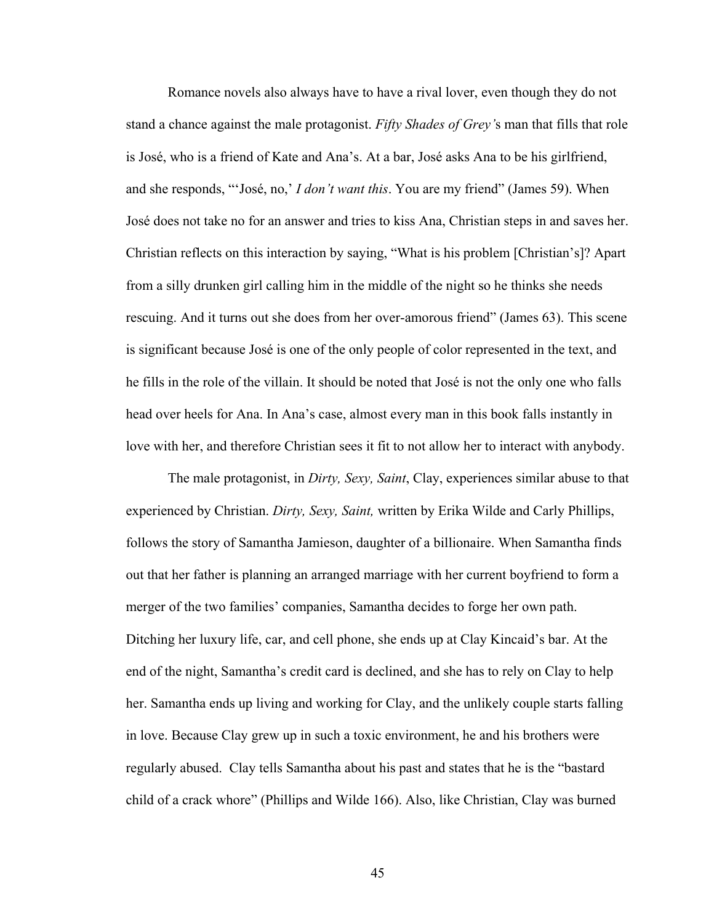Romance novels also always have to have a rival lover, even though they do not stand a chance against the male protagonist. *Fifty Shades of Grey'*s man that fills that role is José, who is a friend of Kate and Ana's. At a bar, José asks Ana to be his girlfriend, and she responds, "'José, no,' *I don't want this*. You are my friend" (James 59). When José does not take no for an answer and tries to kiss Ana, Christian steps in and saves her. Christian reflects on this interaction by saying, "What is his problem [Christian's]? Apart from a silly drunken girl calling him in the middle of the night so he thinks she needs rescuing. And it turns out she does from her over-amorous friend" (James 63). This scene is significant because José is one of the only people of color represented in the text, and he fills in the role of the villain. It should be noted that José is not the only one who falls head over heels for Ana. In Ana's case, almost every man in this book falls instantly in love with her, and therefore Christian sees it fit to not allow her to interact with anybody.

The male protagonist, in *Dirty, Sexy, Saint*, Clay, experiences similar abuse to that experienced by Christian. *Dirty, Sexy, Saint,* written by Erika Wilde and Carly Phillips, follows the story of Samantha Jamieson, daughter of a billionaire. When Samantha finds out that her father is planning an arranged marriage with her current boyfriend to form a merger of the two families' companies, Samantha decides to forge her own path. Ditching her luxury life, car, and cell phone, she ends up at Clay Kincaid's bar. At the end of the night, Samantha's credit card is declined, and she has to rely on Clay to help her. Samantha ends up living and working for Clay, and the unlikely couple starts falling in love. Because Clay grew up in such a toxic environment, he and his brothers were regularly abused. Clay tells Samantha about his past and states that he is the "bastard child of a crack whore" (Phillips and Wilde 166). Also, like Christian, Clay was burned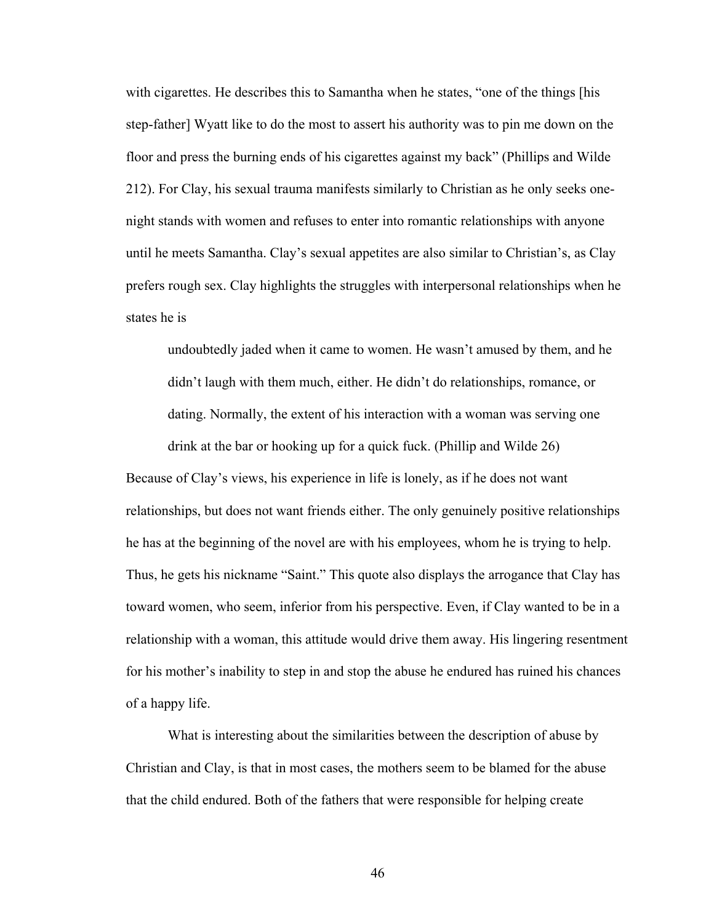with cigarettes. He describes this to Samantha when he states, "one of the things [his step-father] Wyatt like to do the most to assert his authority was to pin me down on the floor and press the burning ends of his cigarettes against my back" (Phillips and Wilde 212). For Clay, his sexual trauma manifests similarly to Christian as he only seeks onenight stands with women and refuses to enter into romantic relationships with anyone until he meets Samantha. Clay's sexual appetites are also similar to Christian's, as Clay prefers rough sex. Clay highlights the struggles with interpersonal relationships when he states he is

undoubtedly jaded when it came to women. He wasn't amused by them, and he didn't laugh with them much, either. He didn't do relationships, romance, or dating. Normally, the extent of his interaction with a woman was serving one drink at the bar or hooking up for a quick fuck. (Phillip and Wilde 26)

Because of Clay's views, his experience in life is lonely, as if he does not want relationships, but does not want friends either. The only genuinely positive relationships he has at the beginning of the novel are with his employees, whom he is trying to help. Thus, he gets his nickname "Saint." This quote also displays the arrogance that Clay has toward women, who seem, inferior from his perspective. Even, if Clay wanted to be in a relationship with a woman, this attitude would drive them away. His lingering resentment for his mother's inability to step in and stop the abuse he endured has ruined his chances of a happy life.

What is interesting about the similarities between the description of abuse by Christian and Clay, is that in most cases, the mothers seem to be blamed for the abuse that the child endured. Both of the fathers that were responsible for helping create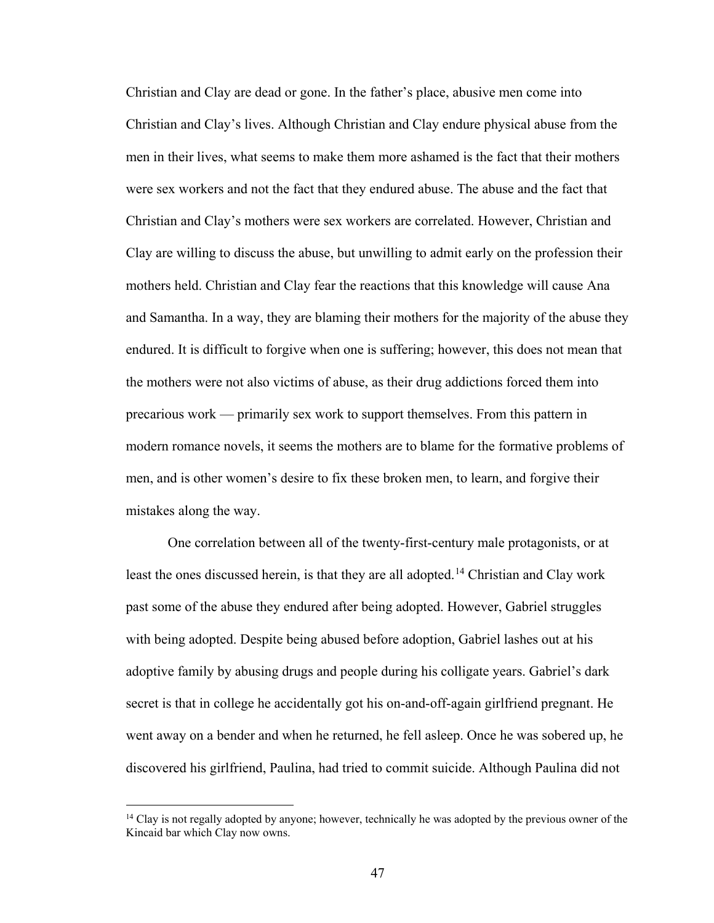Christian and Clay are dead or gone. In the father's place, abusive men come into Christian and Clay's lives. Although Christian and Clay endure physical abuse from the men in their lives, what seems to make them more ashamed is the fact that their mothers were sex workers and not the fact that they endured abuse. The abuse and the fact that Christian and Clay's mothers were sex workers are correlated. However, Christian and Clay are willing to discuss the abuse, but unwilling to admit early on the profession their mothers held. Christian and Clay fear the reactions that this knowledge will cause Ana and Samantha. In a way, they are blaming their mothers for the majority of the abuse they endured. It is difficult to forgive when one is suffering; however, this does not mean that the mothers were not also victims of abuse, as their drug addictions forced them into precarious work — primarily sex work to support themselves. From this pattern in modern romance novels, it seems the mothers are to blame for the formative problems of men, and is other women's desire to fix these broken men, to learn, and forgive their mistakes along the way.

One correlation between all of the twenty-first-century male protagonists, or at least the ones discussed herein, is that they are all adopted.<sup>14</sup> Christian and Clay work past some of the abuse they endured after being adopted. However, Gabriel struggles with being adopted. Despite being abused before adoption, Gabriel lashes out at his adoptive family by abusing drugs and people during his colligate years. Gabriel's dark secret is that in college he accidentally got his on-and-off-again girlfriend pregnant. He went away on a bender and when he returned, he fell asleep. Once he was sobered up, he discovered his girlfriend, Paulina, had tried to commit suicide. Although Paulina did not

 $\overline{a}$ 

<span id="page-52-0"></span><sup>&</sup>lt;sup>14</sup> Clay is not regally adopted by anyone; however, technically he was adopted by the previous owner of the Kincaid bar which Clay now owns.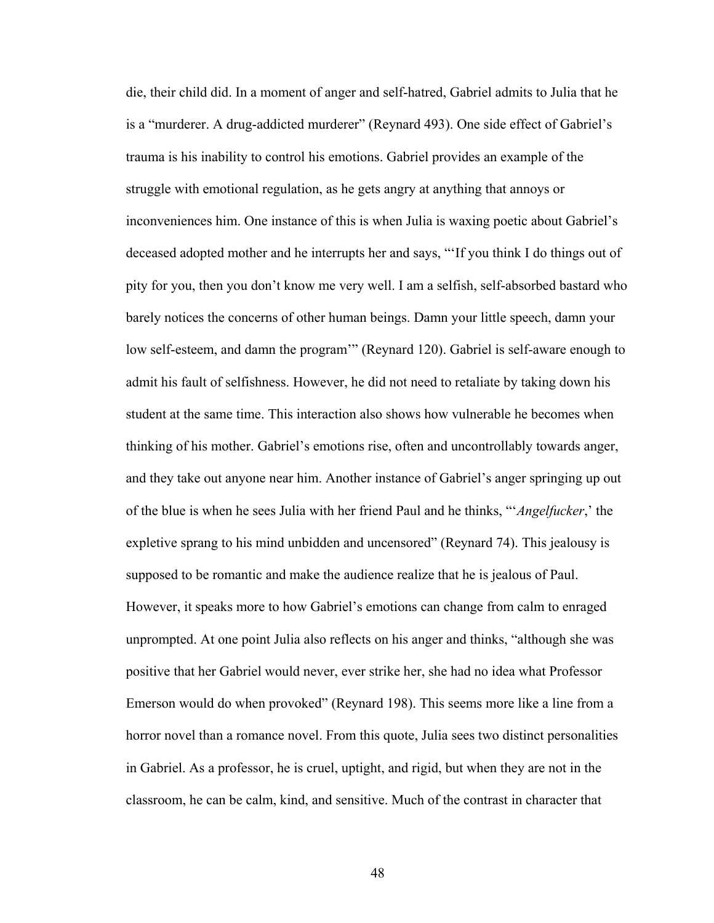die, their child did. In a moment of anger and self-hatred, Gabriel admits to Julia that he is a "murderer. A drug-addicted murderer" (Reynard 493). One side effect of Gabriel's trauma is his inability to control his emotions. Gabriel provides an example of the struggle with emotional regulation, as he gets angry at anything that annoys or inconveniences him. One instance of this is when Julia is waxing poetic about Gabriel's deceased adopted mother and he interrupts her and says, "'If you think I do things out of pity for you, then you don't know me very well. I am a selfish, self-absorbed bastard who barely notices the concerns of other human beings. Damn your little speech, damn your low self-esteem, and damn the program" (Reynard 120). Gabriel is self-aware enough to admit his fault of selfishness. However, he did not need to retaliate by taking down his student at the same time. This interaction also shows how vulnerable he becomes when thinking of his mother. Gabriel's emotions rise, often and uncontrollably towards anger, and they take out anyone near him. Another instance of Gabriel's anger springing up out of the blue is when he sees Julia with her friend Paul and he thinks, "'*Angelfucker*,' the expletive sprang to his mind unbidden and uncensored" (Reynard 74). This jealousy is supposed to be romantic and make the audience realize that he is jealous of Paul. However, it speaks more to how Gabriel's emotions can change from calm to enraged unprompted. At one point Julia also reflects on his anger and thinks, "although she was positive that her Gabriel would never, ever strike her, she had no idea what Professor Emerson would do when provoked" (Reynard 198). This seems more like a line from a horror novel than a romance novel. From this quote, Julia sees two distinct personalities in Gabriel. As a professor, he is cruel, uptight, and rigid, but when they are not in the classroom, he can be calm, kind, and sensitive. Much of the contrast in character that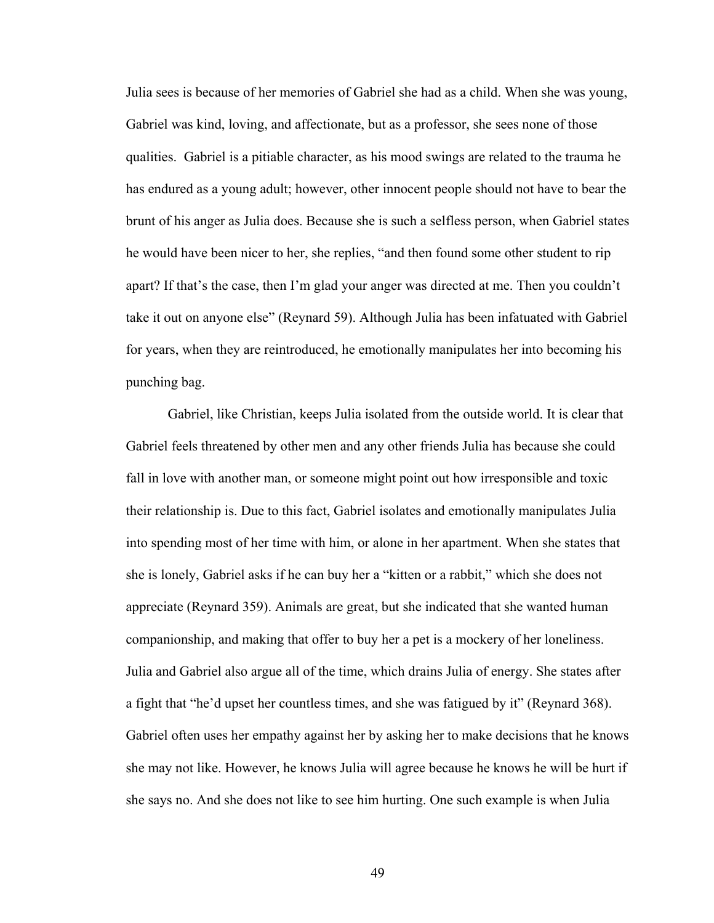Julia sees is because of her memories of Gabriel she had as a child. When she was young, Gabriel was kind, loving, and affectionate, but as a professor, she sees none of those qualities. Gabriel is a pitiable character, as his mood swings are related to the trauma he has endured as a young adult; however, other innocent people should not have to bear the brunt of his anger as Julia does. Because she is such a selfless person, when Gabriel states he would have been nicer to her, she replies, "and then found some other student to rip apart? If that's the case, then I'm glad your anger was directed at me. Then you couldn't take it out on anyone else" (Reynard 59). Although Julia has been infatuated with Gabriel for years, when they are reintroduced, he emotionally manipulates her into becoming his punching bag.

Gabriel, like Christian, keeps Julia isolated from the outside world. It is clear that Gabriel feels threatened by other men and any other friends Julia has because she could fall in love with another man, or someone might point out how irresponsible and toxic their relationship is. Due to this fact, Gabriel isolates and emotionally manipulates Julia into spending most of her time with him, or alone in her apartment. When she states that she is lonely, Gabriel asks if he can buy her a "kitten or a rabbit," which she does not appreciate (Reynard 359). Animals are great, but she indicated that she wanted human companionship, and making that offer to buy her a pet is a mockery of her loneliness. Julia and Gabriel also argue all of the time, which drains Julia of energy. She states after a fight that "he'd upset her countless times, and she was fatigued by it" (Reynard 368). Gabriel often uses her empathy against her by asking her to make decisions that he knows she may not like. However, he knows Julia will agree because he knows he will be hurt if she says no. And she does not like to see him hurting. One such example is when Julia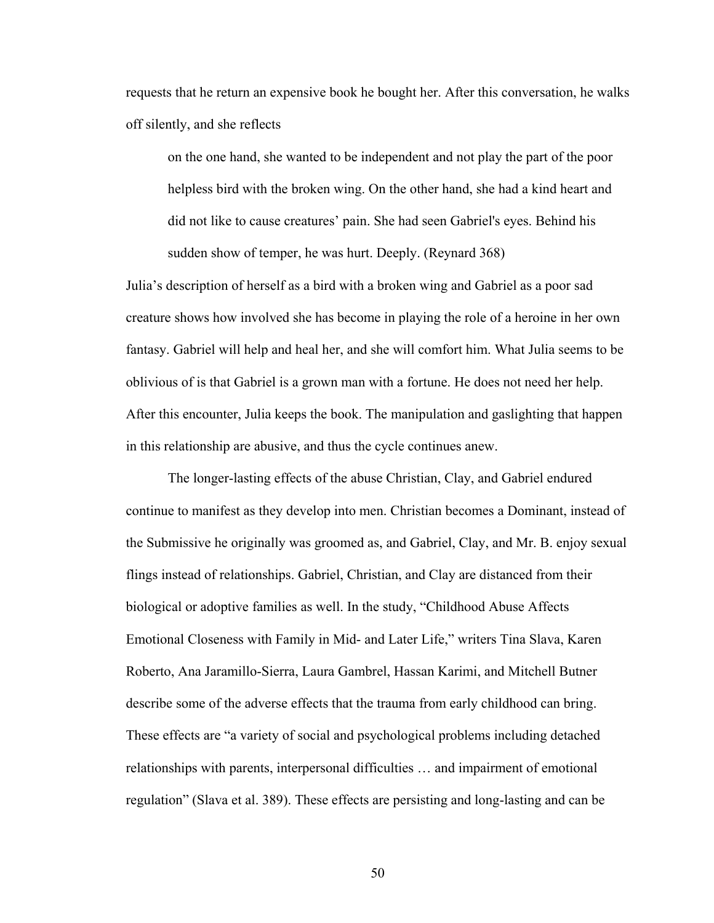requests that he return an expensive book he bought her. After this conversation, he walks off silently, and she reflects

on the one hand, she wanted to be independent and not play the part of the poor helpless bird with the broken wing. On the other hand, she had a kind heart and did not like to cause creatures' pain. She had seen Gabriel's eyes. Behind his sudden show of temper, he was hurt. Deeply. (Reynard 368)

Julia's description of herself as a bird with a broken wing and Gabriel as a poor sad creature shows how involved she has become in playing the role of a heroine in her own fantasy. Gabriel will help and heal her, and she will comfort him. What Julia seems to be oblivious of is that Gabriel is a grown man with a fortune. He does not need her help. After this encounter, Julia keeps the book. The manipulation and gaslighting that happen in this relationship are abusive, and thus the cycle continues anew.

The longer-lasting effects of the abuse Christian, Clay, and Gabriel endured continue to manifest as they develop into men. Christian becomes a Dominant, instead of the Submissive he originally was groomed as, and Gabriel, Clay, and Mr. B. enjoy sexual flings instead of relationships. Gabriel, Christian, and Clay are distanced from their biological or adoptive families as well. In the study, "Childhood Abuse Affects Emotional Closeness with Family in Mid- and Later Life," writers Tina Slava, Karen Roberto, Ana Jaramillo-Sierra, Laura Gambrel, Hassan Karimi, and Mitchell Butner describe some of the adverse effects that the trauma from early childhood can bring. These effects are "a variety of social and psychological problems including detached relationships with parents, interpersonal difficulties … and impairment of emotional regulation" (Slava et al. 389). These effects are persisting and long-lasting and can be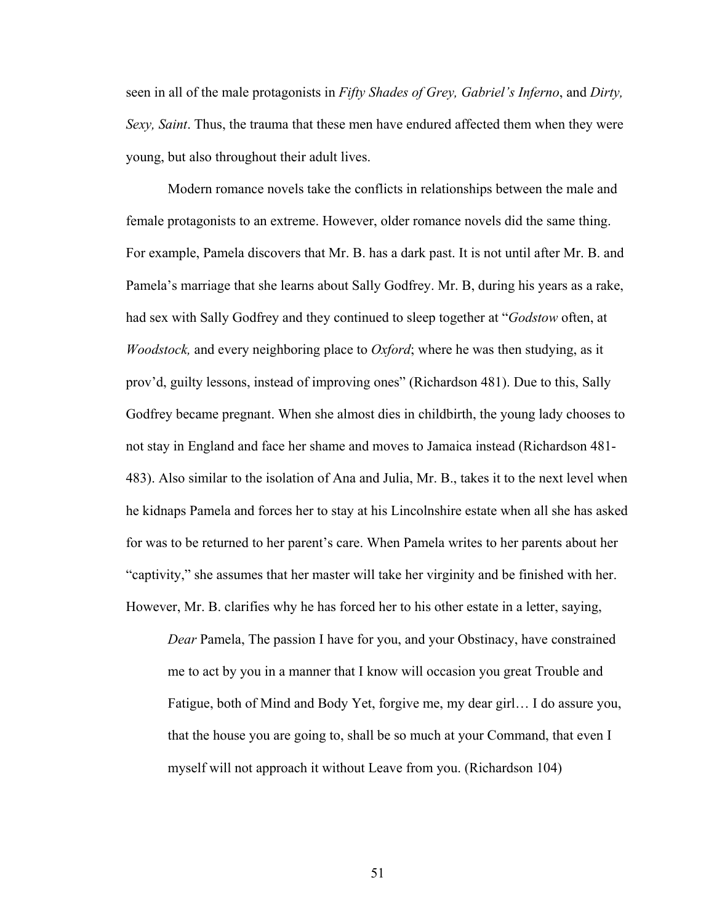seen in all of the male protagonists in *Fifty Shades of Grey, Gabriel's Inferno*, and *Dirty, Sexy, Saint*. Thus, the trauma that these men have endured affected them when they were young, but also throughout their adult lives.

Modern romance novels take the conflicts in relationships between the male and female protagonists to an extreme. However, older romance novels did the same thing. For example, Pamela discovers that Mr. B. has a dark past. It is not until after Mr. B. and Pamela's marriage that she learns about Sally Godfrey. Mr. B, during his years as a rake, had sex with Sally Godfrey and they continued to sleep together at "*Godstow* often, at *Woodstock,* and every neighboring place to *Oxford*; where he was then studying, as it prov'd, guilty lessons, instead of improving ones" (Richardson 481). Due to this, Sally Godfrey became pregnant. When she almost dies in childbirth, the young lady chooses to not stay in England and face her shame and moves to Jamaica instead (Richardson 481- 483). Also similar to the isolation of Ana and Julia, Mr. B., takes it to the next level when he kidnaps Pamela and forces her to stay at his Lincolnshire estate when all she has asked for was to be returned to her parent's care. When Pamela writes to her parents about her "captivity," she assumes that her master will take her virginity and be finished with her. However, Mr. B. clarifies why he has forced her to his other estate in a letter, saying,

*Dear* Pamela, The passion I have for you, and your Obstinacy, have constrained me to act by you in a manner that I know will occasion you great Trouble and Fatigue, both of Mind and Body Yet, forgive me, my dear girl… I do assure you, that the house you are going to, shall be so much at your Command, that even I myself will not approach it without Leave from you. (Richardson 104)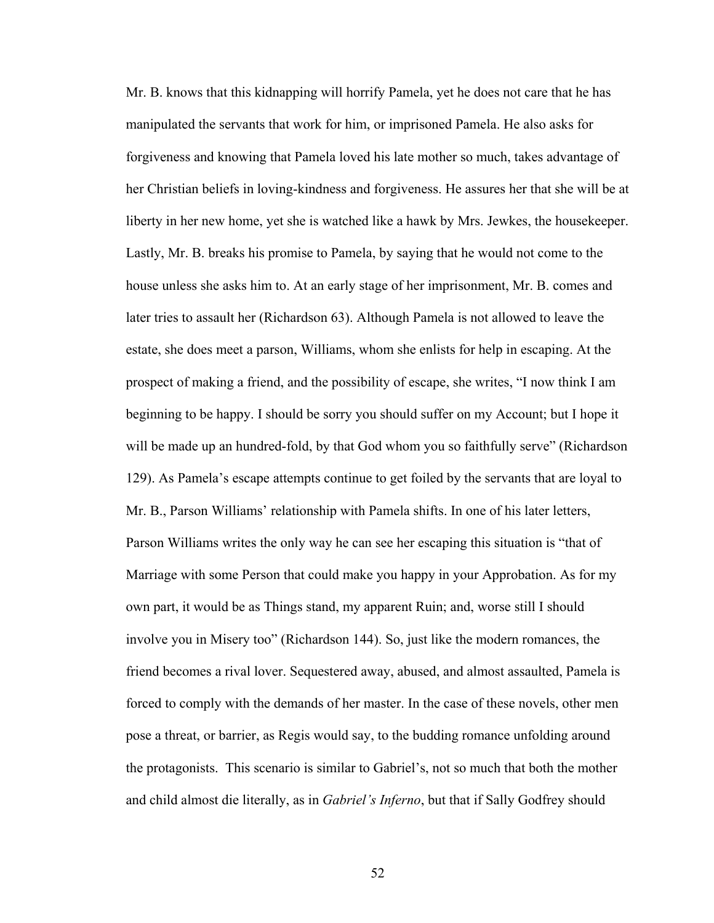Mr. B. knows that this kidnapping will horrify Pamela, yet he does not care that he has manipulated the servants that work for him, or imprisoned Pamela. He also asks for forgiveness and knowing that Pamela loved his late mother so much, takes advantage of her Christian beliefs in loving-kindness and forgiveness. He assures her that she will be at liberty in her new home, yet she is watched like a hawk by Mrs. Jewkes, the housekeeper. Lastly, Mr. B. breaks his promise to Pamela, by saying that he would not come to the house unless she asks him to. At an early stage of her imprisonment, Mr. B. comes and later tries to assault her (Richardson 63). Although Pamela is not allowed to leave the estate, she does meet a parson, Williams, whom she enlists for help in escaping. At the prospect of making a friend, and the possibility of escape, she writes, "I now think I am beginning to be happy. I should be sorry you should suffer on my Account; but I hope it will be made up an hundred-fold, by that God whom you so faithfully serve" (Richardson 129). As Pamela's escape attempts continue to get foiled by the servants that are loyal to Mr. B., Parson Williams' relationship with Pamela shifts. In one of his later letters, Parson Williams writes the only way he can see her escaping this situation is "that of Marriage with some Person that could make you happy in your Approbation. As for my own part, it would be as Things stand, my apparent Ruin; and, worse still I should involve you in Misery too" (Richardson 144). So, just like the modern romances, the friend becomes a rival lover. Sequestered away, abused, and almost assaulted, Pamela is forced to comply with the demands of her master. In the case of these novels, other men pose a threat, or barrier, as Regis would say, to the budding romance unfolding around the protagonists. This scenario is similar to Gabriel's, not so much that both the mother and child almost die literally, as in *Gabriel's Inferno*, but that if Sally Godfrey should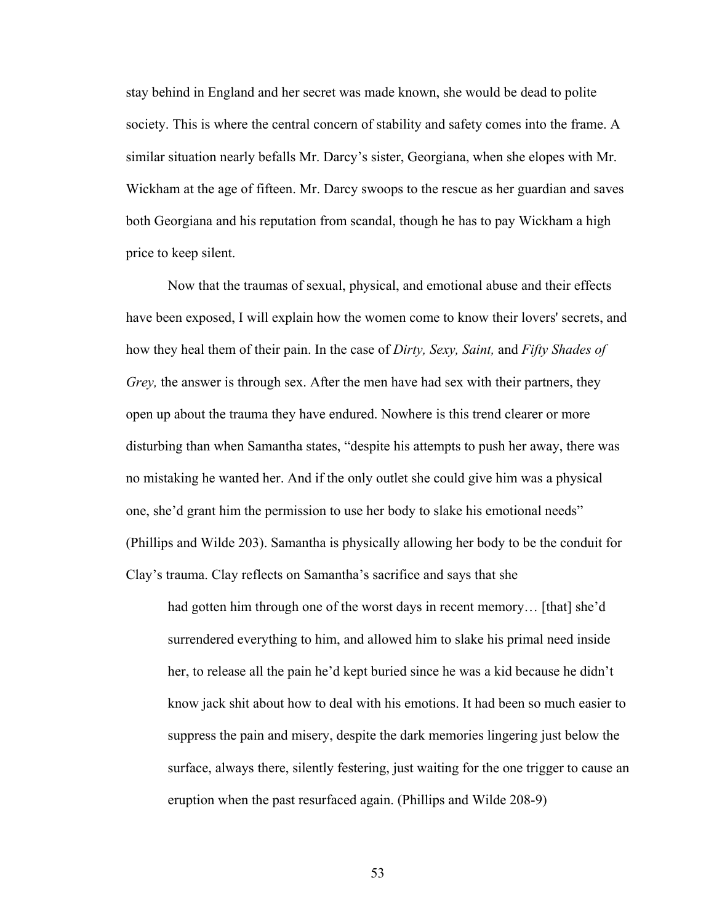stay behind in England and her secret was made known, she would be dead to polite society. This is where the central concern of stability and safety comes into the frame. A similar situation nearly befalls Mr. Darcy's sister, Georgiana, when she elopes with Mr. Wickham at the age of fifteen. Mr. Darcy swoops to the rescue as her guardian and saves both Georgiana and his reputation from scandal, though he has to pay Wickham a high price to keep silent.

Now that the traumas of sexual, physical, and emotional abuse and their effects have been exposed, I will explain how the women come to know their lovers' secrets, and how they heal them of their pain. In the case of *Dirty, Sexy, Saint,* and *Fifty Shades of Grey,* the answer is through sex. After the men have had sex with their partners, they open up about the trauma they have endured. Nowhere is this trend clearer or more disturbing than when Samantha states, "despite his attempts to push her away, there was no mistaking he wanted her. And if the only outlet she could give him was a physical one, she'd grant him the permission to use her body to slake his emotional needs" (Phillips and Wilde 203). Samantha is physically allowing her body to be the conduit for Clay's trauma. Clay reflects on Samantha's sacrifice and says that she

had gotten him through one of the worst days in recent memory... [that] she'd surrendered everything to him, and allowed him to slake his primal need inside her, to release all the pain he'd kept buried since he was a kid because he didn't know jack shit about how to deal with his emotions. It had been so much easier to suppress the pain and misery, despite the dark memories lingering just below the surface, always there, silently festering, just waiting for the one trigger to cause an eruption when the past resurfaced again. (Phillips and Wilde 208-9)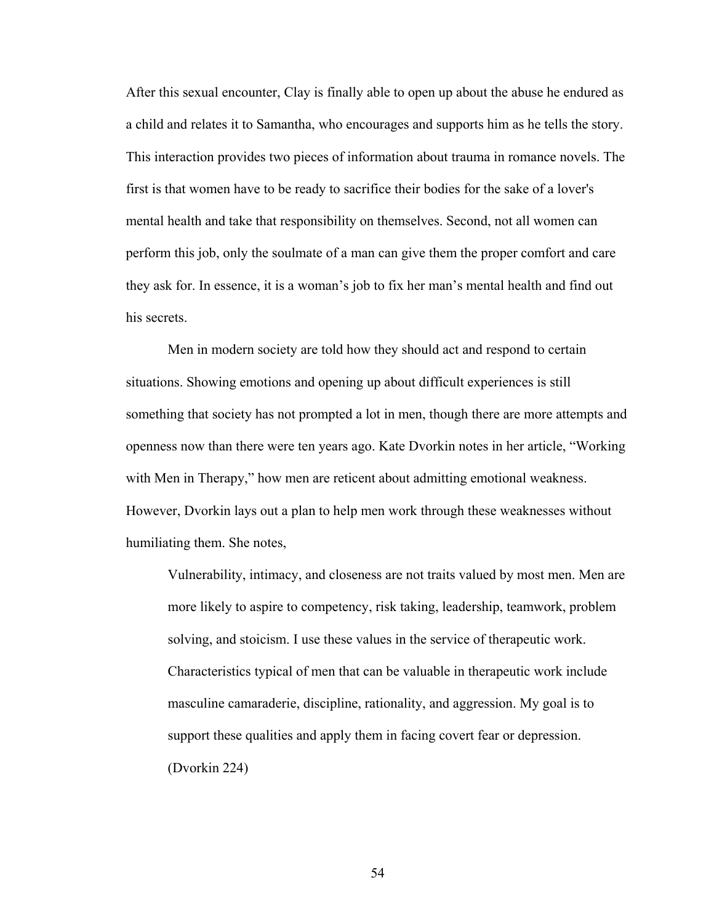After this sexual encounter, Clay is finally able to open up about the abuse he endured as a child and relates it to Samantha, who encourages and supports him as he tells the story. This interaction provides two pieces of information about trauma in romance novels. The first is that women have to be ready to sacrifice their bodies for the sake of a lover's mental health and take that responsibility on themselves. Second, not all women can perform this job, only the soulmate of a man can give them the proper comfort and care they ask for. In essence, it is a woman's job to fix her man's mental health and find out his secrets.

Men in modern society are told how they should act and respond to certain situations. Showing emotions and opening up about difficult experiences is still something that society has not prompted a lot in men, though there are more attempts and openness now than there were ten years ago. Kate Dvorkin notes in her article, "Working with Men in Therapy," how men are reticent about admitting emotional weakness. However, Dvorkin lays out a plan to help men work through these weaknesses without humiliating them. She notes,

Vulnerability, intimacy, and closeness are not traits valued by most men. Men are more likely to aspire to competency, risk taking, leadership, teamwork, problem solving, and stoicism. I use these values in the service of therapeutic work. Characteristics typical of men that can be valuable in therapeutic work include masculine camaraderie, discipline, rationality, and aggression. My goal is to support these qualities and apply them in facing covert fear or depression. (Dvorkin 224)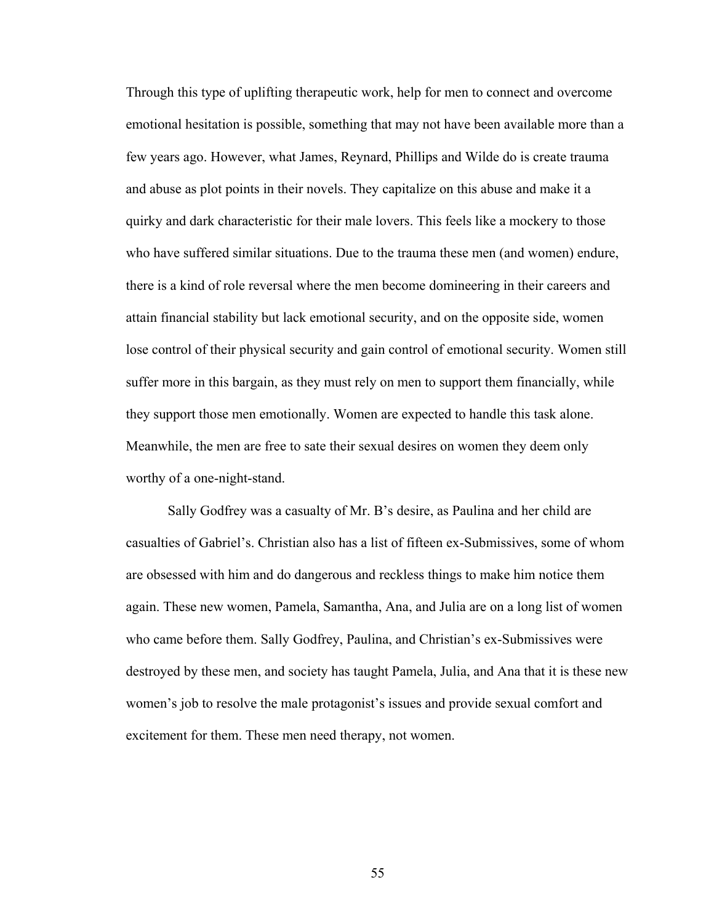Through this type of uplifting therapeutic work, help for men to connect and overcome emotional hesitation is possible, something that may not have been available more than a few years ago. However, what James, Reynard, Phillips and Wilde do is create trauma and abuse as plot points in their novels. They capitalize on this abuse and make it a quirky and dark characteristic for their male lovers. This feels like a mockery to those who have suffered similar situations. Due to the trauma these men (and women) endure, there is a kind of role reversal where the men become domineering in their careers and attain financial stability but lack emotional security, and on the opposite side, women lose control of their physical security and gain control of emotional security. Women still suffer more in this bargain, as they must rely on men to support them financially, while they support those men emotionally. Women are expected to handle this task alone. Meanwhile, the men are free to sate their sexual desires on women they deem only worthy of a one-night-stand.

Sally Godfrey was a casualty of Mr. B's desire, as Paulina and her child are casualties of Gabriel's. Christian also has a list of fifteen ex-Submissives, some of whom are obsessed with him and do dangerous and reckless things to make him notice them again. These new women, Pamela, Samantha, Ana, and Julia are on a long list of women who came before them. Sally Godfrey, Paulina, and Christian's ex-Submissives were destroyed by these men, and society has taught Pamela, Julia, and Ana that it is these new women's job to resolve the male protagonist's issues and provide sexual comfort and excitement for them. These men need therapy, not women.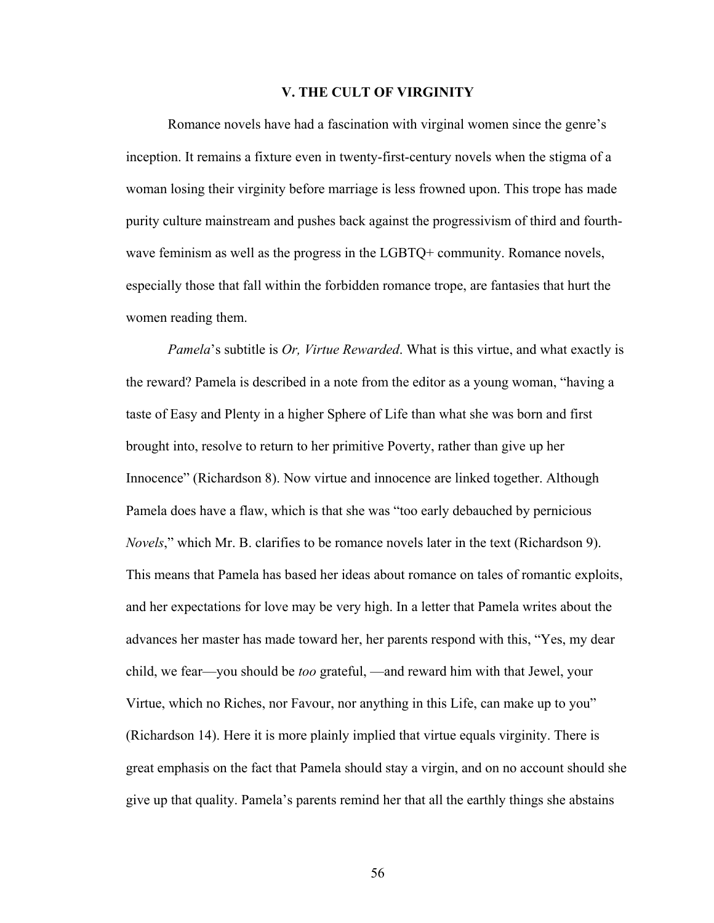## **V. THE CULT OF VIRGINITY**

Romance novels have had a fascination with virginal women since the genre's inception. It remains a fixture even in twenty-first-century novels when the stigma of a woman losing their virginity before marriage is less frowned upon. This trope has made purity culture mainstream and pushes back against the progressivism of third and fourthwave feminism as well as the progress in the LGBTQ+ community. Romance novels, especially those that fall within the forbidden romance trope, are fantasies that hurt the women reading them.

*Pamela*'s subtitle is *Or, Virtue Rewarded*. What is this virtue, and what exactly is the reward? Pamela is described in a note from the editor as a young woman, "having a taste of Easy and Plenty in a higher Sphere of Life than what she was born and first brought into, resolve to return to her primitive Poverty, rather than give up her Innocence" (Richardson 8). Now virtue and innocence are linked together. Although Pamela does have a flaw, which is that she was "too early debauched by pernicious *Novels*," which Mr. B. clarifies to be romance novels later in the text (Richardson 9). This means that Pamela has based her ideas about romance on tales of romantic exploits, and her expectations for love may be very high. In a letter that Pamela writes about the advances her master has made toward her, her parents respond with this, "Yes, my dear child, we fear—you should be *too* grateful, —and reward him with that Jewel, your Virtue, which no Riches, nor Favour, nor anything in this Life, can make up to you" (Richardson 14). Here it is more plainly implied that virtue equals virginity. There is great emphasis on the fact that Pamela should stay a virgin, and on no account should she give up that quality. Pamela's parents remind her that all the earthly things she abstains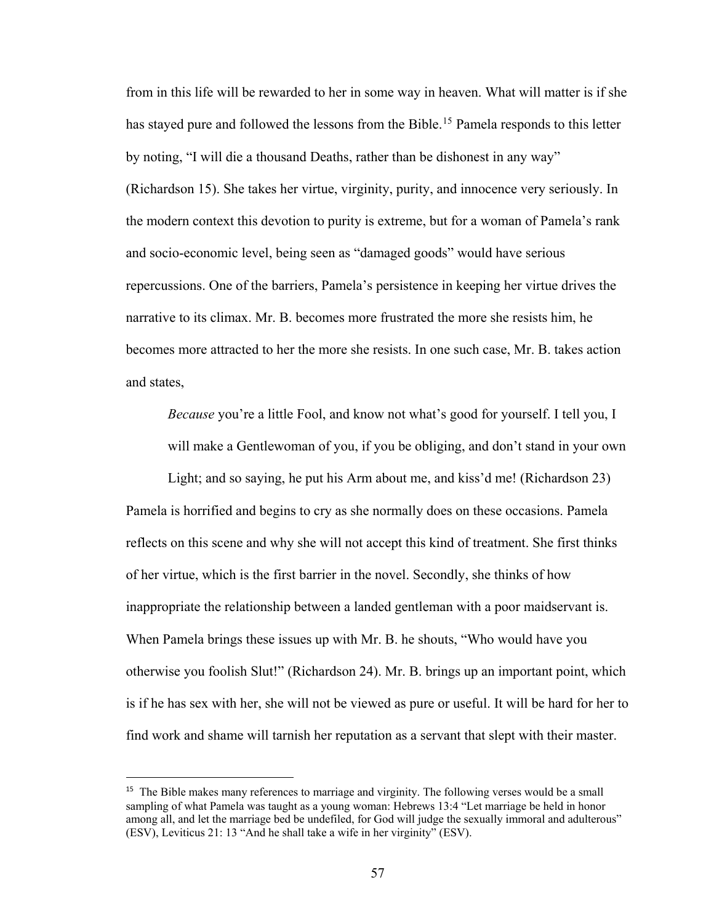from in this life will be rewarded to her in some way in heaven. What will matter is if she has stayed pure and followed the lessons from the Bible.<sup>[15](#page-62-0)</sup> Pamela responds to this letter by noting, "I will die a thousand Deaths, rather than be dishonest in any way" (Richardson 15). She takes her virtue, virginity, purity, and innocence very seriously. In the modern context this devotion to purity is extreme, but for a woman of Pamela's rank and socio-economic level, being seen as "damaged goods" would have serious repercussions. One of the barriers, Pamela's persistence in keeping her virtue drives the narrative to its climax. Mr. B. becomes more frustrated the more she resists him, he becomes more attracted to her the more she resists. In one such case, Mr. B. takes action and states,

*Because* you're a little Fool, and know not what's good for yourself. I tell you, I will make a Gentlewoman of you, if you be obliging, and don't stand in your own

Light; and so saying, he put his Arm about me, and kiss'd me! (Richardson 23) Pamela is horrified and begins to cry as she normally does on these occasions. Pamela reflects on this scene and why she will not accept this kind of treatment. She first thinks of her virtue, which is the first barrier in the novel. Secondly, she thinks of how inappropriate the relationship between a landed gentleman with a poor maidservant is. When Pamela brings these issues up with Mr. B. he shouts, "Who would have you otherwise you foolish Slut!" (Richardson 24). Mr. B. brings up an important point, which is if he has sex with her, she will not be viewed as pure or useful. It will be hard for her to find work and shame will tarnish her reputation as a servant that slept with their master.

 $\overline{a}$ 

<span id="page-62-0"></span><sup>&</sup>lt;sup>15</sup> The Bible makes many references to marriage and virginity. The following verses would be a small sampling of what Pamela was taught as a young woman: Hebrews 13:4 "Let marriage be held in honor among all, and let the marriage bed be undefiled, for God will judge the sexually immoral and adulterous" (ESV), Leviticus 21: 13 "And he shall take a wife in her virginity" (ESV).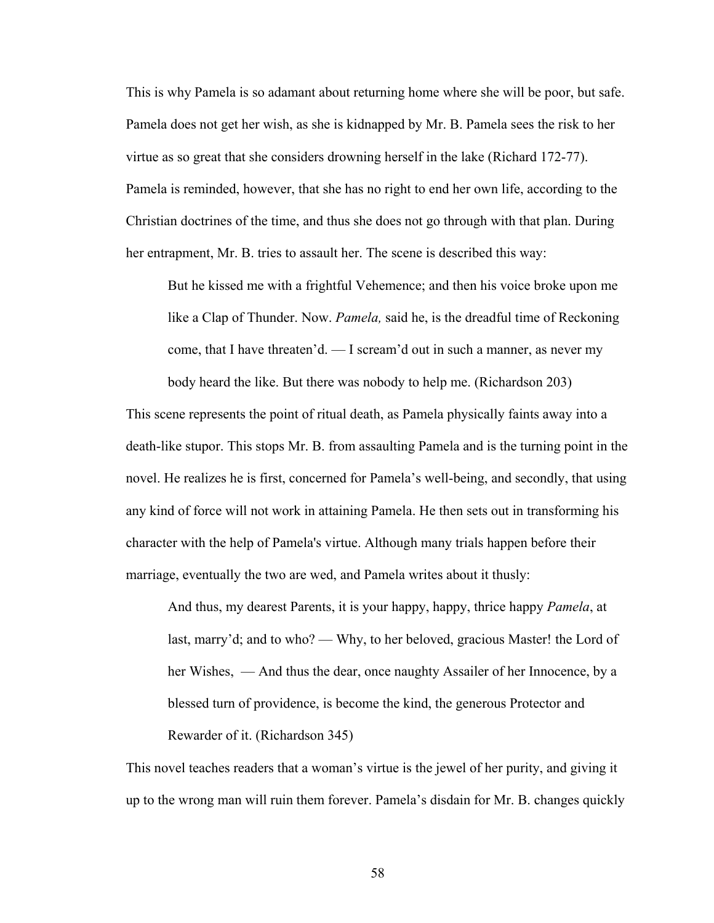This is why Pamela is so adamant about returning home where she will be poor, but safe. Pamela does not get her wish, as she is kidnapped by Mr. B. Pamela sees the risk to her virtue as so great that she considers drowning herself in the lake (Richard 172-77). Pamela is reminded, however, that she has no right to end her own life, according to the Christian doctrines of the time, and thus she does not go through with that plan. During her entrapment, Mr. B. tries to assault her. The scene is described this way:

But he kissed me with a frightful Vehemence; and then his voice broke upon me like a Clap of Thunder. Now. *Pamela,* said he, is the dreadful time of Reckoning come, that I have threaten'd. — I scream'd out in such a manner, as never my body heard the like. But there was nobody to help me. (Richardson 203)

This scene represents the point of ritual death, as Pamela physically faints away into a death-like stupor. This stops Mr. B. from assaulting Pamela and is the turning point in the novel. He realizes he is first, concerned for Pamela's well-being, and secondly, that using any kind of force will not work in attaining Pamela. He then sets out in transforming his character with the help of Pamela's virtue. Although many trials happen before their marriage, eventually the two are wed, and Pamela writes about it thusly:

 And thus, my dearest Parents, it is your happy, happy, thrice happy *Pamela*, at last, marry'd; and to who? — Why, to her beloved, gracious Master! the Lord of her Wishes, — And thus the dear, once naughty Assailer of her Innocence, by a blessed turn of providence, is become the kind, the generous Protector and Rewarder of it. (Richardson 345)

This novel teaches readers that a woman's virtue is the jewel of her purity, and giving it up to the wrong man will ruin them forever. Pamela's disdain for Mr. B. changes quickly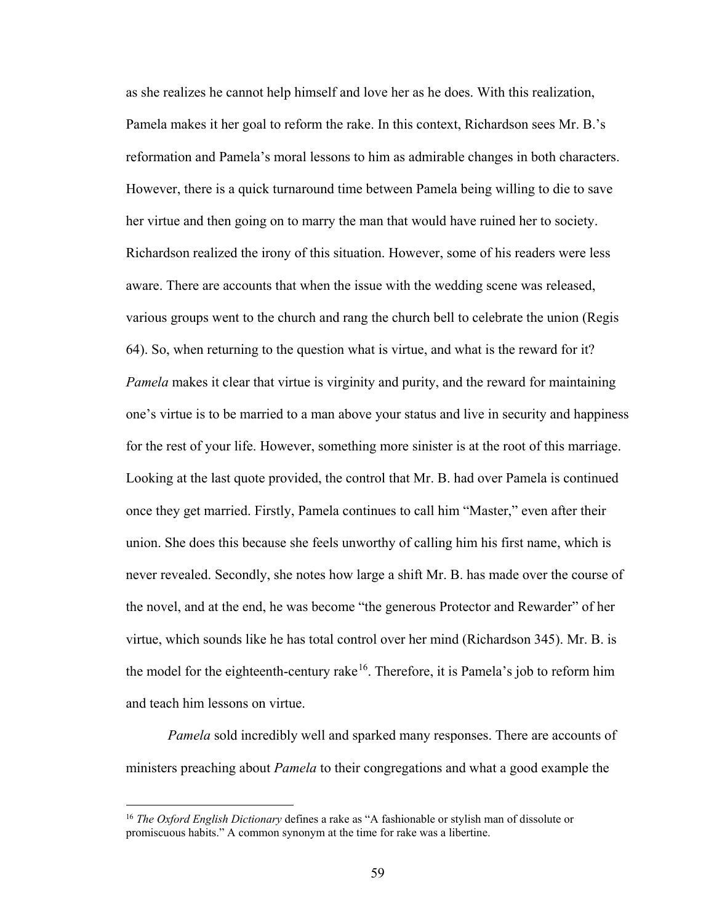as she realizes he cannot help himself and love her as he does. With this realization, Pamela makes it her goal to reform the rake. In this context, Richardson sees Mr. B.'s reformation and Pamela's moral lessons to him as admirable changes in both characters. However, there is a quick turnaround time between Pamela being willing to die to save her virtue and then going on to marry the man that would have ruined her to society. Richardson realized the irony of this situation. However, some of his readers were less aware. There are accounts that when the issue with the wedding scene was released, various groups went to the church and rang the church bell to celebrate the union (Regis 64). So, when returning to the question what is virtue, and what is the reward for it? *Pamela* makes it clear that virtue is virginity and purity, and the reward for maintaining one's virtue is to be married to a man above your status and live in security and happiness for the rest of your life. However, something more sinister is at the root of this marriage. Looking at the last quote provided, the control that Mr. B. had over Pamela is continued once they get married. Firstly, Pamela continues to call him "Master," even after their union. She does this because she feels unworthy of calling him his first name, which is never revealed. Secondly, she notes how large a shift Mr. B. has made over the course of the novel, and at the end, he was become "the generous Protector and Rewarder" of her virtue, which sounds like he has total control over her mind (Richardson 345). Mr. B. is the model for the eighteenth-century rake<sup>[16](#page-64-0)</sup>. Therefore, it is Pamela's job to reform him and teach him lessons on virtue.

*Pamela* sold incredibly well and sparked many responses. There are accounts of ministers preaching about *Pamela* to their congregations and what a good example the

 $\overline{a}$ 

<span id="page-64-0"></span><sup>16</sup> *The Oxford English Dictionary* defines a rake as "A fashionable or stylish man of dissolute or promiscuous habits." A common synonym at the time for rake was a libertine.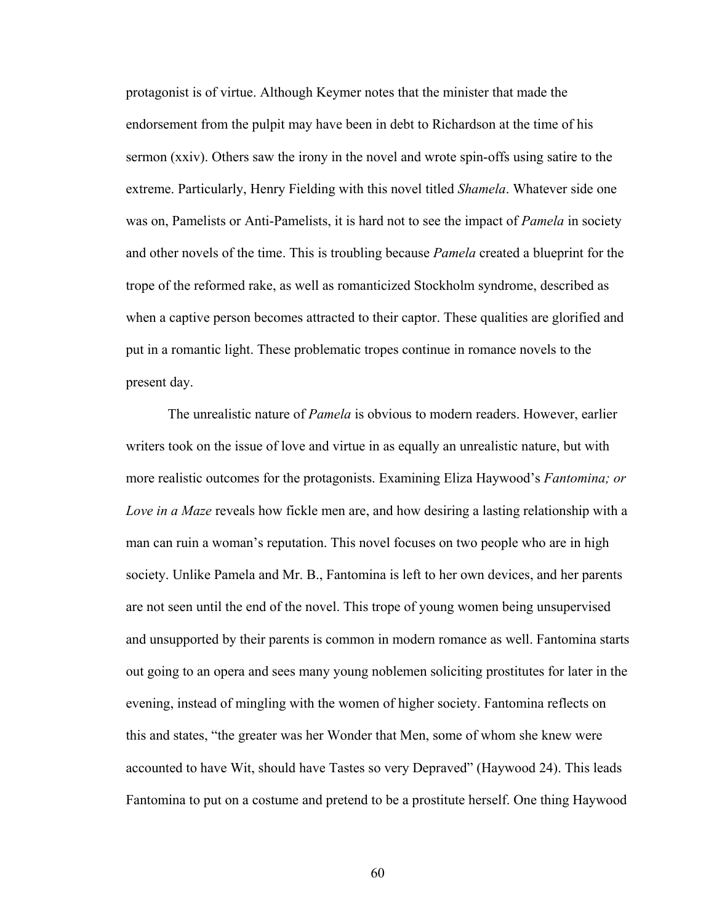protagonist is of virtue. Although Keymer notes that the minister that made the endorsement from the pulpit may have been in debt to Richardson at the time of his sermon (xxiv). Others saw the irony in the novel and wrote spin-offs using satire to the extreme. Particularly, Henry Fielding with this novel titled *Shamela*. Whatever side one was on, Pamelists or Anti-Pamelists, it is hard not to see the impact of *Pamela* in society and other novels of the time. This is troubling because *Pamela* created a blueprint for the trope of the reformed rake, as well as romanticized Stockholm syndrome, described as when a captive person becomes attracted to their captor. These qualities are glorified and put in a romantic light. These problematic tropes continue in romance novels to the present day.

The unrealistic nature of *Pamela* is obvious to modern readers. However, earlier writers took on the issue of love and virtue in as equally an unrealistic nature, but with more realistic outcomes for the protagonists. Examining Eliza Haywood's *Fantomina; or Love in a Maze* reveals how fickle men are, and how desiring a lasting relationship with a man can ruin a woman's reputation. This novel focuses on two people who are in high society. Unlike Pamela and Mr. B., Fantomina is left to her own devices, and her parents are not seen until the end of the novel. This trope of young women being unsupervised and unsupported by their parents is common in modern romance as well. Fantomina starts out going to an opera and sees many young noblemen soliciting prostitutes for later in the evening, instead of mingling with the women of higher society. Fantomina reflects on this and states, "the greater was her Wonder that Men, some of whom she knew were accounted to have Wit, should have Tastes so very Depraved" (Haywood 24). This leads Fantomina to put on a costume and pretend to be a prostitute herself. One thing Haywood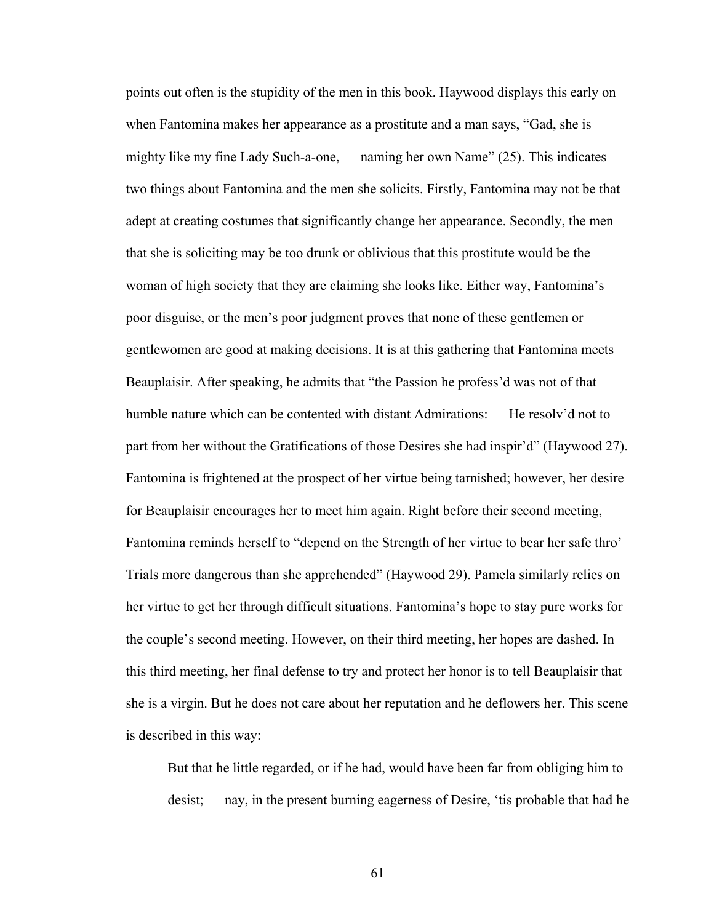points out often is the stupidity of the men in this book. Haywood displays this early on when Fantomina makes her appearance as a prostitute and a man says, "Gad, she is mighty like my fine Lady Such-a-one, — naming her own Name" (25). This indicates two things about Fantomina and the men she solicits. Firstly, Fantomina may not be that adept at creating costumes that significantly change her appearance. Secondly, the men that she is soliciting may be too drunk or oblivious that this prostitute would be the woman of high society that they are claiming she looks like. Either way, Fantomina's poor disguise, or the men's poor judgment proves that none of these gentlemen or gentlewomen are good at making decisions. It is at this gathering that Fantomina meets Beauplaisir. After speaking, he admits that "the Passion he profess'd was not of that humble nature which can be contented with distant Admirations: — He resolv'd not to part from her without the Gratifications of those Desires she had inspir'd" (Haywood 27). Fantomina is frightened at the prospect of her virtue being tarnished; however, her desire for Beauplaisir encourages her to meet him again. Right before their second meeting, Fantomina reminds herself to "depend on the Strength of her virtue to bear her safe thro' Trials more dangerous than she apprehended" (Haywood 29). Pamela similarly relies on her virtue to get her through difficult situations. Fantomina's hope to stay pure works for the couple's second meeting. However, on their third meeting, her hopes are dashed. In this third meeting, her final defense to try and protect her honor is to tell Beauplaisir that she is a virgin. But he does not care about her reputation and he deflowers her. This scene is described in this way:

 But that he little regarded, or if he had, would have been far from obliging him to desist; — nay, in the present burning eagerness of Desire, 'tis probable that had he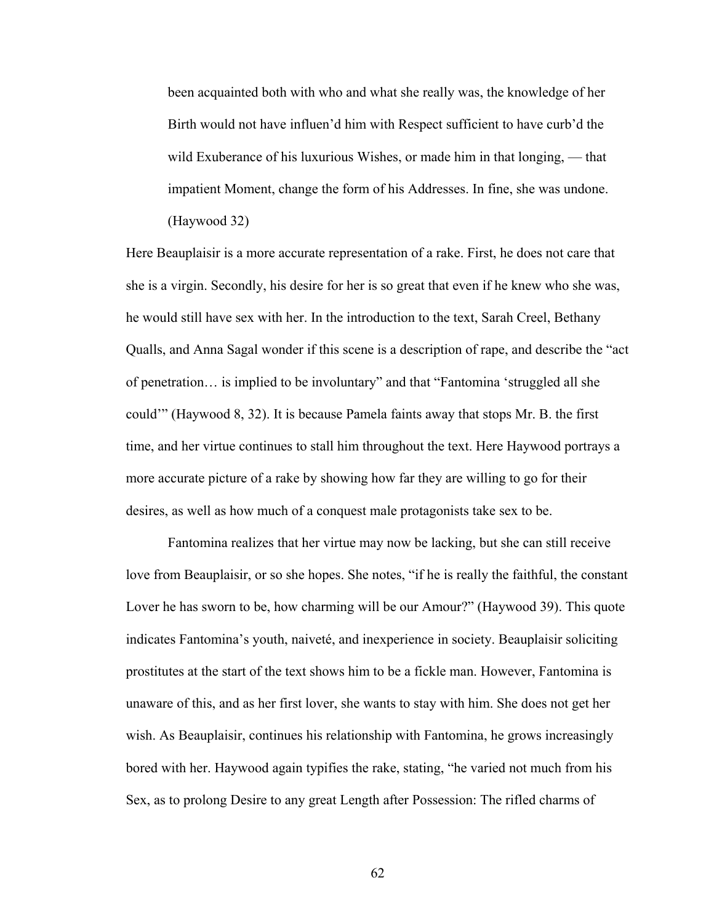been acquainted both with who and what she really was, the knowledge of her Birth would not have influen'd him with Respect sufficient to have curb'd the wild Exuberance of his luxurious Wishes, or made him in that longing, — that impatient Moment, change the form of his Addresses. In fine, she was undone. (Haywood 32)

Here Beauplaisir is a more accurate representation of a rake. First, he does not care that she is a virgin. Secondly, his desire for her is so great that even if he knew who she was, he would still have sex with her. In the introduction to the text, Sarah Creel, Bethany Qualls, and Anna Sagal wonder if this scene is a description of rape, and describe the "act of penetration… is implied to be involuntary" and that "Fantomina 'struggled all she could'" (Haywood 8, 32). It is because Pamela faints away that stops Mr. B. the first time, and her virtue continues to stall him throughout the text. Here Haywood portrays a more accurate picture of a rake by showing how far they are willing to go for their desires, as well as how much of a conquest male protagonists take sex to be.

Fantomina realizes that her virtue may now be lacking, but she can still receive love from Beauplaisir, or so she hopes. She notes, "if he is really the faithful, the constant Lover he has sworn to be, how charming will be our Amour?" (Haywood 39). This quote indicates Fantomina's youth, naiveté, and inexperience in society. Beauplaisir soliciting prostitutes at the start of the text shows him to be a fickle man. However, Fantomina is unaware of this, and as her first lover, she wants to stay with him. She does not get her wish. As Beauplaisir, continues his relationship with Fantomina, he grows increasingly bored with her. Haywood again typifies the rake, stating, "he varied not much from his Sex, as to prolong Desire to any great Length after Possession: The rifled charms of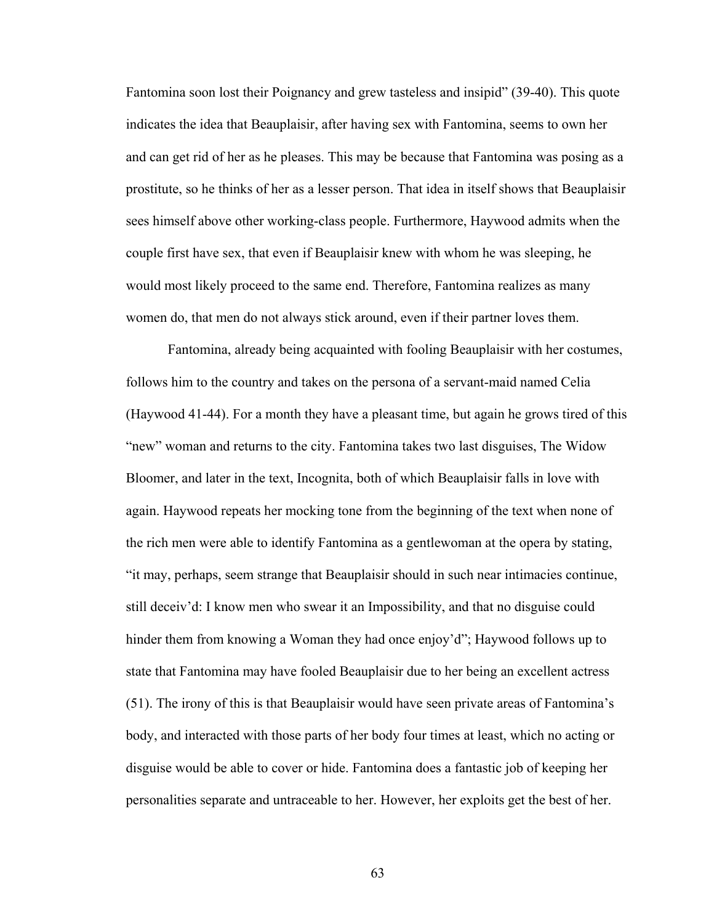Fantomina soon lost their Poignancy and grew tasteless and insipid" (39-40). This quote indicates the idea that Beauplaisir, after having sex with Fantomina, seems to own her and can get rid of her as he pleases. This may be because that Fantomina was posing as a prostitute, so he thinks of her as a lesser person. That idea in itself shows that Beauplaisir sees himself above other working-class people. Furthermore, Haywood admits when the couple first have sex, that even if Beauplaisir knew with whom he was sleeping, he would most likely proceed to the same end. Therefore, Fantomina realizes as many women do, that men do not always stick around, even if their partner loves them.

Fantomina, already being acquainted with fooling Beauplaisir with her costumes, follows him to the country and takes on the persona of a servant-maid named Celia (Haywood 41-44). For a month they have a pleasant time, but again he grows tired of this "new" woman and returns to the city. Fantomina takes two last disguises, The Widow Bloomer, and later in the text, Incognita, both of which Beauplaisir falls in love with again. Haywood repeats her mocking tone from the beginning of the text when none of the rich men were able to identify Fantomina as a gentlewoman at the opera by stating, "it may, perhaps, seem strange that Beauplaisir should in such near intimacies continue, still deceiv'd: I know men who swear it an Impossibility, and that no disguise could hinder them from knowing a Woman they had once enjoy'd"; Haywood follows up to state that Fantomina may have fooled Beauplaisir due to her being an excellent actress (51). The irony of this is that Beauplaisir would have seen private areas of Fantomina's body, and interacted with those parts of her body four times at least, which no acting or disguise would be able to cover or hide. Fantomina does a fantastic job of keeping her personalities separate and untraceable to her. However, her exploits get the best of her.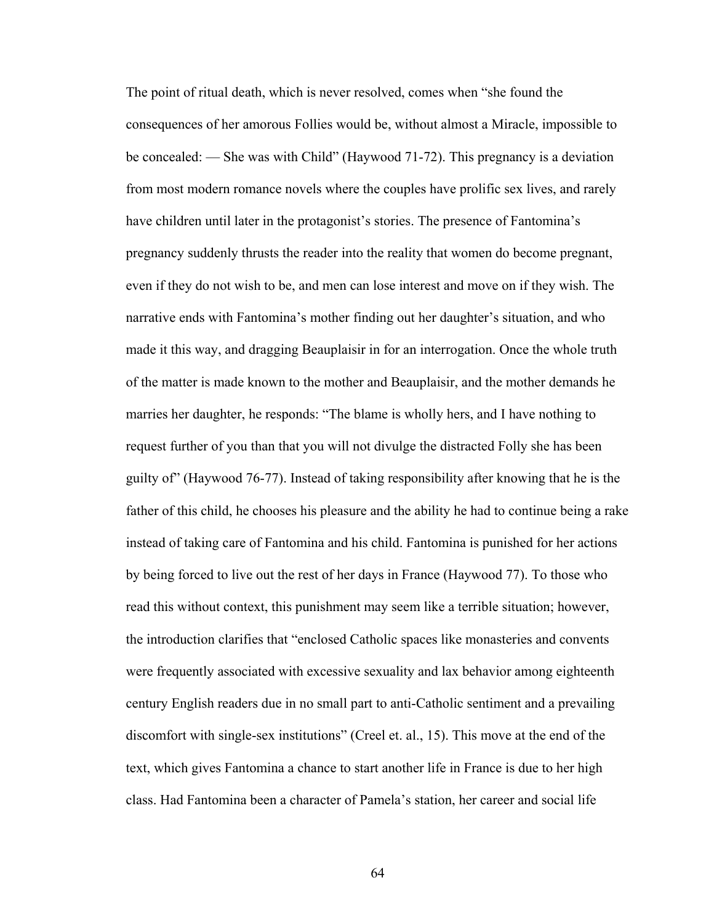The point of ritual death, which is never resolved, comes when "she found the consequences of her amorous Follies would be, without almost a Miracle, impossible to be concealed: — She was with Child" (Haywood 71-72). This pregnancy is a deviation from most modern romance novels where the couples have prolific sex lives, and rarely have children until later in the protagonist's stories. The presence of Fantomina's pregnancy suddenly thrusts the reader into the reality that women do become pregnant, even if they do not wish to be, and men can lose interest and move on if they wish. The narrative ends with Fantomina's mother finding out her daughter's situation, and who made it this way, and dragging Beauplaisir in for an interrogation. Once the whole truth of the matter is made known to the mother and Beauplaisir, and the mother demands he marries her daughter, he responds: "The blame is wholly hers, and I have nothing to request further of you than that you will not divulge the distracted Folly she has been guilty of" (Haywood 76-77). Instead of taking responsibility after knowing that he is the father of this child, he chooses his pleasure and the ability he had to continue being a rake instead of taking care of Fantomina and his child. Fantomina is punished for her actions by being forced to live out the rest of her days in France (Haywood 77). To those who read this without context, this punishment may seem like a terrible situation; however, the introduction clarifies that "enclosed Catholic spaces like monasteries and convents were frequently associated with excessive sexuality and lax behavior among eighteenth century English readers due in no small part to anti-Catholic sentiment and a prevailing discomfort with single-sex institutions" (Creel et. al., 15). This move at the end of the text, which gives Fantomina a chance to start another life in France is due to her high class. Had Fantomina been a character of Pamela's station, her career and social life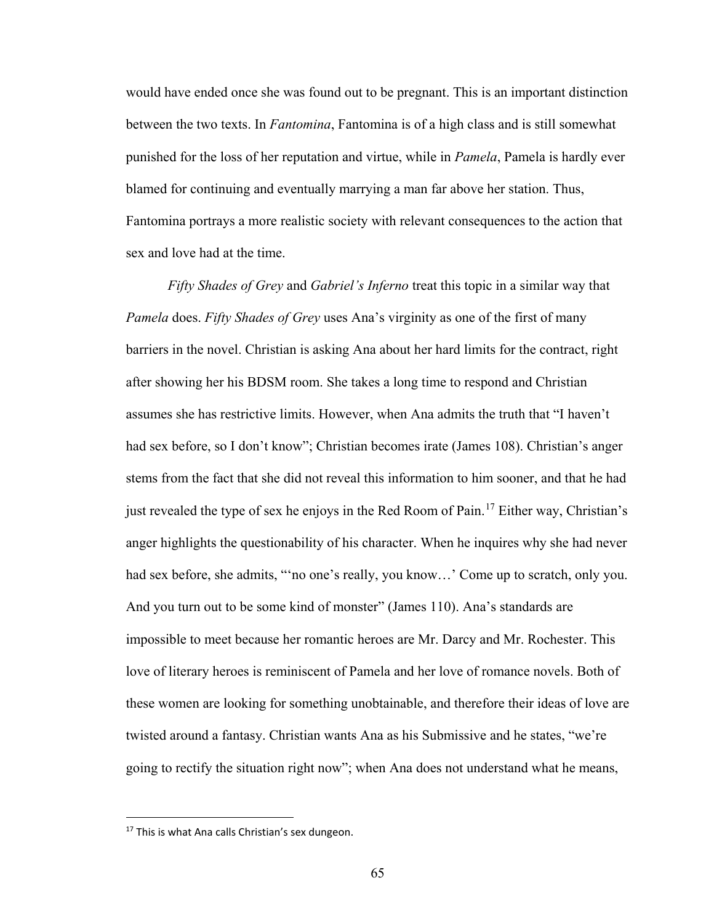would have ended once she was found out to be pregnant. This is an important distinction between the two texts. In *Fantomina*, Fantomina is of a high class and is still somewhat punished for the loss of her reputation and virtue, while in *Pamela*, Pamela is hardly ever blamed for continuing and eventually marrying a man far above her station. Thus, Fantomina portrays a more realistic society with relevant consequences to the action that sex and love had at the time.

*Fifty Shades of Grey* and *Gabriel's Inferno* treat this topic in a similar way that *Pamela* does. *Fifty Shades of Grey* uses Ana's virginity as one of the first of many barriers in the novel. Christian is asking Ana about her hard limits for the contract, right after showing her his BDSM room. She takes a long time to respond and Christian assumes she has restrictive limits. However, when Ana admits the truth that "I haven't had sex before, so I don't know"; Christian becomes irate (James 108). Christian's anger stems from the fact that she did not reveal this information to him sooner, and that he had just revealed the type of sex he enjoys in the Red Room of Pain.<sup>[17](#page-70-0)</sup> Either way, Christian's anger highlights the questionability of his character. When he inquires why she had never had sex before, she admits, "no one's really, you know...' Come up to scratch, only you. And you turn out to be some kind of monster" (James 110). Ana's standards are impossible to meet because her romantic heroes are Mr. Darcy and Mr. Rochester. This love of literary heroes is reminiscent of Pamela and her love of romance novels. Both of these women are looking for something unobtainable, and therefore their ideas of love are twisted around a fantasy. Christian wants Ana as his Submissive and he states, "we're going to rectify the situation right now"; when Ana does not understand what he means,

 $\overline{a}$ 

<span id="page-70-0"></span><sup>&</sup>lt;sup>17</sup> This is what Ana calls Christian's sex dungeon.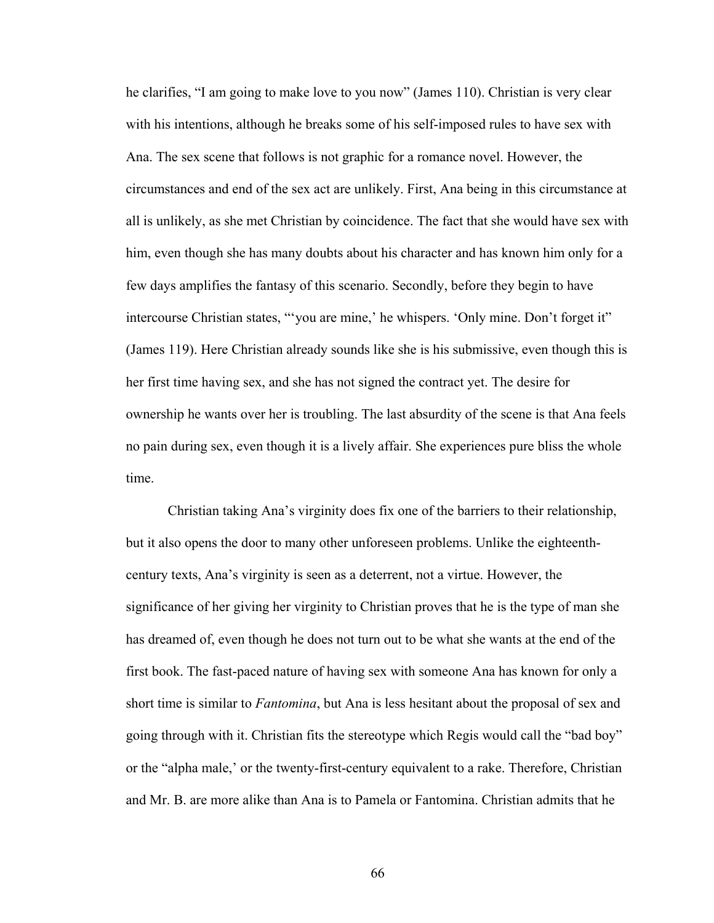he clarifies, "I am going to make love to you now" (James 110). Christian is very clear with his intentions, although he breaks some of his self-imposed rules to have sex with Ana. The sex scene that follows is not graphic for a romance novel. However, the circumstances and end of the sex act are unlikely. First, Ana being in this circumstance at all is unlikely, as she met Christian by coincidence. The fact that she would have sex with him, even though she has many doubts about his character and has known him only for a few days amplifies the fantasy of this scenario. Secondly, before they begin to have intercourse Christian states, "'you are mine,' he whispers. 'Only mine. Don't forget it" (James 119). Here Christian already sounds like she is his submissive, even though this is her first time having sex, and she has not signed the contract yet. The desire for ownership he wants over her is troubling. The last absurdity of the scene is that Ana feels no pain during sex, even though it is a lively affair. She experiences pure bliss the whole time.

Christian taking Ana's virginity does fix one of the barriers to their relationship, but it also opens the door to many other unforeseen problems. Unlike the eighteenthcentury texts, Ana's virginity is seen as a deterrent, not a virtue. However, the significance of her giving her virginity to Christian proves that he is the type of man she has dreamed of, even though he does not turn out to be what she wants at the end of the first book. The fast-paced nature of having sex with someone Ana has known for only a short time is similar to *Fantomina*, but Ana is less hesitant about the proposal of sex and going through with it. Christian fits the stereotype which Regis would call the "bad boy" or the "alpha male,' or the twenty-first-century equivalent to a rake. Therefore, Christian and Mr. B. are more alike than Ana is to Pamela or Fantomina. Christian admits that he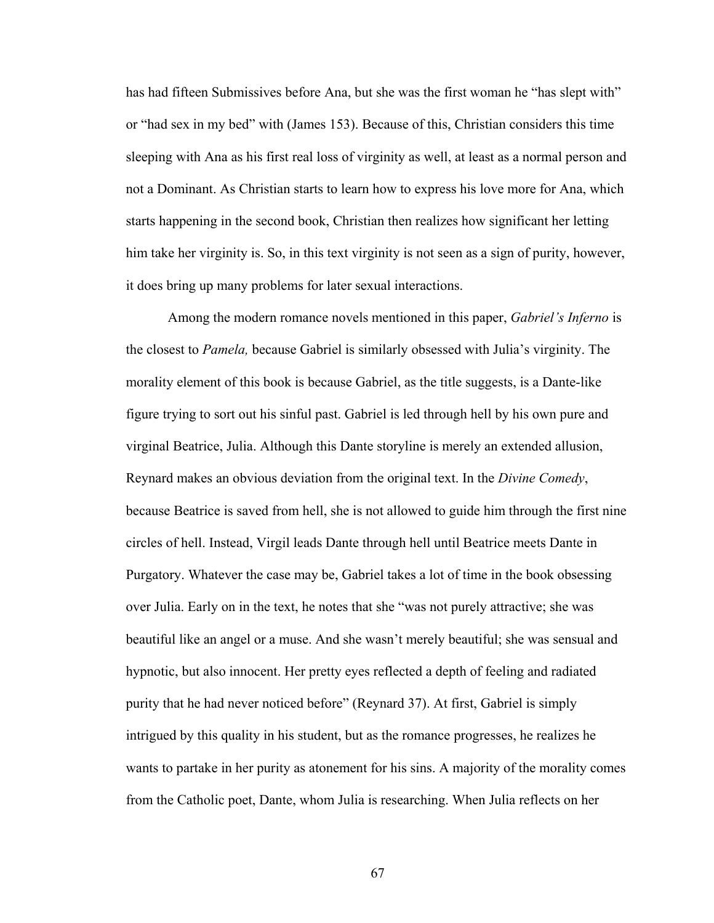has had fifteen Submissives before Ana, but she was the first woman he "has slept with" or "had sex in my bed" with (James 153). Because of this, Christian considers this time sleeping with Ana as his first real loss of virginity as well, at least as a normal person and not a Dominant. As Christian starts to learn how to express his love more for Ana, which starts happening in the second book, Christian then realizes how significant her letting him take her virginity is. So, in this text virginity is not seen as a sign of purity, however, it does bring up many problems for later sexual interactions.

 Among the modern romance novels mentioned in this paper, *Gabriel's Inferno* is the closest to *Pamela,* because Gabriel is similarly obsessed with Julia's virginity. The morality element of this book is because Gabriel, as the title suggests, is a Dante-like figure trying to sort out his sinful past. Gabriel is led through hell by his own pure and virginal Beatrice, Julia. Although this Dante storyline is merely an extended allusion, Reynard makes an obvious deviation from the original text. In the *Divine Comedy*, because Beatrice is saved from hell, she is not allowed to guide him through the first nine circles of hell. Instead, Virgil leads Dante through hell until Beatrice meets Dante in Purgatory. Whatever the case may be, Gabriel takes a lot of time in the book obsessing over Julia. Early on in the text, he notes that she "was not purely attractive; she was beautiful like an angel or a muse. And she wasn't merely beautiful; she was sensual and hypnotic, but also innocent. Her pretty eyes reflected a depth of feeling and radiated purity that he had never noticed before" (Reynard 37). At first, Gabriel is simply intrigued by this quality in his student, but as the romance progresses, he realizes he wants to partake in her purity as atonement for his sins. A majority of the morality comes from the Catholic poet, Dante, whom Julia is researching. When Julia reflects on her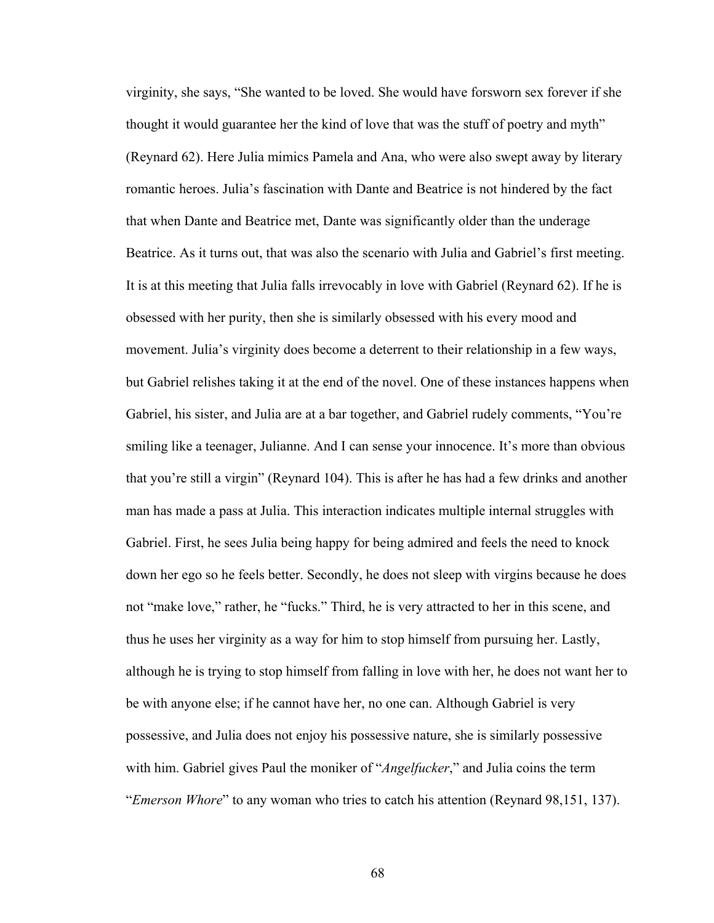virginity, she says, "She wanted to be loved. She would have forsworn sex forever if she thought it would guarantee her the kind of love that was the stuff of poetry and myth" (Reynard 62). Here Julia mimics Pamela and Ana, who were also swept away by literary romantic heroes. Julia's fascination with Dante and Beatrice is not hindered by the fact that when Dante and Beatrice met, Dante was significantly older than the underage Beatrice. As it turns out, that was also the scenario with Julia and Gabriel's first meeting. It is at this meeting that Julia falls irrevocably in love with Gabriel (Reynard 62). If he is obsessed with her purity, then she is similarly obsessed with his every mood and movement. Julia's virginity does become a deterrent to their relationship in a few ways, but Gabriel relishes taking it at the end of the novel. One of these instances happens when Gabriel, his sister, and Julia are at a bar together, and Gabriel rudely comments, "You're smiling like a teenager, Julianne. And I can sense your innocence. It's more than obvious that you're still a virgin" (Reynard 104). This is after he has had a few drinks and another man has made a pass at Julia. This interaction indicates multiple internal struggles with Gabriel. First, he sees Julia being happy for being admired and feels the need to knock down her ego so he feels better. Secondly, he does not sleep with virgins because he does not "make love," rather, he "fucks." Third, he is very attracted to her in this scene, and thus he uses her virginity as a way for him to stop himself from pursuing her. Lastly, although he is trying to stop himself from falling in love with her, he does not want her to be with anyone else; if he cannot have her, no one can. Although Gabriel is very possessive, and Julia does not enjoy his possessive nature, she is similarly possessive with him. Gabriel gives Paul the moniker of "*Angelfucker*," and Julia coins the term "*Emerson Whore*" to any woman who tries to catch his attention (Reynard 98,151, 137).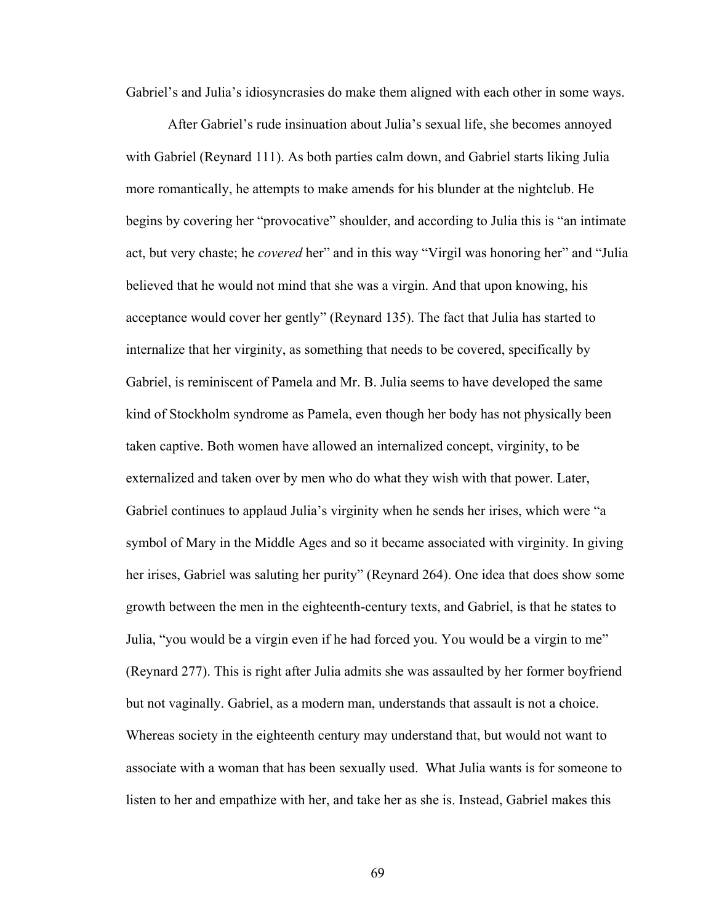Gabriel's and Julia's idiosyncrasies do make them aligned with each other in some ways.

 After Gabriel's rude insinuation about Julia's sexual life, she becomes annoyed with Gabriel (Reynard 111). As both parties calm down, and Gabriel starts liking Julia more romantically, he attempts to make amends for his blunder at the nightclub. He begins by covering her "provocative" shoulder, and according to Julia this is "an intimate act, but very chaste; he *covered* her" and in this way "Virgil was honoring her" and "Julia believed that he would not mind that she was a virgin. And that upon knowing, his acceptance would cover her gently" (Reynard 135). The fact that Julia has started to internalize that her virginity, as something that needs to be covered, specifically by Gabriel, is reminiscent of Pamela and Mr. B. Julia seems to have developed the same kind of Stockholm syndrome as Pamela, even though her body has not physically been taken captive. Both women have allowed an internalized concept, virginity, to be externalized and taken over by men who do what they wish with that power. Later, Gabriel continues to applaud Julia's virginity when he sends her irises, which were "a symbol of Mary in the Middle Ages and so it became associated with virginity. In giving her irises, Gabriel was saluting her purity" (Reynard 264). One idea that does show some growth between the men in the eighteenth-century texts, and Gabriel, is that he states to Julia, "you would be a virgin even if he had forced you. You would be a virgin to me" (Reynard 277). This is right after Julia admits she was assaulted by her former boyfriend but not vaginally. Gabriel, as a modern man, understands that assault is not a choice. Whereas society in the eighteenth century may understand that, but would not want to associate with a woman that has been sexually used. What Julia wants is for someone to listen to her and empathize with her, and take her as she is. Instead, Gabriel makes this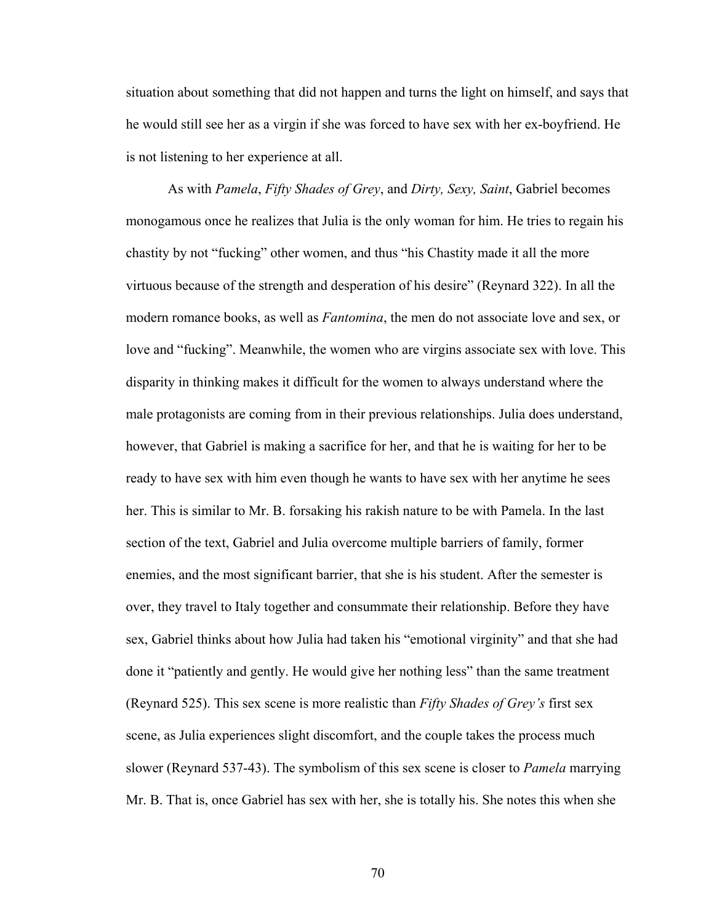situation about something that did not happen and turns the light on himself, and says that he would still see her as a virgin if she was forced to have sex with her ex-boyfriend. He is not listening to her experience at all.

As with *Pamela*, *Fifty Shades of Grey*, and *Dirty, Sexy, Saint*, Gabriel becomes monogamous once he realizes that Julia is the only woman for him. He tries to regain his chastity by not "fucking" other women, and thus "his Chastity made it all the more virtuous because of the strength and desperation of his desire" (Reynard 322). In all the modern romance books, as well as *Fantomina*, the men do not associate love and sex, or love and "fucking". Meanwhile, the women who are virgins associate sex with love. This disparity in thinking makes it difficult for the women to always understand where the male protagonists are coming from in their previous relationships. Julia does understand, however, that Gabriel is making a sacrifice for her, and that he is waiting for her to be ready to have sex with him even though he wants to have sex with her anytime he sees her. This is similar to Mr. B. forsaking his rakish nature to be with Pamela. In the last section of the text, Gabriel and Julia overcome multiple barriers of family, former enemies, and the most significant barrier, that she is his student. After the semester is over, they travel to Italy together and consummate their relationship. Before they have sex, Gabriel thinks about how Julia had taken his "emotional virginity" and that she had done it "patiently and gently. He would give her nothing less" than the same treatment (Reynard 525). This sex scene is more realistic than *Fifty Shades of Grey's* first sex scene, as Julia experiences slight discomfort, and the couple takes the process much slower (Reynard 537-43). The symbolism of this sex scene is closer to *Pamela* marrying Mr. B. That is, once Gabriel has sex with her, she is totally his. She notes this when she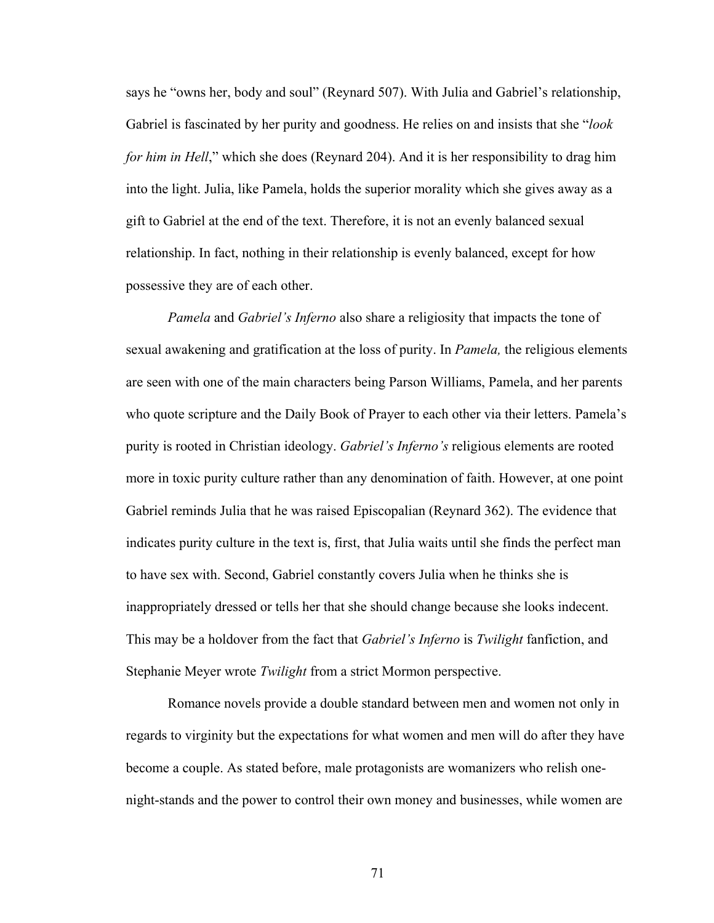says he "owns her, body and soul" (Reynard 507). With Julia and Gabriel's relationship, Gabriel is fascinated by her purity and goodness. He relies on and insists that she "*look for him in Hell*," which she does (Reynard 204). And it is her responsibility to drag him into the light. Julia, like Pamela, holds the superior morality which she gives away as a gift to Gabriel at the end of the text. Therefore, it is not an evenly balanced sexual relationship. In fact, nothing in their relationship is evenly balanced, except for how possessive they are of each other.

*Pamela* and *Gabriel's Inferno* also share a religiosity that impacts the tone of sexual awakening and gratification at the loss of purity. In *Pamela,* the religious elements are seen with one of the main characters being Parson Williams, Pamela, and her parents who quote scripture and the Daily Book of Prayer to each other via their letters. Pamela's purity is rooted in Christian ideology. *Gabriel's Inferno's* religious elements are rooted more in toxic purity culture rather than any denomination of faith. However, at one point Gabriel reminds Julia that he was raised Episcopalian (Reynard 362). The evidence that indicates purity culture in the text is, first, that Julia waits until she finds the perfect man to have sex with. Second, Gabriel constantly covers Julia when he thinks she is inappropriately dressed or tells her that she should change because she looks indecent. This may be a holdover from the fact that *Gabriel's Inferno* is *Twilight* fanfiction, and Stephanie Meyer wrote *Twilight* from a strict Mormon perspective.

 Romance novels provide a double standard between men and women not only in regards to virginity but the expectations for what women and men will do after they have become a couple. As stated before, male protagonists are womanizers who relish onenight-stands and the power to control their own money and businesses, while women are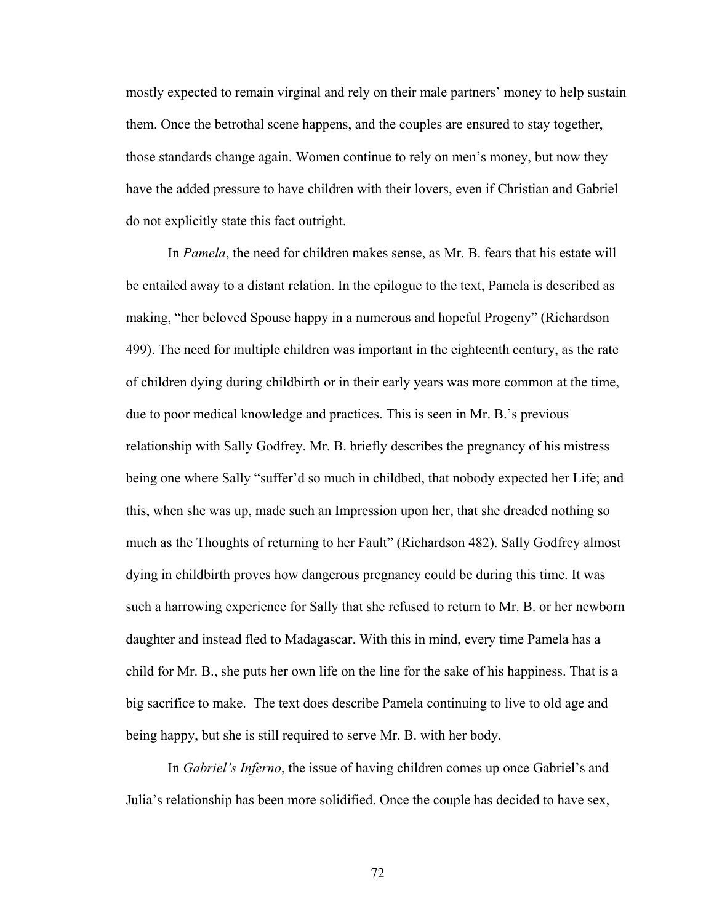mostly expected to remain virginal and rely on their male partners' money to help sustain them. Once the betrothal scene happens, and the couples are ensured to stay together, those standards change again. Women continue to rely on men's money, but now they have the added pressure to have children with their lovers, even if Christian and Gabriel do not explicitly state this fact outright.

 In *Pamela*, the need for children makes sense, as Mr. B. fears that his estate will be entailed away to a distant relation. In the epilogue to the text, Pamela is described as making, "her beloved Spouse happy in a numerous and hopeful Progeny" (Richardson 499). The need for multiple children was important in the eighteenth century, as the rate of children dying during childbirth or in their early years was more common at the time, due to poor medical knowledge and practices. This is seen in Mr. B.'s previous relationship with Sally Godfrey. Mr. B. briefly describes the pregnancy of his mistress being one where Sally "suffer'd so much in childbed, that nobody expected her Life; and this, when she was up, made such an Impression upon her, that she dreaded nothing so much as the Thoughts of returning to her Fault" (Richardson 482). Sally Godfrey almost dying in childbirth proves how dangerous pregnancy could be during this time. It was such a harrowing experience for Sally that she refused to return to Mr. B. or her newborn daughter and instead fled to Madagascar. With this in mind, every time Pamela has a child for Mr. B., she puts her own life on the line for the sake of his happiness. That is a big sacrifice to make. The text does describe Pamela continuing to live to old age and being happy, but she is still required to serve Mr. B. with her body.

 In *Gabriel's Inferno*, the issue of having children comes up once Gabriel's and Julia's relationship has been more solidified. Once the couple has decided to have sex,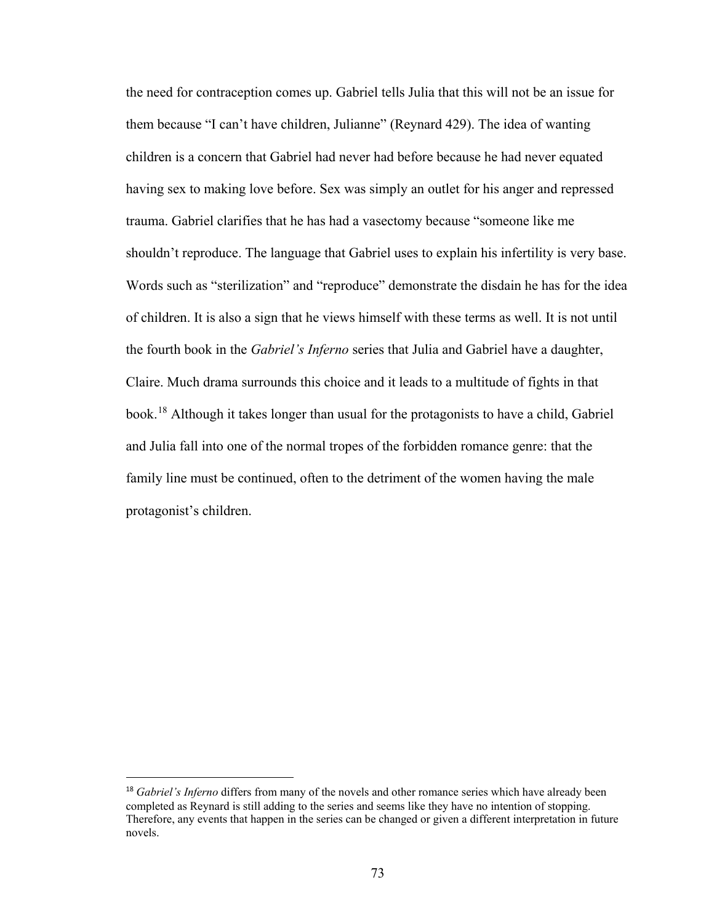the need for contraception comes up. Gabriel tells Julia that this will not be an issue for them because "I can't have children, Julianne" (Reynard 429). The idea of wanting children is a concern that Gabriel had never had before because he had never equated having sex to making love before. Sex was simply an outlet for his anger and repressed trauma. Gabriel clarifies that he has had a vasectomy because "someone like me shouldn't reproduce. The language that Gabriel uses to explain his infertility is very base. Words such as "sterilization" and "reproduce" demonstrate the disdain he has for the idea of children. It is also a sign that he views himself with these terms as well. It is not until the fourth book in the *Gabriel's Inferno* series that Julia and Gabriel have a daughter, Claire. Much drama surrounds this choice and it leads to a multitude of fights in that book.<sup>18</sup> Although it takes longer than usual for the protagonists to have a child, Gabriel and Julia fall into one of the normal tropes of the forbidden romance genre: that the family line must be continued, often to the detriment of the women having the male protagonist's children.

 $\overline{a}$ 

<span id="page-78-0"></span><sup>18</sup> *Gabriel's Inferno* differs from many of the novels and other romance series which have already been completed as Reynard is still adding to the series and seems like they have no intention of stopping. Therefore, any events that happen in the series can be changed or given a different interpretation in future novels.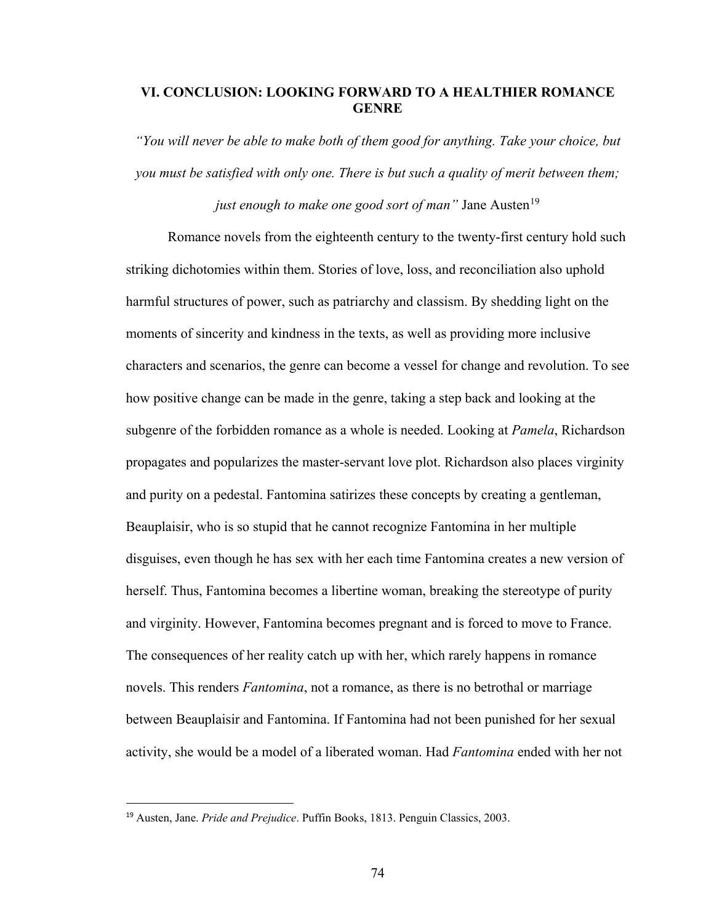# **VI. CONCLUSION: LOOKING FORWARD TO A HEALTHIER ROMANCE GENRE**

*"You will never be able to make both of them good for anything. Take your choice, but you must be satisfied with only one. There is but such a quality of merit between them;* 

*just enough to make one good sort of man*" Jane Austen<sup>[19](#page-79-0)</sup>

 Romance novels from the eighteenth century to the twenty-first century hold such striking dichotomies within them. Stories of love, loss, and reconciliation also uphold harmful structures of power, such as patriarchy and classism. By shedding light on the moments of sincerity and kindness in the texts, as well as providing more inclusive characters and scenarios, the genre can become a vessel for change and revolution. To see how positive change can be made in the genre, taking a step back and looking at the subgenre of the forbidden romance as a whole is needed. Looking at *Pamela*, Richardson propagates and popularizes the master-servant love plot. Richardson also places virginity and purity on a pedestal. Fantomina satirizes these concepts by creating a gentleman, Beauplaisir, who is so stupid that he cannot recognize Fantomina in her multiple disguises, even though he has sex with her each time Fantomina creates a new version of herself. Thus, Fantomina becomes a libertine woman, breaking the stereotype of purity and virginity. However, Fantomina becomes pregnant and is forced to move to France. The consequences of her reality catch up with her, which rarely happens in romance novels. This renders *Fantomina*, not a romance, as there is no betrothal or marriage between Beauplaisir and Fantomina. If Fantomina had not been punished for her sexual activity, she would be a model of a liberated woman. Had *Fantomina* ended with her not

 $\overline{a}$ 

<span id="page-79-0"></span><sup>19</sup> Austen, Jane. *Pride and Prejudice*. Puffin Books, 1813. Penguin Classics, 2003.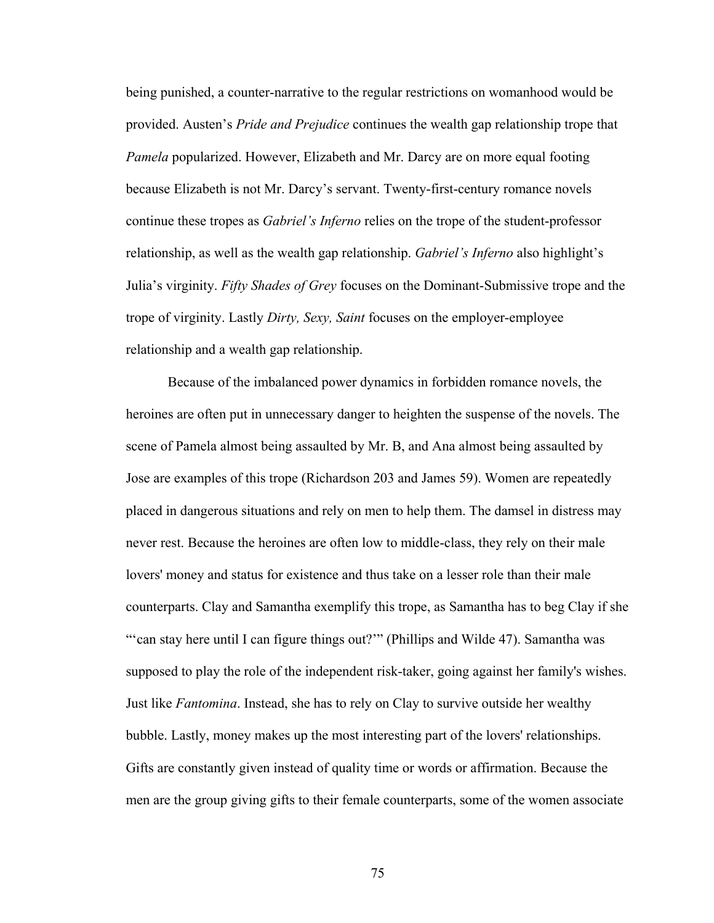being punished, a counter-narrative to the regular restrictions on womanhood would be provided. Austen's *Pride and Prejudice* continues the wealth gap relationship trope that *Pamela* popularized. However, Elizabeth and Mr. Darcy are on more equal footing because Elizabeth is not Mr. Darcy's servant. Twenty-first-century romance novels continue these tropes as *Gabriel's Inferno* relies on the trope of the student-professor relationship, as well as the wealth gap relationship. *Gabriel's Inferno* also highlight's Julia's virginity. *Fifty Shades of Grey* focuses on the Dominant-Submissive trope and the trope of virginity. Lastly *Dirty, Sexy, Saint* focuses on the employer-employee relationship and a wealth gap relationship.

Because of the imbalanced power dynamics in forbidden romance novels, the heroines are often put in unnecessary danger to heighten the suspense of the novels. The scene of Pamela almost being assaulted by Mr. B, and Ana almost being assaulted by Jose are examples of this trope (Richardson 203 and James 59). Women are repeatedly placed in dangerous situations and rely on men to help them. The damsel in distress may never rest. Because the heroines are often low to middle-class, they rely on their male lovers' money and status for existence and thus take on a lesser role than their male counterparts. Clay and Samantha exemplify this trope, as Samantha has to beg Clay if she "'can stay here until I can figure things out?'" (Phillips and Wilde 47). Samantha was supposed to play the role of the independent risk-taker, going against her family's wishes. Just like *Fantomina*. Instead, she has to rely on Clay to survive outside her wealthy bubble. Lastly, money makes up the most interesting part of the lovers' relationships. Gifts are constantly given instead of quality time or words or affirmation. Because the men are the group giving gifts to their female counterparts, some of the women associate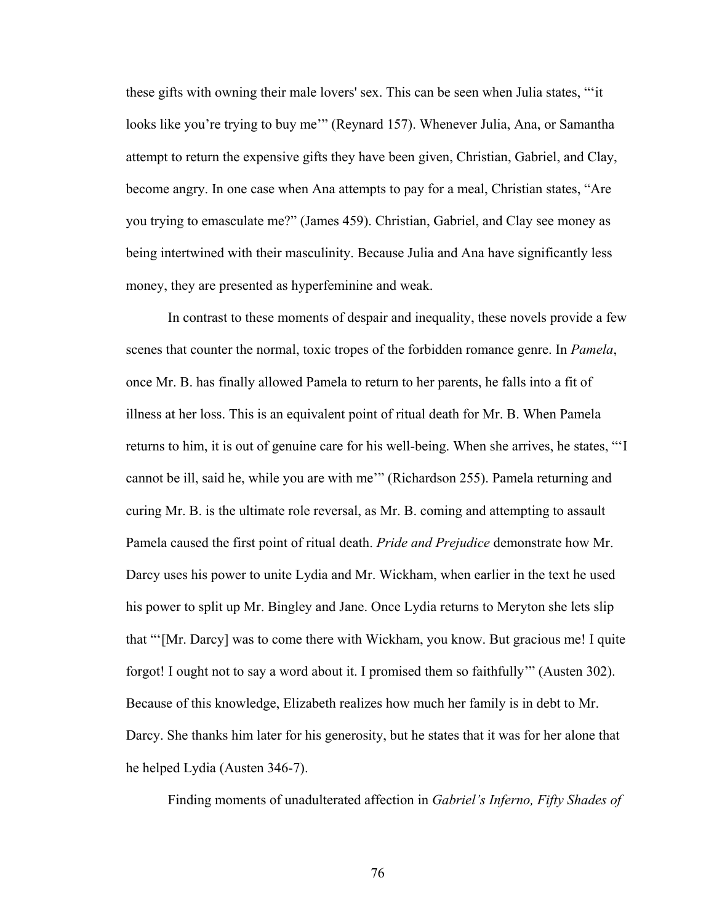these gifts with owning their male lovers' sex. This can be seen when Julia states, "'it looks like you're trying to buy me'" (Reynard 157). Whenever Julia, Ana, or Samantha attempt to return the expensive gifts they have been given, Christian, Gabriel, and Clay, become angry. In one case when Ana attempts to pay for a meal, Christian states, "Are you trying to emasculate me?" (James 459). Christian, Gabriel, and Clay see money as being intertwined with their masculinity. Because Julia and Ana have significantly less money, they are presented as hyperfeminine and weak.

 In contrast to these moments of despair and inequality, these novels provide a few scenes that counter the normal, toxic tropes of the forbidden romance genre. In *Pamela*, once Mr. B. has finally allowed Pamela to return to her parents, he falls into a fit of illness at her loss. This is an equivalent point of ritual death for Mr. B. When Pamela returns to him, it is out of genuine care for his well-being. When she arrives, he states, "'I cannot be ill, said he, while you are with me'" (Richardson 255). Pamela returning and curing Mr. B. is the ultimate role reversal, as Mr. B. coming and attempting to assault Pamela caused the first point of ritual death. *Pride and Prejudice* demonstrate how Mr. Darcy uses his power to unite Lydia and Mr. Wickham, when earlier in the text he used his power to split up Mr. Bingley and Jane. Once Lydia returns to Meryton she lets slip that "'[Mr. Darcy] was to come there with Wickham, you know. But gracious me! I quite forgot! I ought not to say a word about it. I promised them so faithfully'" (Austen 302). Because of this knowledge, Elizabeth realizes how much her family is in debt to Mr. Darcy. She thanks him later for his generosity, but he states that it was for her alone that he helped Lydia (Austen 346-7).

Finding moments of unadulterated affection in *Gabriel's Inferno, Fifty Shades of*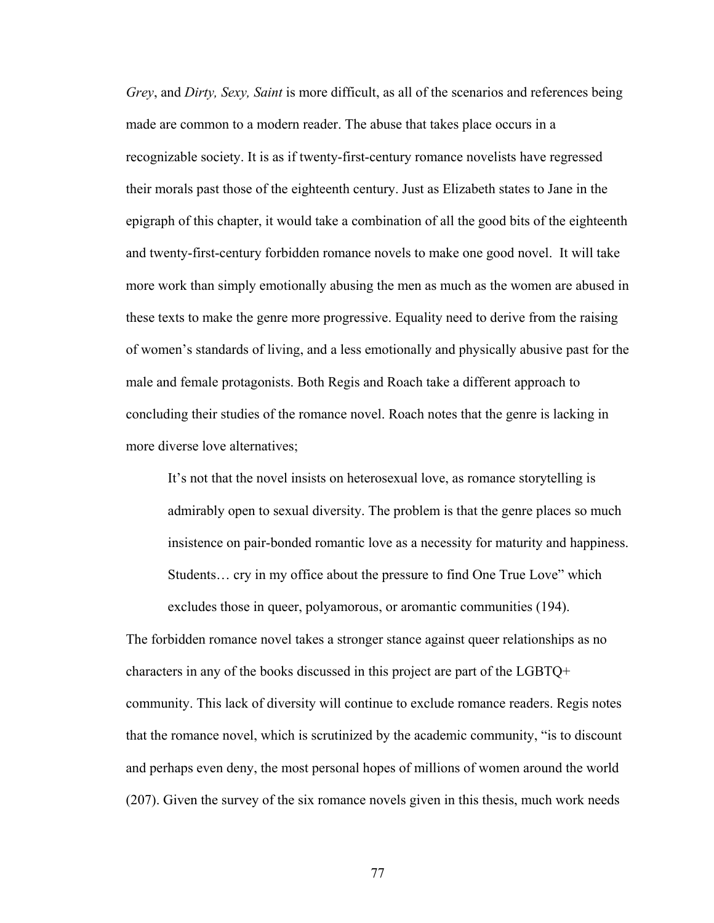*Grey*, and *Dirty, Sexy, Saint* is more difficult, as all of the scenarios and references being made are common to a modern reader. The abuse that takes place occurs in a recognizable society. It is as if twenty-first-century romance novelists have regressed their morals past those of the eighteenth century. Just as Elizabeth states to Jane in the epigraph of this chapter, it would take a combination of all the good bits of the eighteenth and twenty-first-century forbidden romance novels to make one good novel. It will take more work than simply emotionally abusing the men as much as the women are abused in these texts to make the genre more progressive. Equality need to derive from the raising of women's standards of living, and a less emotionally and physically abusive past for the male and female protagonists. Both Regis and Roach take a different approach to concluding their studies of the romance novel. Roach notes that the genre is lacking in more diverse love alternatives;

It's not that the novel insists on heterosexual love, as romance storytelling is admirably open to sexual diversity. The problem is that the genre places so much insistence on pair-bonded romantic love as a necessity for maturity and happiness. Students… cry in my office about the pressure to find One True Love" which excludes those in queer, polyamorous, or aromantic communities (194).

The forbidden romance novel takes a stronger stance against queer relationships as no characters in any of the books discussed in this project are part of the LGBTQ+ community. This lack of diversity will continue to exclude romance readers. Regis notes that the romance novel, which is scrutinized by the academic community, "is to discount and perhaps even deny, the most personal hopes of millions of women around the world (207). Given the survey of the six romance novels given in this thesis, much work needs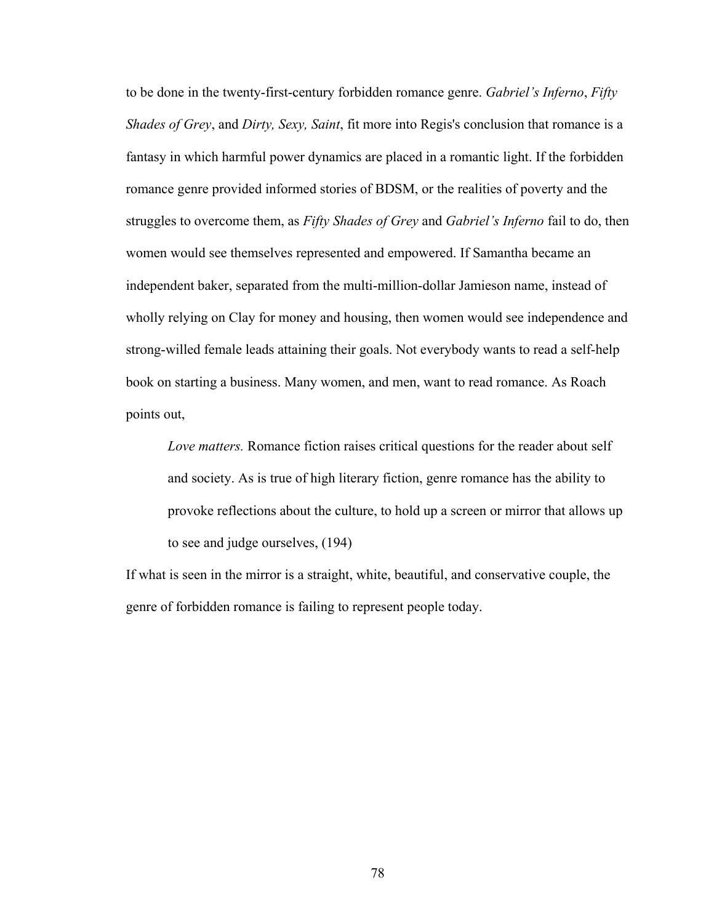to be done in the twenty-first-century forbidden romance genre. *Gabriel's Inferno*, *Fifty Shades of Grey*, and *Dirty, Sexy, Saint*, fit more into Regis's conclusion that romance is a fantasy in which harmful power dynamics are placed in a romantic light. If the forbidden romance genre provided informed stories of BDSM, or the realities of poverty and the struggles to overcome them, as *Fifty Shades of Grey* and *Gabriel's Inferno* fail to do, then women would see themselves represented and empowered. If Samantha became an independent baker, separated from the multi-million-dollar Jamieson name, instead of wholly relying on Clay for money and housing, then women would see independence and strong-willed female leads attaining their goals. Not everybody wants to read a self-help book on starting a business. Many women, and men, want to read romance. As Roach points out,

*Love matters.* Romance fiction raises critical questions for the reader about self and society. As is true of high literary fiction, genre romance has the ability to provoke reflections about the culture, to hold up a screen or mirror that allows up to see and judge ourselves, (194)

If what is seen in the mirror is a straight, white, beautiful, and conservative couple, the genre of forbidden romance is failing to represent people today.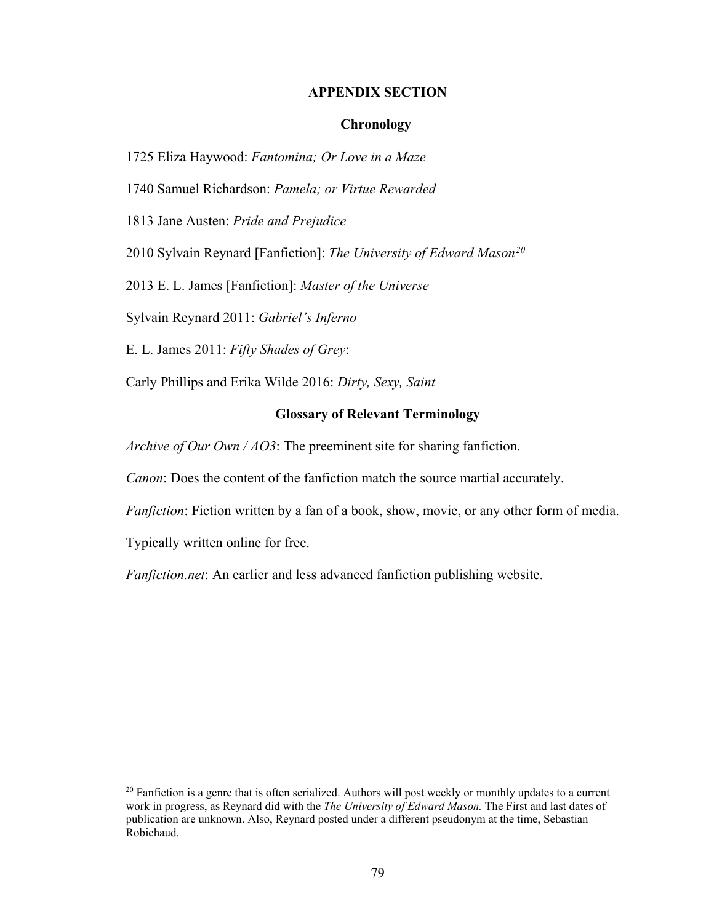### **APPENDIX SECTION**

## **Chronology**

1725 Eliza Haywood: *Fantomina; Or Love in a Maze*

1740 Samuel Richardson: *Pamela; or Virtue Rewarded*

1813 Jane Austen: *Pride and Prejudice*

2010 Sylvain Reynard [Fanfiction]: *The University of Edward Mason[20](#page-84-0)*

2013 E. L. James [Fanfiction]: *Master of the Universe*

Sylvain Reynard 2011: *Gabriel's Inferno*

E. L. James 2011: *Fifty Shades of Grey*:

Carly Phillips and Erika Wilde 2016: *Dirty, Sexy, Saint* 

## **Glossary of Relevant Terminology**

*Archive of Our Own / AO3*: The preeminent site for sharing fanfiction.

*Canon*: Does the content of the fanfiction match the source martial accurately.

*Fanfiction*: Fiction written by a fan of a book, show, movie, or any other form of media.

Typically written online for free.

 $\overline{a}$ 

*Fanfiction.net*: An earlier and less advanced fanfiction publishing website.

<span id="page-84-0"></span> $20$  Fanfiction is a genre that is often serialized. Authors will post weekly or monthly updates to a current work in progress, as Reynard did with the *The University of Edward Mason.* The First and last dates of publication are unknown. Also, Reynard posted under a different pseudonym at the time, Sebastian Robichaud.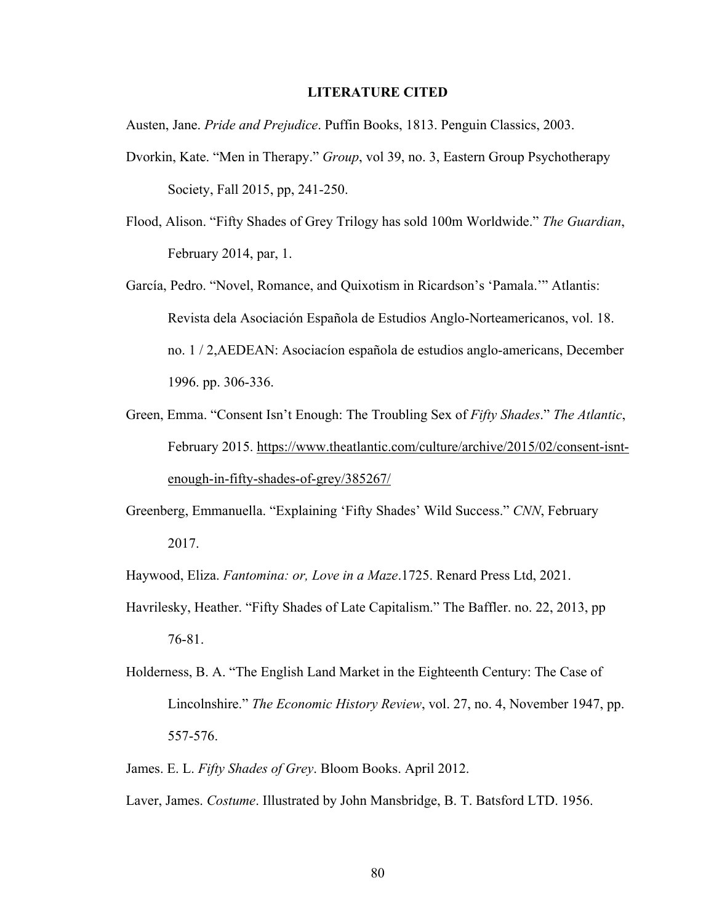#### **LITERATURE CITED**

Austen, Jane. *Pride and Prejudice*. Puffin Books, 1813. Penguin Classics, 2003.

- Dvorkin, Kate. "Men in Therapy." *Group*, vol 39, no. 3, Eastern Group Psychotherapy Society, Fall 2015, pp, 241-250.
- Flood, Alison. "Fifty Shades of Grey Trilogy has sold 100m Worldwide." *The Guardian*, February 2014, par, 1.
- García, Pedro. "Novel, Romance, and Quixotism in Ricardson's 'Pamala.'" Atlantis: Revista dela Asociación Española de Estudios Anglo-Norteamericanos, vol. 18. no. 1 / 2,AEDEAN: Asociacíon española de estudios anglo-americans, December 1996. pp. 306-336.
- Green, Emma. "Consent Isn't Enough: The Troubling Sex of *Fifty Shades*." *The Atlantic*, February 2015. [https://www.theatlantic.com/culture/archive/2015/02/consent-isnt](https://www.theatlantic.com/culture/archive/2015/02/consent-isnt-enough-in-fifty-shades-of-grey/385267/)[enough-in-fifty-shades-of-grey/385267/](https://www.theatlantic.com/culture/archive/2015/02/consent-isnt-enough-in-fifty-shades-of-grey/385267/)
- Greenberg, Emmanuella. "Explaining 'Fifty Shades' Wild Success." *CNN*, February 2017.

Haywood, Eliza. *Fantomina: or, Love in a Maze*.1725. Renard Press Ltd, 2021.

- Havrilesky, Heather. "Fifty Shades of Late Capitalism." The Baffler. no. 22, 2013, pp 76-81.
- Holderness, B. A. "The English Land Market in the Eighteenth Century: The Case of Lincolnshire." *The Economic History Review*, vol. 27, no. 4, November 1947, pp. 557-576.
- James. E. L. *Fifty Shades of Grey*. Bloom Books. April 2012.
- Laver, James. *Costume*. Illustrated by John Mansbridge, B. T. Batsford LTD. 1956.